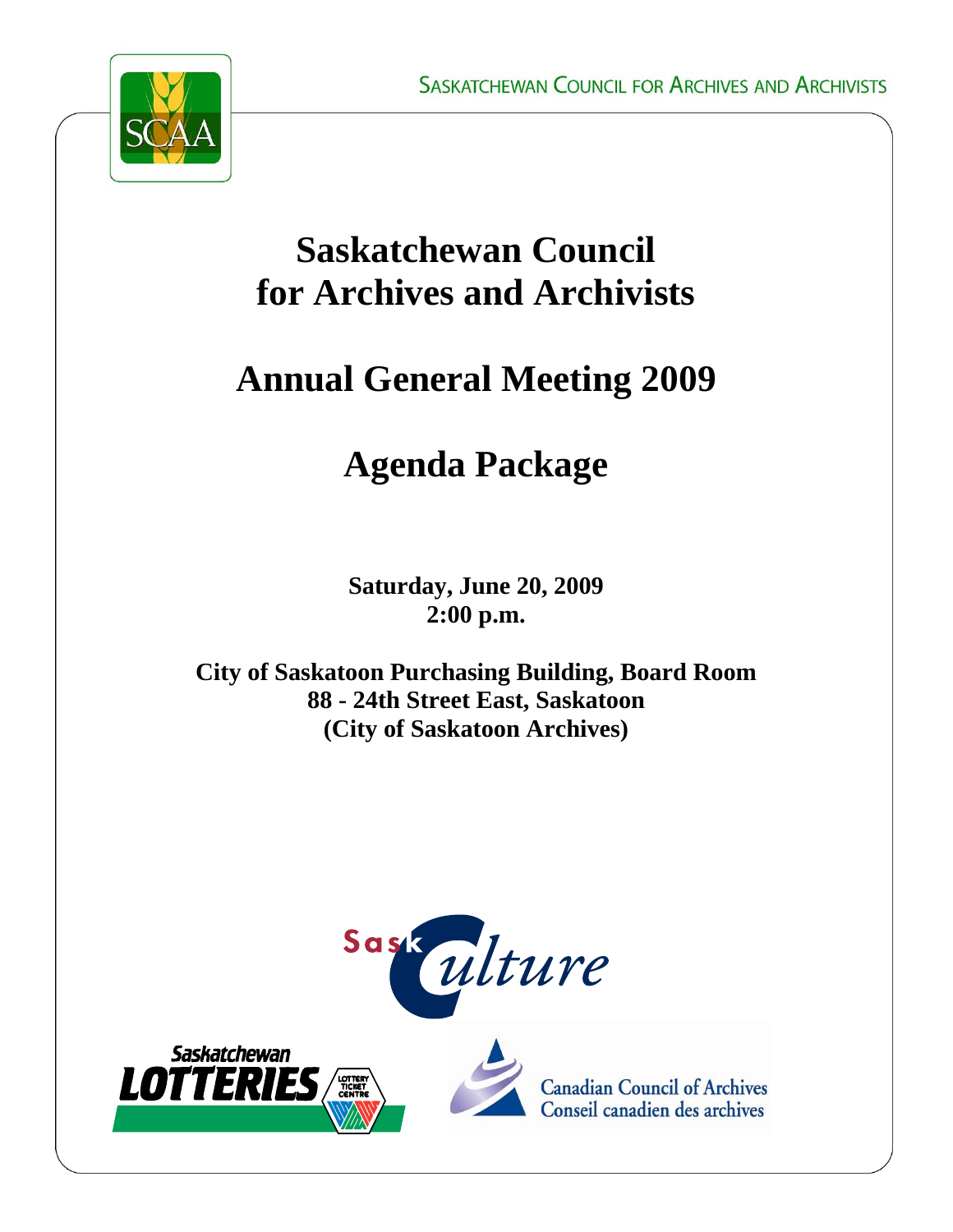

## **Saskatchewan Council for Archives and Archivists**

# **Annual General Meeting 2009**

# **Agenda Package**

**Saturday, June 20, 2009 2:00 p.m.** 

**City of Saskatoon Purchasing Building, Board Room 88 - 24th Street East, Saskatoon (City of Saskatoon Archives)** 







**Canadian Council of Archives** Conseil canadien des archives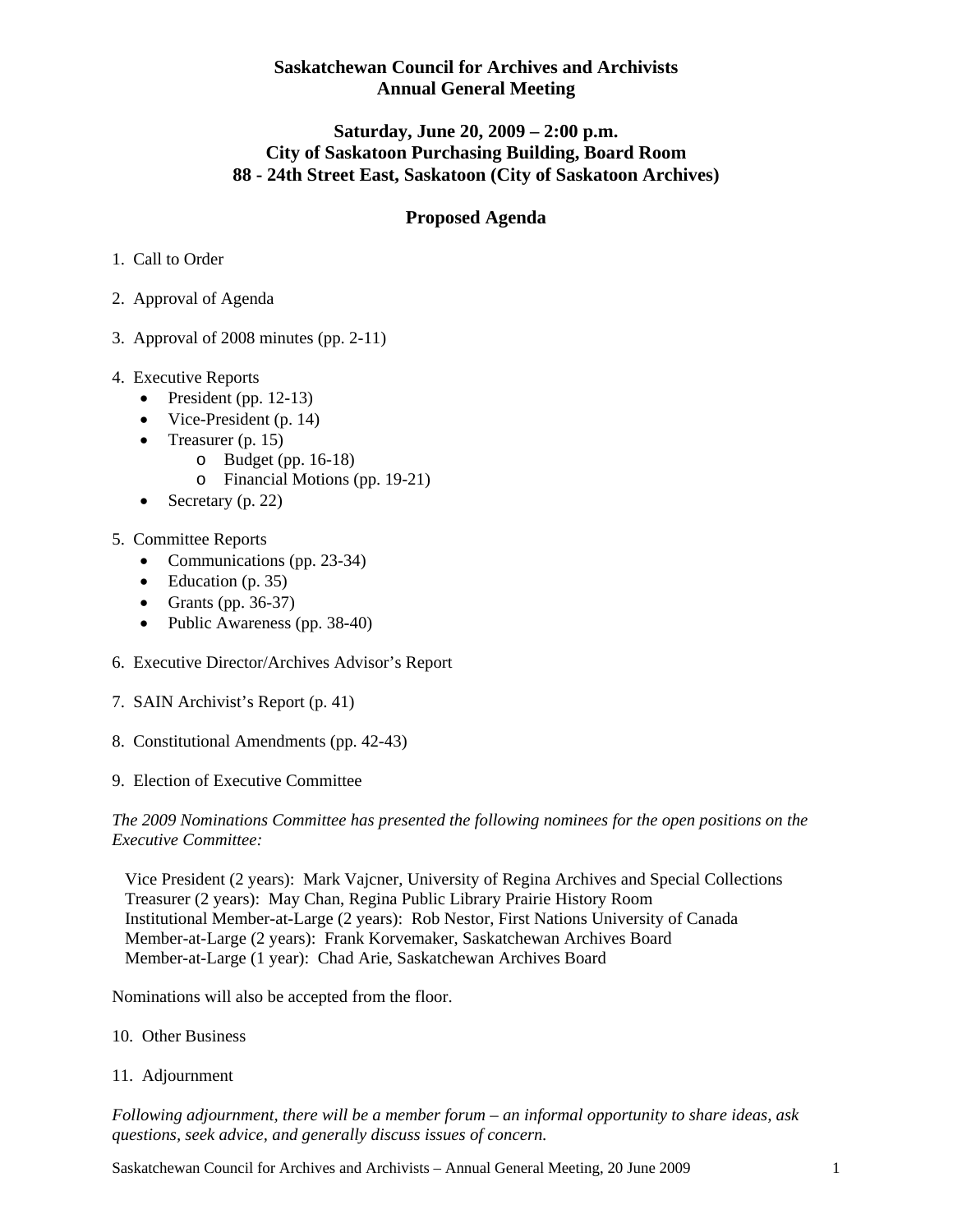#### **Saskatchewan Council for Archives and Archivists Annual General Meeting**

#### **Saturday, June 20, 2009 – 2:00 p.m. City of Saskatoon Purchasing Building, Board Room 88 - 24th Street East, Saskatoon (City of Saskatoon Archives)**

#### **Proposed Agenda**

- 1. Call to Order
- 2. Approval of Agenda
- 3. Approval of 2008 minutes (pp. 2-11)
- 4. Executive Reports
	- President (pp. 12-13)
	- Vice-President (p. 14)
	- Treasurer (p. 15)
		- o Budget (pp. 16-18)
			- o Financial Motions (pp. 19-21)
	- Secretary (p. 22)
- 5. Committee Reports
	- Communications (pp. 23-34)
	- Education  $(p. 35)$
	- Grants (pp.  $36-37$ )
	- Public Awareness (pp. 38-40)
- 6. Executive Director/Archives Advisor's Report
- 7. SAIN Archivist's Report (p. 41)
- 8. Constitutional Amendments (pp. 42-43)
- 9. Election of Executive Committee

*The 2009 Nominations Committee has presented the following nominees for the open positions on the Executive Committee:* 

 Vice President (2 years): Mark Vajcner, University of Regina Archives and Special Collections Treasurer (2 years): May Chan, Regina Public Library Prairie History Room Institutional Member-at-Large (2 years): Rob Nestor, First Nations University of Canada Member-at-Large (2 years): Frank Korvemaker, Saskatchewan Archives Board Member-at-Large (1 year): Chad Arie, Saskatchewan Archives Board

Nominations will also be accepted from the floor.

- 10. Other Business
- 11. Adjournment

*Following adjournment, there will be a member forum – an informal opportunity to share ideas, ask questions, seek advice, and generally discuss issues of concern.*

Saskatchewan Council for Archives and Archivists – Annual General Meeting, 20 June 2009 1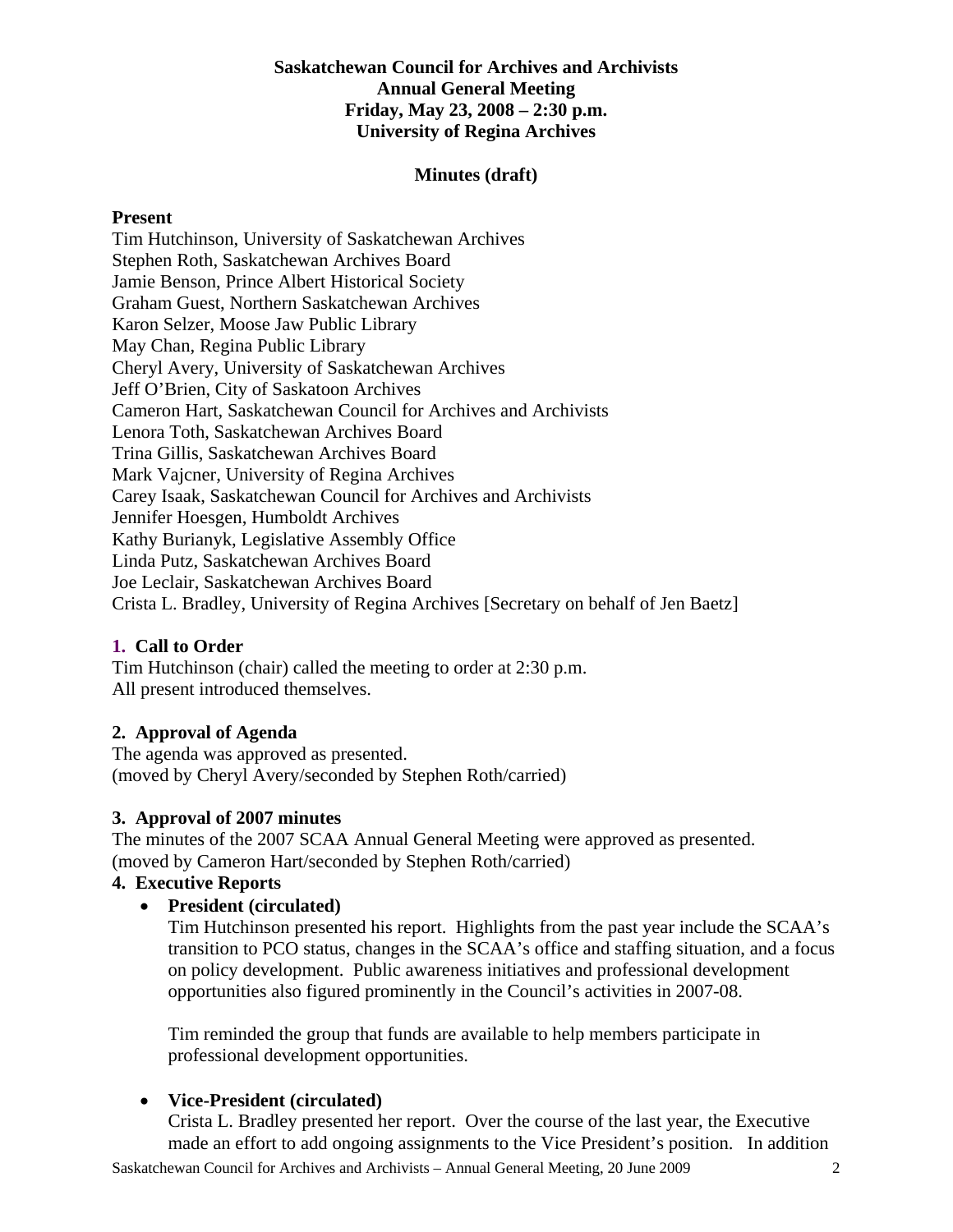#### **Saskatchewan Council for Archives and Archivists Annual General Meeting Friday, May 23, 2008 – 2:30 p.m. University of Regina Archives**

#### **Minutes (draft)**

#### **Present**

Tim Hutchinson, University of Saskatchewan Archives Stephen Roth, Saskatchewan Archives Board Jamie Benson, Prince Albert Historical Society Graham Guest, Northern Saskatchewan Archives Karon Selzer, Moose Jaw Public Library May Chan, Regina Public Library Cheryl Avery, University of Saskatchewan Archives Jeff O'Brien, City of Saskatoon Archives Cameron Hart, Saskatchewan Council for Archives and Archivists Lenora Toth, Saskatchewan Archives Board Trina Gillis, Saskatchewan Archives Board Mark Vajcner, University of Regina Archives Carey Isaak, Saskatchewan Council for Archives and Archivists Jennifer Hoesgen, Humboldt Archives Kathy Burianyk, Legislative Assembly Office Linda Putz, Saskatchewan Archives Board Joe Leclair, Saskatchewan Archives Board Crista L. Bradley, University of Regina Archives [Secretary on behalf of Jen Baetz]

#### **1. Call to Order**

Tim Hutchinson (chair) called the meeting to order at 2:30 p.m. All present introduced themselves.

#### **2. Approval of Agenda**

The agenda was approved as presented. (moved by Cheryl Avery/seconded by Stephen Roth/carried)

#### **3. Approval of 2007 minutes**

The minutes of the 2007 SCAA Annual General Meeting were approved as presented. (moved by Cameron Hart/seconded by Stephen Roth/carried)

#### **4. Executive Reports**

• **President (circulated)** 

Tim Hutchinson presented his report. Highlights from the past year include the SCAA's transition to PCO status, changes in the SCAA's office and staffing situation, and a focus on policy development. Public awareness initiatives and professional development opportunities also figured prominently in the Council's activities in 2007-08.

Tim reminded the group that funds are available to help members participate in professional development opportunities.

#### • **Vice-President (circulated)**

Crista L. Bradley presented her report. Over the course of the last year, the Executive made an effort to add ongoing assignments to the Vice President's position. In addition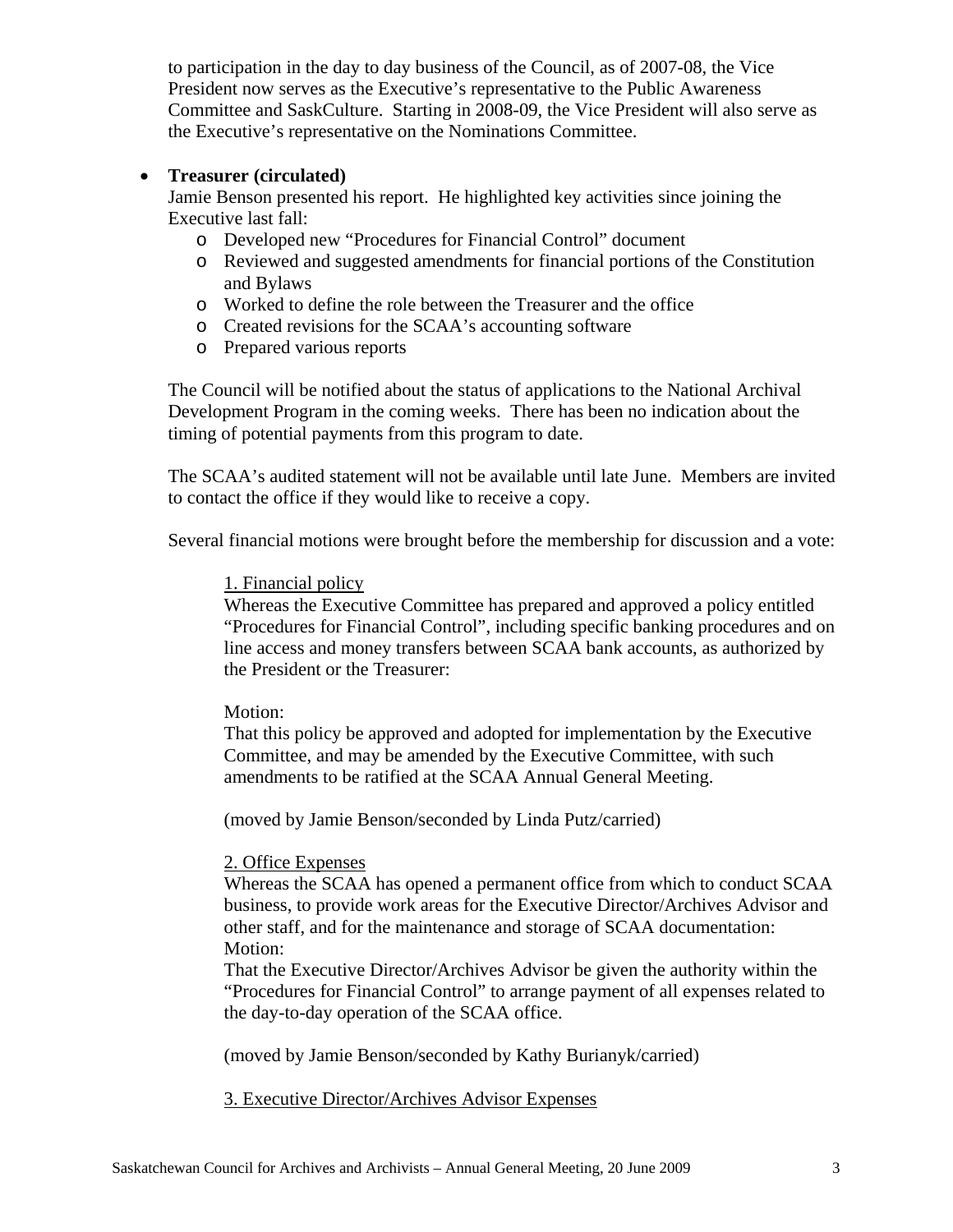to participation in the day to day business of the Council, as of 2007-08, the Vice President now serves as the Executive's representative to the Public Awareness Committee and SaskCulture. Starting in 2008-09, the Vice President will also serve as the Executive's representative on the Nominations Committee.

#### • **Treasurer (circulated)**

Jamie Benson presented his report. He highlighted key activities since joining the Executive last fall:

- o Developed new "Procedures for Financial Control" document
- o Reviewed and suggested amendments for financial portions of the Constitution and Bylaws
- o Worked to define the role between the Treasurer and the office
- o Created revisions for the SCAA's accounting software
- o Prepared various reports

The Council will be notified about the status of applications to the National Archival Development Program in the coming weeks. There has been no indication about the timing of potential payments from this program to date.

The SCAA's audited statement will not be available until late June. Members are invited to contact the office if they would like to receive a copy.

Several financial motions were brought before the membership for discussion and a vote:

#### 1. Financial policy

Whereas the Executive Committee has prepared and approved a policy entitled "Procedures for Financial Control", including specific banking procedures and on line access and money transfers between SCAA bank accounts, as authorized by the President or the Treasurer:

#### Motion:

That this policy be approved and adopted for implementation by the Executive Committee, and may be amended by the Executive Committee, with such amendments to be ratified at the SCAA Annual General Meeting.

(moved by Jamie Benson/seconded by Linda Putz/carried)

#### 2. Office Expenses

Whereas the SCAA has opened a permanent office from which to conduct SCAA business, to provide work areas for the Executive Director/Archives Advisor and other staff, and for the maintenance and storage of SCAA documentation: Motion:

That the Executive Director/Archives Advisor be given the authority within the "Procedures for Financial Control" to arrange payment of all expenses related to the day-to-day operation of the SCAA office.

(moved by Jamie Benson/seconded by Kathy Burianyk/carried)

#### 3. Executive Director/Archives Advisor Expenses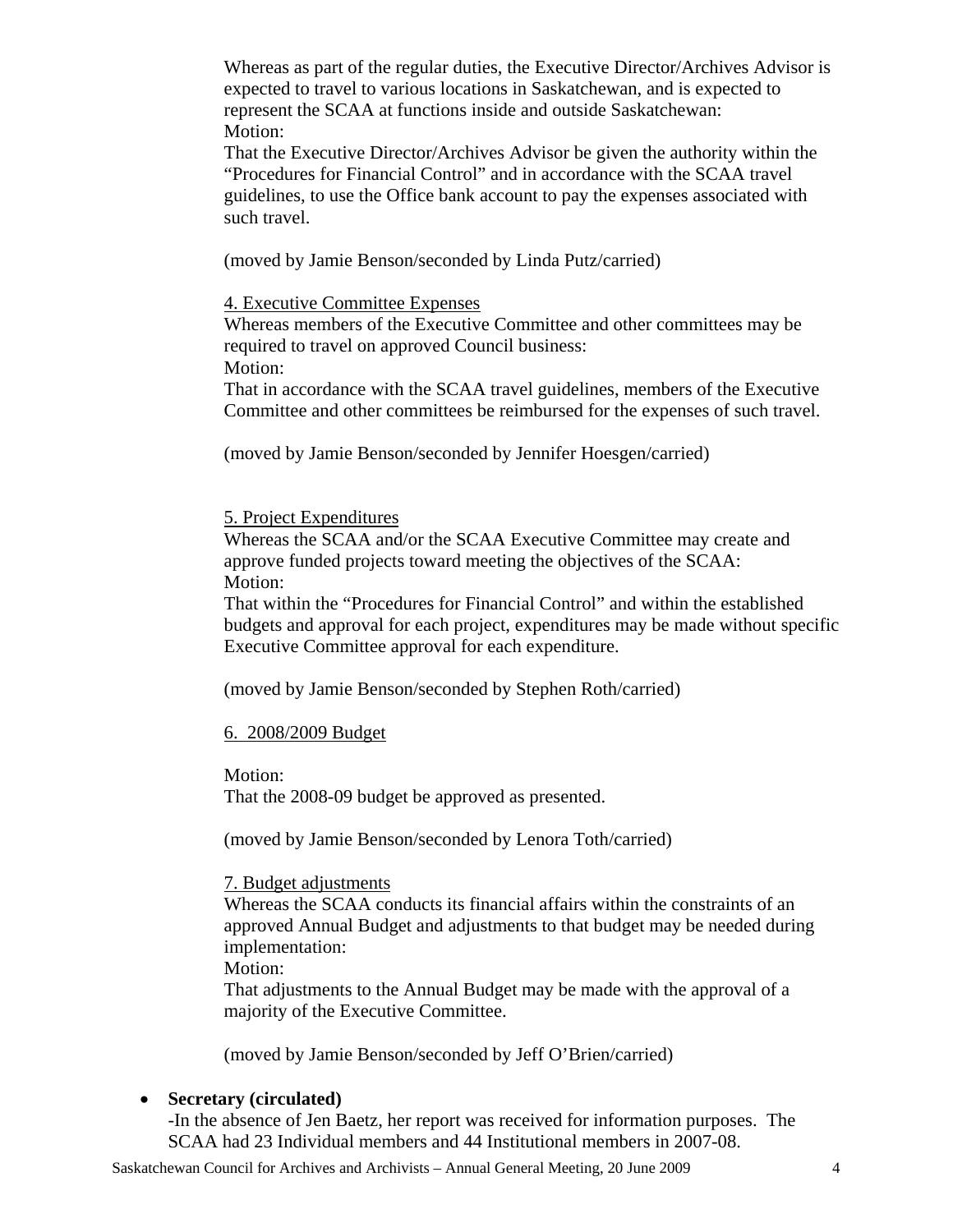Whereas as part of the regular duties, the Executive Director/Archives Advisor is expected to travel to various locations in Saskatchewan, and is expected to represent the SCAA at functions inside and outside Saskatchewan: Motion:

That the Executive Director/Archives Advisor be given the authority within the "Procedures for Financial Control" and in accordance with the SCAA travel guidelines, to use the Office bank account to pay the expenses associated with such travel.

(moved by Jamie Benson/seconded by Linda Putz/carried)

4. Executive Committee Expenses

Whereas members of the Executive Committee and other committees may be required to travel on approved Council business: Motion:

That in accordance with the SCAA travel guidelines, members of the Executive Committee and other committees be reimbursed for the expenses of such travel.

(moved by Jamie Benson/seconded by Jennifer Hoesgen/carried)

5. Project Expenditures

Whereas the SCAA and/or the SCAA Executive Committee may create and approve funded projects toward meeting the objectives of the SCAA: Motion:

That within the "Procedures for Financial Control" and within the established budgets and approval for each project, expenditures may be made without specific Executive Committee approval for each expenditure.

(moved by Jamie Benson/seconded by Stephen Roth/carried)

#### 6. 2008/2009 Budget

Motion: That the 2008-09 budget be approved as presented.

(moved by Jamie Benson/seconded by Lenora Toth/carried)

#### 7. Budget adjustments

Whereas the SCAA conducts its financial affairs within the constraints of an approved Annual Budget and adjustments to that budget may be needed during implementation:

Motion:

That adjustments to the Annual Budget may be made with the approval of a majority of the Executive Committee.

(moved by Jamie Benson/seconded by Jeff O'Brien/carried)

#### • **Secretary (circulated)**

-In the absence of Jen Baetz, her report was received for information purposes. The SCAA had 23 Individual members and 44 Institutional members in 2007-08.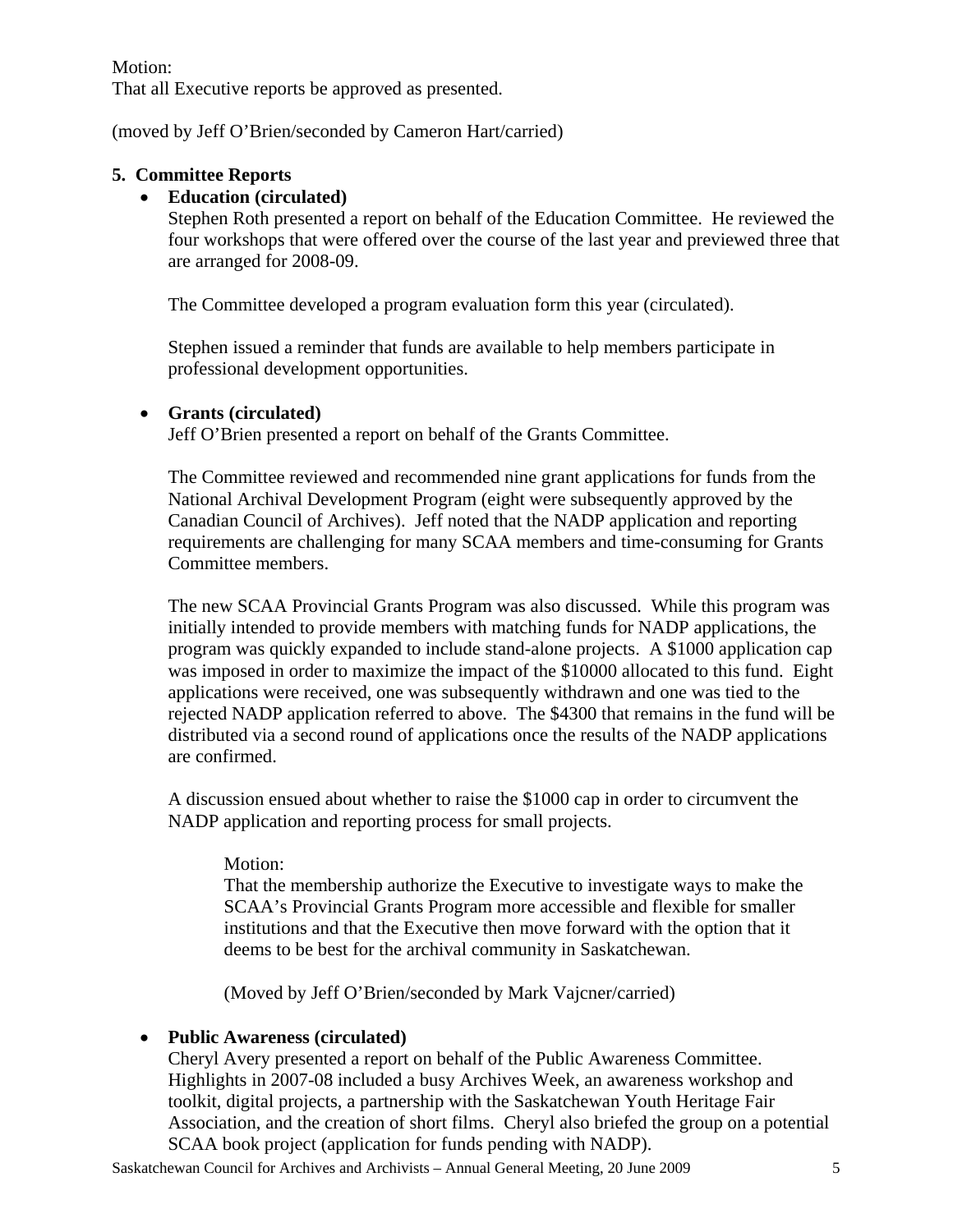#### Motion:

That all Executive reports be approved as presented.

(moved by Jeff O'Brien/seconded by Cameron Hart/carried)

#### **5. Committee Reports**

#### • **Education (circulated)**

Stephen Roth presented a report on behalf of the Education Committee. He reviewed the four workshops that were offered over the course of the last year and previewed three that are arranged for 2008-09.

The Committee developed a program evaluation form this year (circulated).

Stephen issued a reminder that funds are available to help members participate in professional development opportunities.

#### • **Grants (circulated)**

Jeff O'Brien presented a report on behalf of the Grants Committee.

The Committee reviewed and recommended nine grant applications for funds from the National Archival Development Program (eight were subsequently approved by the Canadian Council of Archives). Jeff noted that the NADP application and reporting requirements are challenging for many SCAA members and time-consuming for Grants Committee members.

The new SCAA Provincial Grants Program was also discussed. While this program was initially intended to provide members with matching funds for NADP applications, the program was quickly expanded to include stand-alone projects. A \$1000 application cap was imposed in order to maximize the impact of the \$10000 allocated to this fund. Eight applications were received, one was subsequently withdrawn and one was tied to the rejected NADP application referred to above. The \$4300 that remains in the fund will be distributed via a second round of applications once the results of the NADP applications are confirmed.

A discussion ensued about whether to raise the \$1000 cap in order to circumvent the NADP application and reporting process for small projects.

#### Motion:

That the membership authorize the Executive to investigate ways to make the SCAA's Provincial Grants Program more accessible and flexible for smaller institutions and that the Executive then move forward with the option that it deems to be best for the archival community in Saskatchewan.

(Moved by Jeff O'Brien/seconded by Mark Vajcner/carried)

#### • **Public Awareness (circulated)**

Cheryl Avery presented a report on behalf of the Public Awareness Committee. Highlights in 2007-08 included a busy Archives Week, an awareness workshop and toolkit, digital projects, a partnership with the Saskatchewan Youth Heritage Fair Association, and the creation of short films. Cheryl also briefed the group on a potential SCAA book project (application for funds pending with NADP).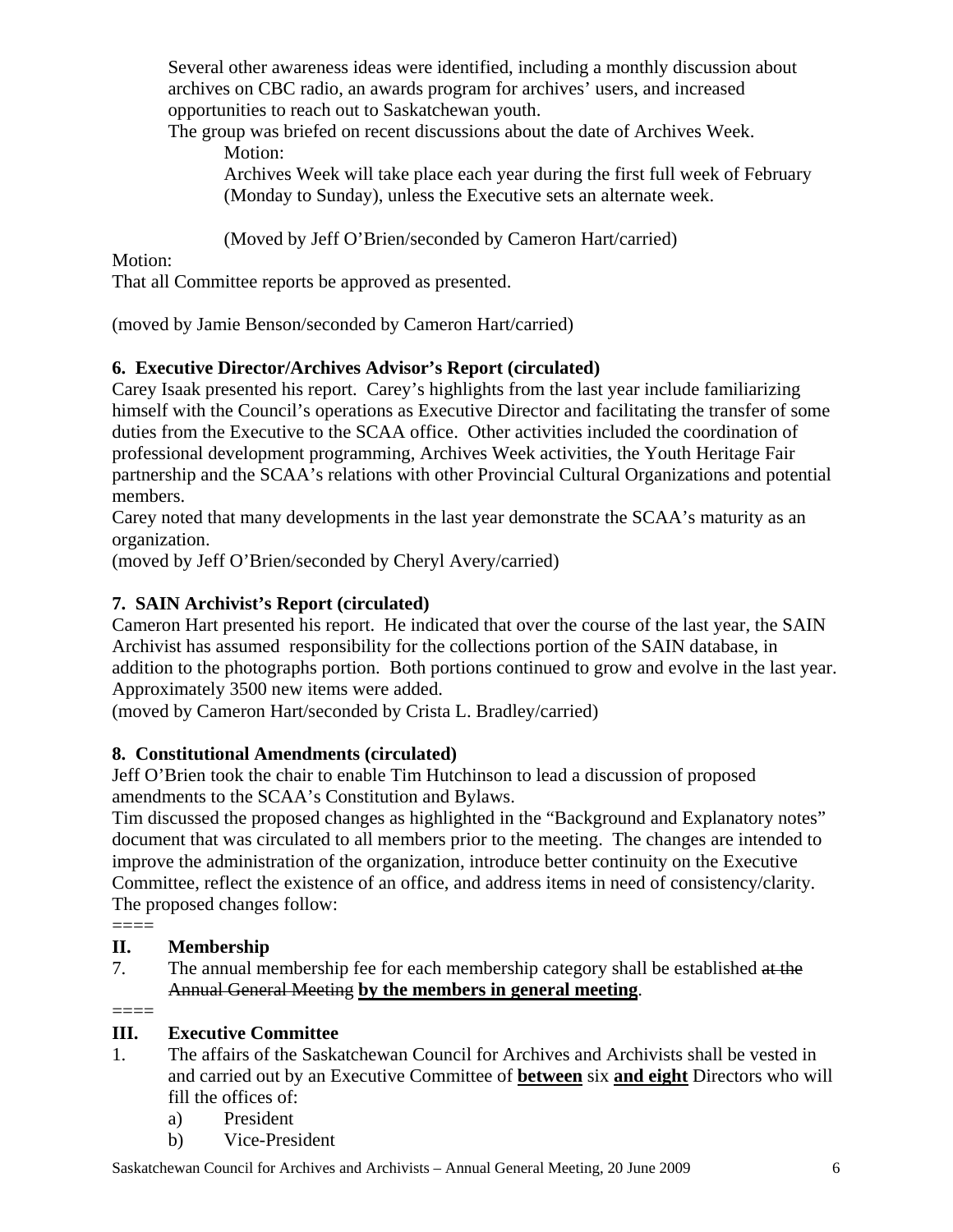Several other awareness ideas were identified, including a monthly discussion about archives on CBC radio, an awards program for archives' users, and increased opportunities to reach out to Saskatchewan youth.

The group was briefed on recent discussions about the date of Archives Week. Motion:

Archives Week will take place each year during the first full week of February (Monday to Sunday), unless the Executive sets an alternate week.

(Moved by Jeff O'Brien/seconded by Cameron Hart/carried)

## Motion:

That all Committee reports be approved as presented.

(moved by Jamie Benson/seconded by Cameron Hart/carried)

## **6. Executive Director/Archives Advisor's Report (circulated)**

Carey Isaak presented his report. Carey's highlights from the last year include familiarizing himself with the Council's operations as Executive Director and facilitating the transfer of some duties from the Executive to the SCAA office. Other activities included the coordination of professional development programming, Archives Week activities, the Youth Heritage Fair partnership and the SCAA's relations with other Provincial Cultural Organizations and potential members.

Carey noted that many developments in the last year demonstrate the SCAA's maturity as an organization.

(moved by Jeff O'Brien/seconded by Cheryl Avery/carried)

## **7. SAIN Archivist's Report (circulated)**

Cameron Hart presented his report. He indicated that over the course of the last year, the SAIN Archivist has assumed responsibility for the collections portion of the SAIN database, in addition to the photographs portion. Both portions continued to grow and evolve in the last year. Approximately 3500 new items were added.

(moved by Cameron Hart/seconded by Crista L. Bradley/carried)

## **8. Constitutional Amendments (circulated)**

Jeff O'Brien took the chair to enable Tim Hutchinson to lead a discussion of proposed amendments to the SCAA's Constitution and Bylaws.

Tim discussed the proposed changes as highlighted in the "Background and Explanatory notes" document that was circulated to all members prior to the meeting. The changes are intended to improve the administration of the organization, introduce better continuity on the Executive Committee, reflect the existence of an office, and address items in need of consistency/clarity. The proposed changes follow:

====

## **II. Membership**

7. The annual membership fee for each membership category shall be established at the Annual General Meeting **by the members in general meeting**.

 $=$ 

## **III. Executive Committee**

- 1. The affairs of the Saskatchewan Council for Archives and Archivists shall be vested in and carried out by an Executive Committee of **between** six **and eight** Directors who will fill the offices of:
	- a) President
	- b) Vice-President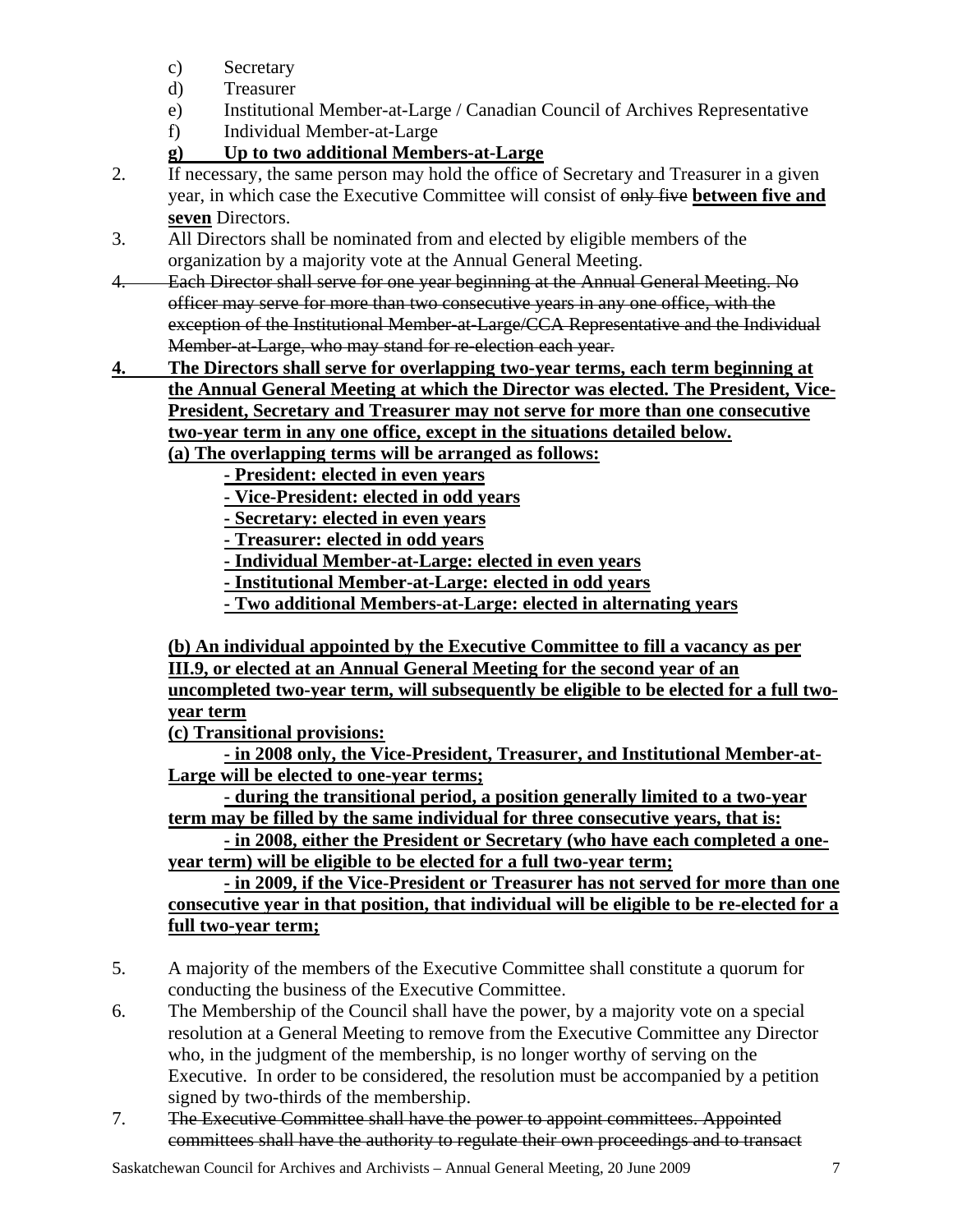- c) Secretary
- d) Treasurer
- e) Institutional Member-at-Large / Canadian Council of Archives Representative
- f) Individual Member-at-Large
- **g) Up to two additional Members-at-Large**
- 2. If necessary, the same person may hold the office of Secretary and Treasurer in a given year, in which case the Executive Committee will consist of only five **between five and seven** Directors.
- 3. All Directors shall be nominated from and elected by eligible members of the organization by a majority vote at the Annual General Meeting.
- 4. Each Director shall serve for one year beginning at the Annual General Meeting. No officer may serve for more than two consecutive years in any one office, with the exception of the Institutional Member-at-Large/CCA Representative and the Individual Member-at-Large, who may stand for re-election each year.
- **4. The Directors shall serve for overlapping two-year terms, each term beginning at the Annual General Meeting at which the Director was elected. The President, Vice-President, Secretary and Treasurer may not serve for more than one consecutive two-year term in any one office, except in the situations detailed below. (a) The overlapping terms will be arranged as follows:**
	- **President: elected in even years**
	- **Vice-President: elected in odd years**
	- **Secretary: elected in even years**
	- **Treasurer: elected in odd years**
	- **Individual Member-at-Large: elected in even years**
	- **Institutional Member-at-Large: elected in odd years**
	- **Two additional Members-at-Large: elected in alternating years**

 **(b) An individual appointed by the Executive Committee to fill a vacancy as per III.9, or elected at an Annual General Meeting for the second year of an uncompleted two-year term, will subsequently be eligible to be elected for a full twoyear term**

 **(c) Transitional provisions:**

 **- in 2008 only, the Vice-President, Treasurer, and Institutional Member-at-Large will be elected to one-year terms;**

 **- during the transitional period, a position generally limited to a two-year term may be filled by the same individual for three consecutive years, that is:**

 **- in 2008, either the President or Secretary (who have each completed a oneyear term) will be eligible to be elected for a full two-year term;**

 **- in 2009, if the Vice-President or Treasurer has not served for more than one consecutive year in that position, that individual will be eligible to be re-elected for a full two-year term;**

- 5. A majority of the members of the Executive Committee shall constitute a quorum for conducting the business of the Executive Committee.
- 6. The Membership of the Council shall have the power, by a majority vote on a special resolution at a General Meeting to remove from the Executive Committee any Director who, in the judgment of the membership, is no longer worthy of serving on the Executive. In order to be considered, the resolution must be accompanied by a petition signed by two-thirds of the membership.
- 7. The Executive Committee shall have the power to appoint committees. Appointed committees shall have the authority to regulate their own proceedings and to transact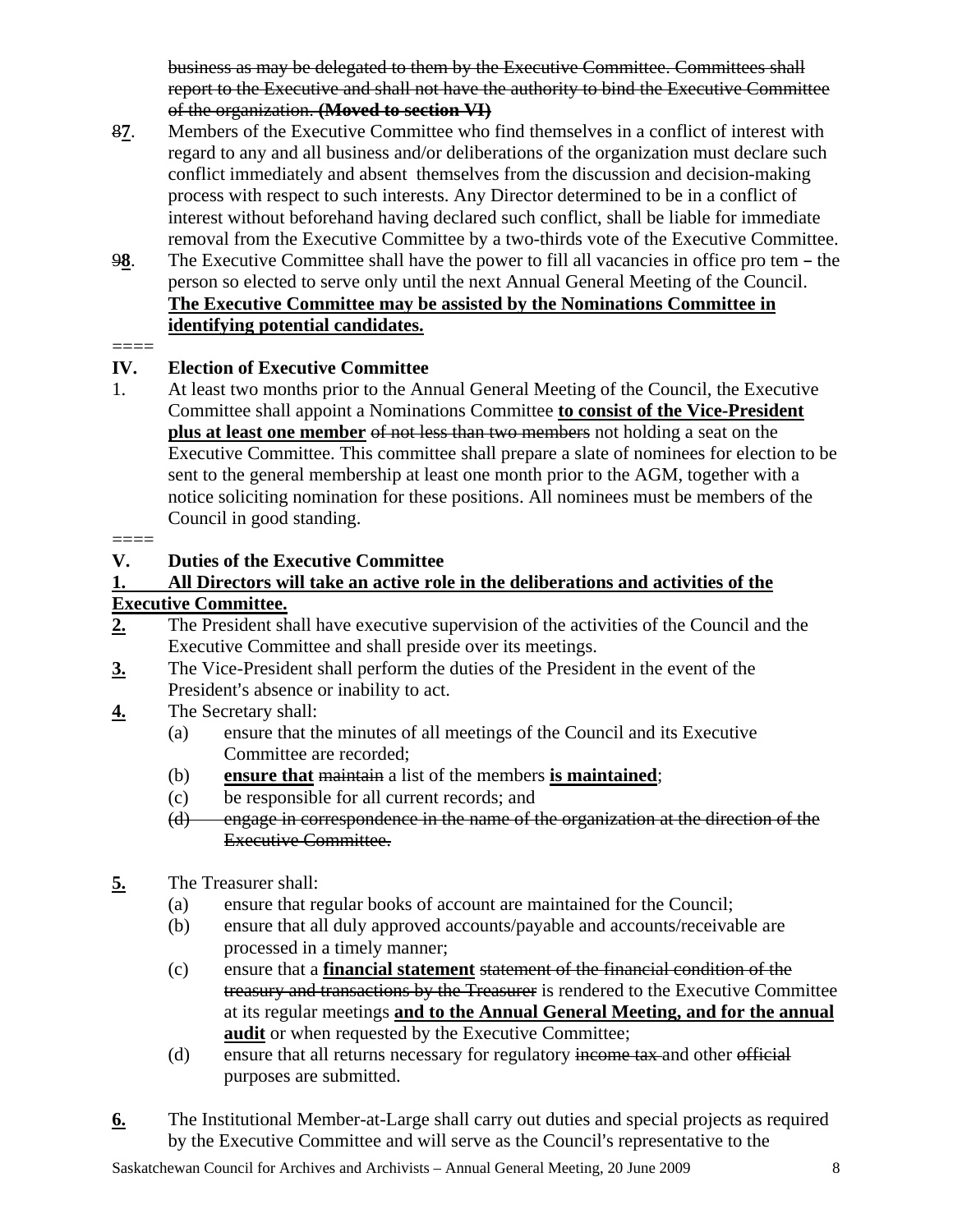business as may be delegated to them by the Executive Committee. Committees shall report to the Executive and shall not have the authority to bind the Executive Committee of the organization. **(Moved to section VI)**

- 8**7**. Members of the Executive Committee who find themselves in a conflict of interest with regard to any and all business and/or deliberations of the organization must declare such conflict immediately and absent themselves from the discussion and decision-making process with respect to such interests. Any Director determined to be in a conflict of interest without beforehand having declared such conflict, shall be liable for immediate removal from the Executive Committee by a two-thirds vote of the Executive Committee.
- 98. The Executive Committee shall have the power to fill all vacancies in office pro tem the person so elected to serve only until the next Annual General Meeting of the Council. **The Executive Committee may be assisted by the Nominations Committee in identifying potential candidates.**

#### $=$

## **IV. Election of Executive Committee**

1. At least two months prior to the Annual General Meeting of the Council, the Executive Committee shall appoint a Nominations Committee **to consist of the Vice-President plus at least one member** of not less than two members not holding a seat on the Executive Committee. This committee shall prepare a slate of nominees for election to be sent to the general membership at least one month prior to the AGM, together with a notice soliciting nomination for these positions. All nominees must be members of the Council in good standing.

#### $=$

## **V. Duties of the Executive Committee**

#### **1. All Directors will take an active role in the deliberations and activities of the Executive Committee.**

- **2.** The President shall have executive supervision of the activities of the Council and the Executive Committee and shall preside over its meetings.
- **3.** The Vice-President shall perform the duties of the President in the event of the President's absence or inability to act.
- **4.** The Secretary shall:
	- (a) ensure that the minutes of all meetings of the Council and its Executive Committee are recorded;
	- (b) **ensure that** maintain a list of the members **is maintained**;
	- (c) be responsible for all current records; and
	- (d) engage in correspondence in the name of the organization at the direction of the Executive Committee.
- **5.** The Treasurer shall:
	- (a) ensure that regular books of account are maintained for the Council;
	- (b) ensure that all duly approved accounts/payable and accounts/receivable are processed in a timely manner;
	- (c) ensure that a **financial statement** statement of the financial condition of the treasury and transactions by the Treasurer is rendered to the Executive Committee at its regular meetings **and to the Annual General Meeting, and for the annual audit** or when requested by the Executive Committee;
	- (d) ensure that all returns necessary for regulatory income tax and other official purposes are submitted.
- **6.** The Institutional Member-at-Large shall carry out duties and special projects as required by the Executive Committee and will serve as the Council's representative to the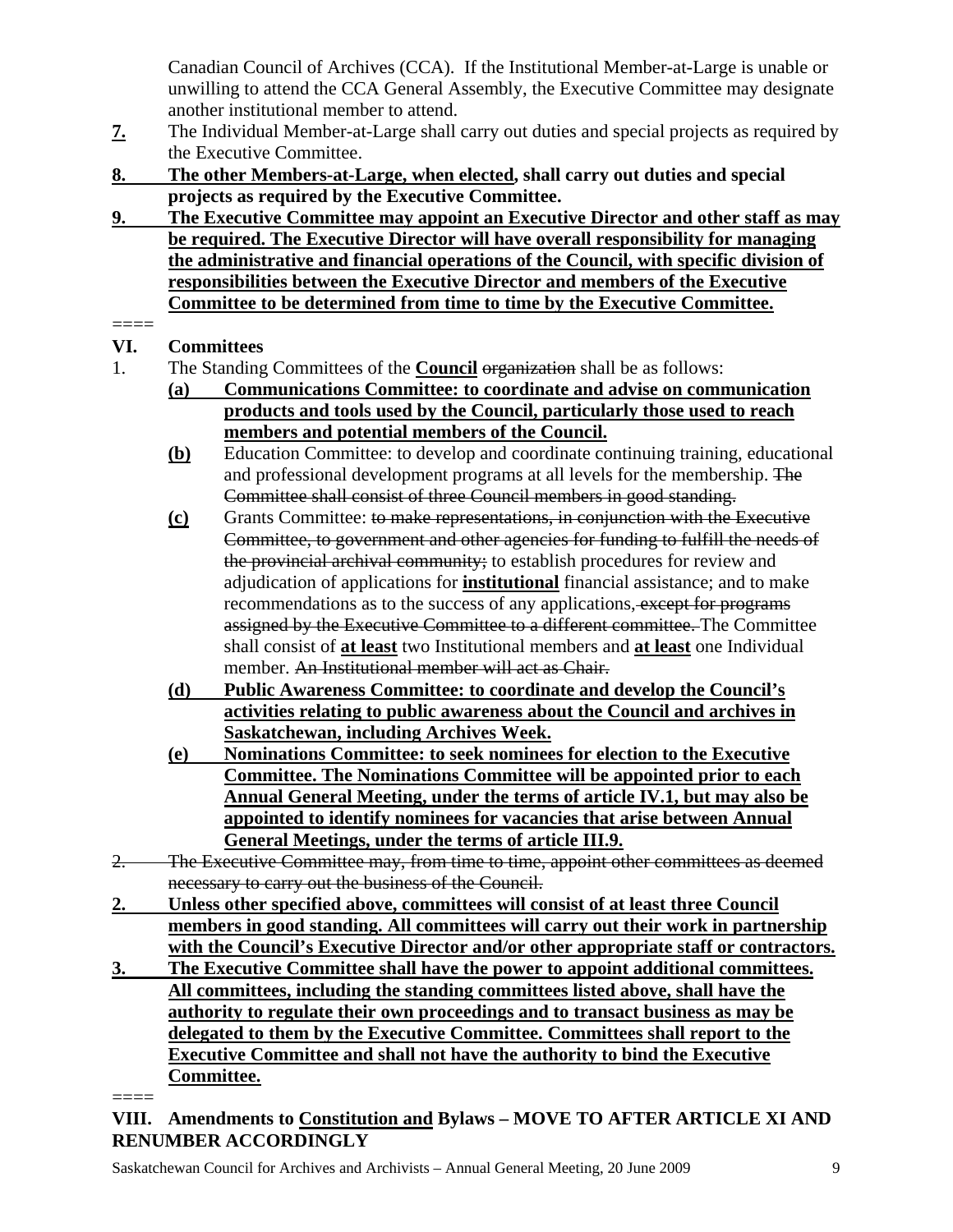Canadian Council of Archives (CCA). If the Institutional Member-at-Large is unable or unwilling to attend the CCA General Assembly, the Executive Committee may designate another institutional member to attend.

- **7.** The Individual Member-at-Large shall carry out duties and special projects as required by the Executive Committee.
- **8. The other Members-at-Large, when elected, shall carry out duties and special projects as required by the Executive Committee.**
- **9. The Executive Committee may appoint an Executive Director and other staff as may be required. The Executive Director will have overall responsibility for managing the administrative and financial operations of the Council, with specific division of responsibilities between the Executive Director and members of the Executive Committee to be determined from time to time by the Executive Committee.**

## ====

## **VI. Committees**

- 1. The Standing Committees of the **Council** organization shall be as follows:
	- **(a) Communications Committee: to coordinate and advise on communication products and tools used by the Council, particularly those used to reach members and potential members of the Council.**
	- **(b)** Education Committee: to develop and coordinate continuing training, educational and professional development programs at all levels for the membership. The Committee shall consist of three Council members in good standing.
	- **(c)** Grants Committee: to make representations, in conjunction with the Executive Committee, to government and other agencies for funding to fulfill the needs of the provincial archival community; to establish procedures for review and adjudication of applications for **institutional** financial assistance; and to make recommendations as to the success of any applications, except for programs assigned by the Executive Committee to a different committee. The Committee shall consist of **at least** two Institutional members and **at least** one Individual member. An Institutional member will act as Chair.
	- **(d) Public Awareness Committee: to coordinate and develop the Council's activities relating to public awareness about the Council and archives in Saskatchewan, including Archives Week.**
	- **(e) Nominations Committee: to seek nominees for election to the Executive Committee. The Nominations Committee will be appointed prior to each Annual General Meeting, under the terms of article IV.1, but may also be appointed to identify nominees for vacancies that arise between Annual General Meetings, under the terms of article III.9.**
- 2. The Executive Committee may, from time to time, appoint other committees as deemed necessary to carry out the business of the Council.
- **2. Unless other specified above, committees will consist of at least three Council members in good standing. All committees will carry out their work in partnership with the Council's Executive Director and/or other appropriate staff or contractors.**
- **3. The Executive Committee shall have the power to appoint additional committees. All committees, including the standing committees listed above, shall have the authority to regulate their own proceedings and to transact business as may be delegated to them by the Executive Committee. Committees shall report to the Executive Committee and shall not have the authority to bind the Executive Committee.**

====

#### **VIII. Amendments to Constitution and Bylaws – MOVE TO AFTER ARTICLE XI AND RENUMBER ACCORDINGLY**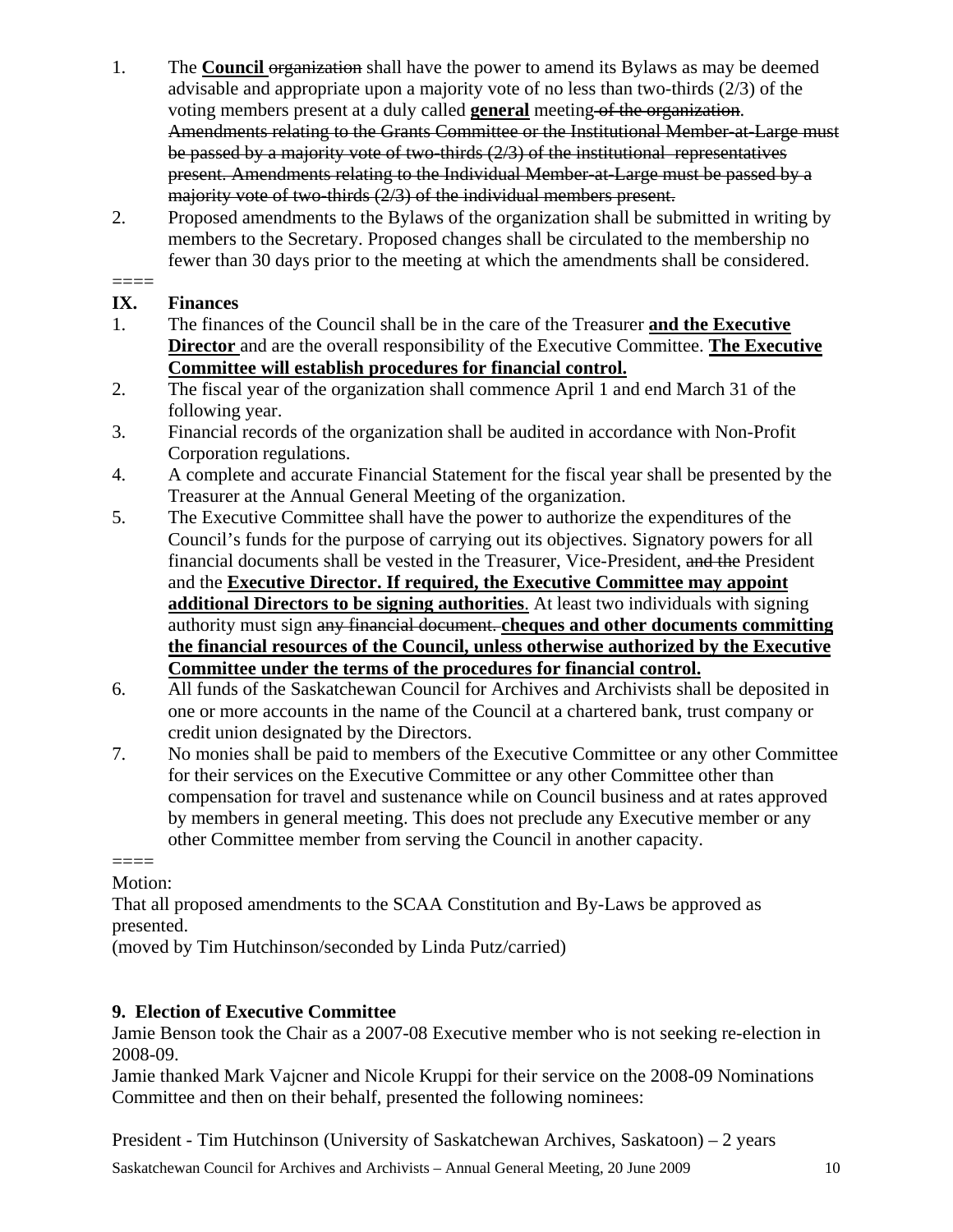- 1. The **Council** organization shall have the power to amend its Bylaws as may be deemed advisable and appropriate upon a majority vote of no less than two-thirds (2/3) of the voting members present at a duly called **general** meeting of the organization. Amendments relating to the Grants Committee or the Institutional Member-at-Large must be passed by a majority vote of two-thirds (2/3) of the institutional representatives present. Amendments relating to the Individual Member-at-Large must be passed by a majority vote of two-thirds (2/3) of the individual members present.
- 2. Proposed amendments to the Bylaws of the organization shall be submitted in writing by members to the Secretary. Proposed changes shall be circulated to the membership no fewer than 30 days prior to the meeting at which the amendments shall be considered.

#### $====$ **IX. Finances**

- 1. The finances of the Council shall be in the care of the Treasurer **and the Executive Director** and are the overall responsibility of the Executive Committee. **The Executive Committee will establish procedures for financial control.**
- 2. The fiscal year of the organization shall commence April 1 and end March 31 of the following year.
- 3. Financial records of the organization shall be audited in accordance with Non-Profit Corporation regulations.
- 4. A complete and accurate Financial Statement for the fiscal year shall be presented by the Treasurer at the Annual General Meeting of the organization.
- 5. The Executive Committee shall have the power to authorize the expenditures of the Council's funds for the purpose of carrying out its objectives. Signatory powers for all financial documents shall be vested in the Treasurer, Vice-President, and the President and the **Executive Director. If required, the Executive Committee may appoint additional Directors to be signing authorities**. At least two individuals with signing authority must sign any financial document. **cheques and other documents committing the financial resources of the Council, unless otherwise authorized by the Executive Committee under the terms of the procedures for financial control.**
- 6. All funds of the Saskatchewan Council for Archives and Archivists shall be deposited in one or more accounts in the name of the Council at a chartered bank, trust company or credit union designated by the Directors.
- 7. No monies shall be paid to members of the Executive Committee or any other Committee for their services on the Executive Committee or any other Committee other than compensation for travel and sustenance while on Council business and at rates approved by members in general meeting. This does not preclude any Executive member or any other Committee member from serving the Council in another capacity.

#### $=$

Motion:

That all proposed amendments to the SCAA Constitution and By-Laws be approved as presented.

(moved by Tim Hutchinson/seconded by Linda Putz/carried)

## **9. Election of Executive Committee**

Jamie Benson took the Chair as a 2007-08 Executive member who is not seeking re-election in 2008-09.

Jamie thanked Mark Vajcner and Nicole Kruppi for their service on the 2008-09 Nominations Committee and then on their behalf, presented the following nominees:

President - Tim Hutchinson (University of Saskatchewan Archives, Saskatoon) – 2 years

Saskatchewan Council for Archives and Archivists – Annual General Meeting, 20 June 2009 10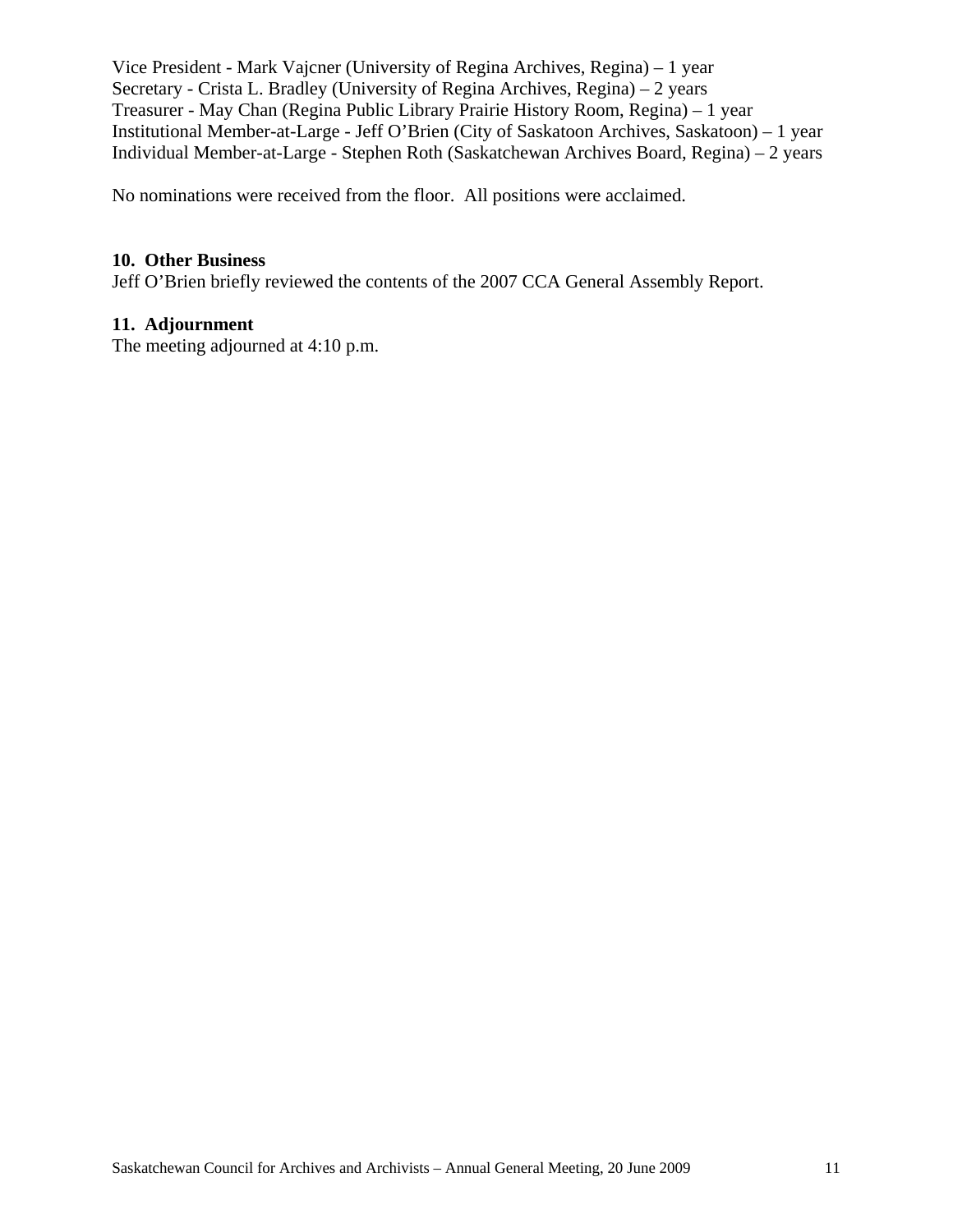Vice President - Mark Vajcner (University of Regina Archives, Regina) – 1 year Secretary - Crista L. Bradley (University of Regina Archives, Regina) – 2 years Treasurer - May Chan (Regina Public Library Prairie History Room, Regina) – 1 year Institutional Member-at-Large - Jeff O'Brien (City of Saskatoon Archives, Saskatoon) – 1 year Individual Member-at-Large - Stephen Roth (Saskatchewan Archives Board, Regina) – 2 years

No nominations were received from the floor. All positions were acclaimed.

#### **10. Other Business**

Jeff O'Brien briefly reviewed the contents of the 2007 CCA General Assembly Report.

#### **11. Adjournment**

The meeting adjourned at 4:10 p.m.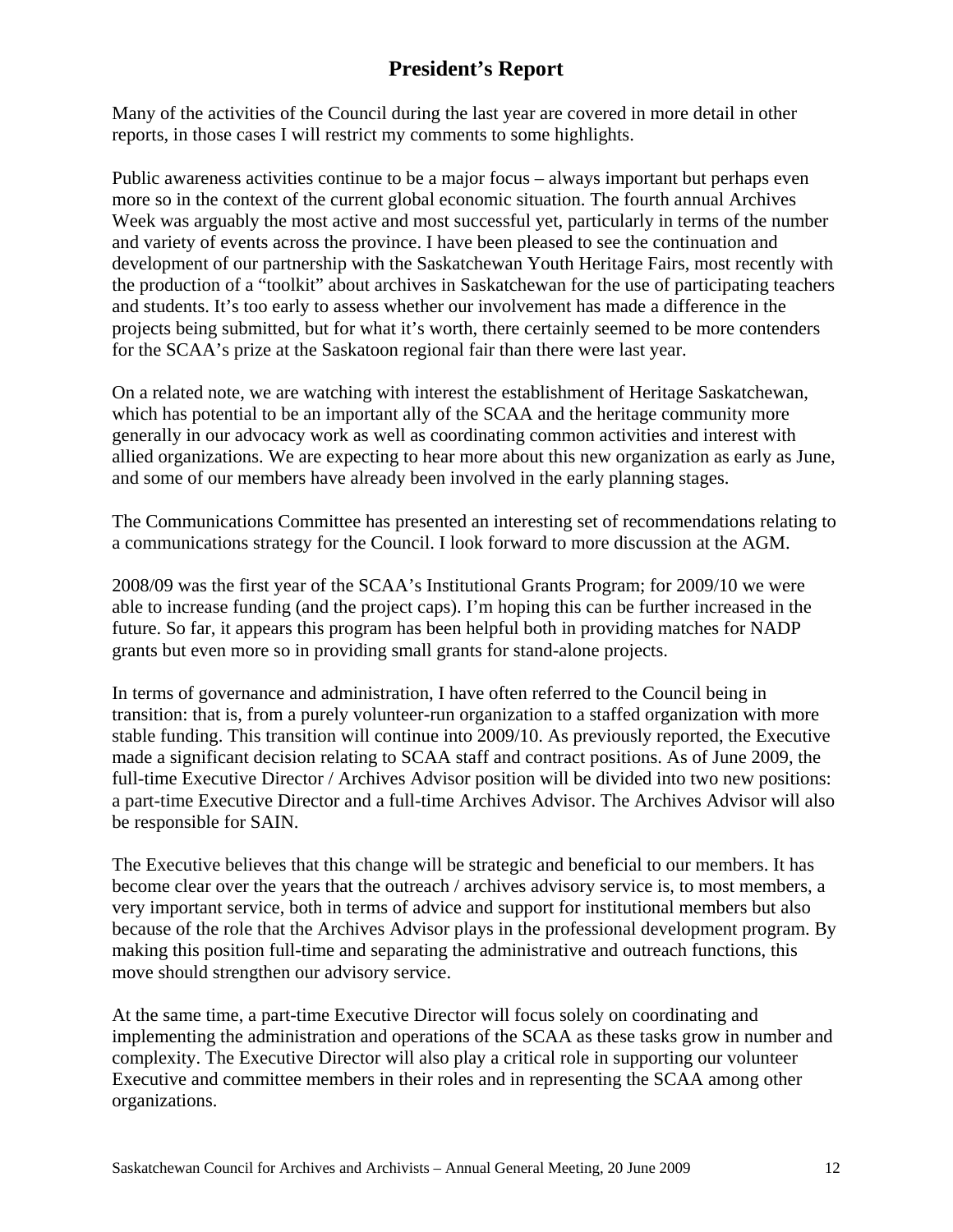## **President's Report**

Many of the activities of the Council during the last year are covered in more detail in other reports, in those cases I will restrict my comments to some highlights.

Public awareness activities continue to be a major focus – always important but perhaps even more so in the context of the current global economic situation. The fourth annual Archives Week was arguably the most active and most successful yet, particularly in terms of the number and variety of events across the province. I have been pleased to see the continuation and development of our partnership with the Saskatchewan Youth Heritage Fairs, most recently with the production of a "toolkit" about archives in Saskatchewan for the use of participating teachers and students. It's too early to assess whether our involvement has made a difference in the projects being submitted, but for what it's worth, there certainly seemed to be more contenders for the SCAA's prize at the Saskatoon regional fair than there were last year.

On a related note, we are watching with interest the establishment of Heritage Saskatchewan, which has potential to be an important ally of the SCAA and the heritage community more generally in our advocacy work as well as coordinating common activities and interest with allied organizations. We are expecting to hear more about this new organization as early as June, and some of our members have already been involved in the early planning stages.

The Communications Committee has presented an interesting set of recommendations relating to a communications strategy for the Council. I look forward to more discussion at the AGM.

2008/09 was the first year of the SCAA's Institutional Grants Program; for 2009/10 we were able to increase funding (and the project caps). I'm hoping this can be further increased in the future. So far, it appears this program has been helpful both in providing matches for NADP grants but even more so in providing small grants for stand-alone projects.

In terms of governance and administration, I have often referred to the Council being in transition: that is, from a purely volunteer-run organization to a staffed organization with more stable funding. This transition will continue into 2009/10. As previously reported, the Executive made a significant decision relating to SCAA staff and contract positions. As of June 2009, the full-time Executive Director / Archives Advisor position will be divided into two new positions: a part-time Executive Director and a full-time Archives Advisor. The Archives Advisor will also be responsible for SAIN.

The Executive believes that this change will be strategic and beneficial to our members. It has become clear over the years that the outreach / archives advisory service is, to most members, a very important service, both in terms of advice and support for institutional members but also because of the role that the Archives Advisor plays in the professional development program. By making this position full-time and separating the administrative and outreach functions, this move should strengthen our advisory service.

At the same time, a part-time Executive Director will focus solely on coordinating and implementing the administration and operations of the SCAA as these tasks grow in number and complexity. The Executive Director will also play a critical role in supporting our volunteer Executive and committee members in their roles and in representing the SCAA among other organizations.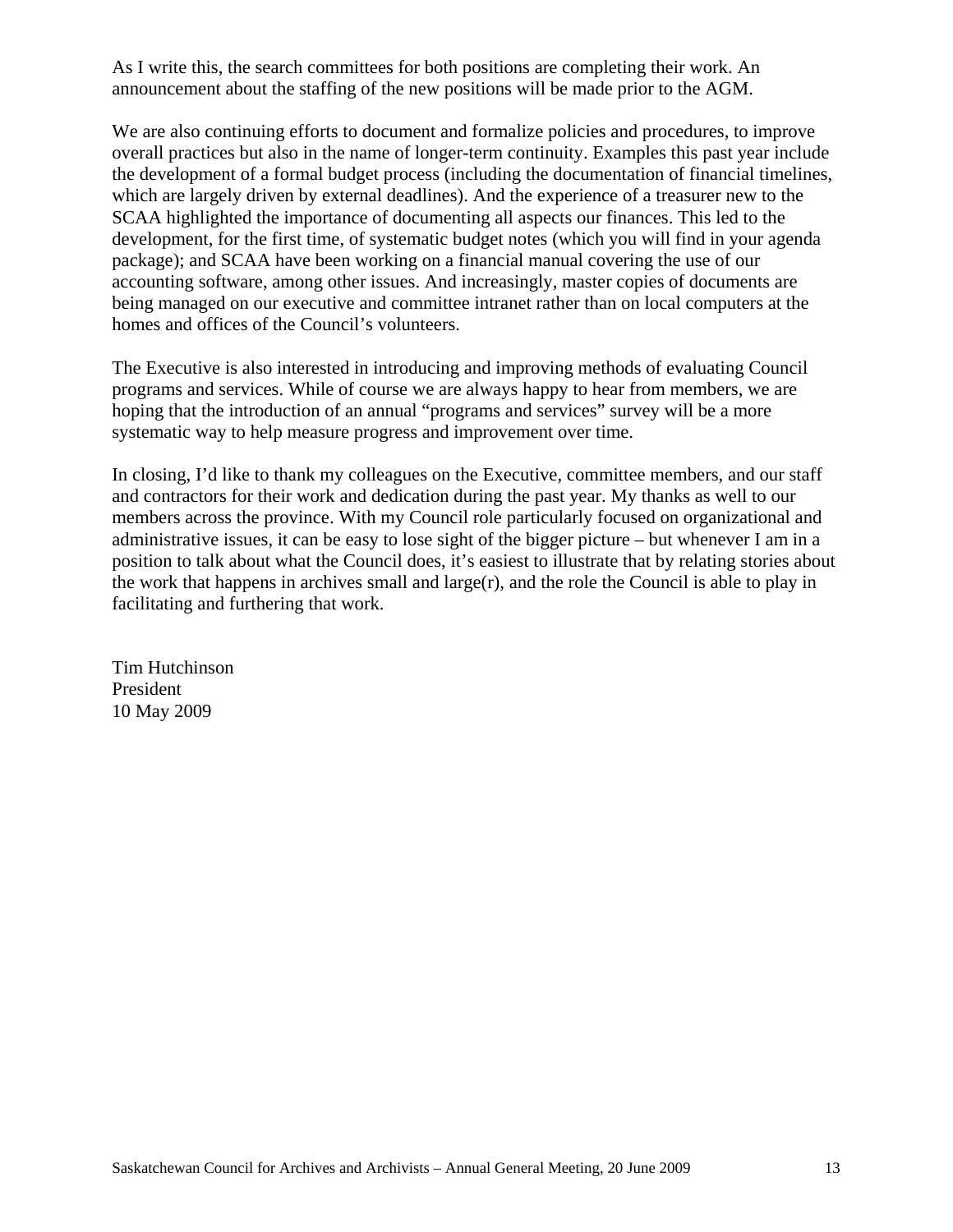As I write this, the search committees for both positions are completing their work. An announcement about the staffing of the new positions will be made prior to the AGM.

We are also continuing efforts to document and formalize policies and procedures, to improve overall practices but also in the name of longer-term continuity. Examples this past year include the development of a formal budget process (including the documentation of financial timelines, which are largely driven by external deadlines). And the experience of a treasurer new to the SCAA highlighted the importance of documenting all aspects our finances. This led to the development, for the first time, of systematic budget notes (which you will find in your agenda package); and SCAA have been working on a financial manual covering the use of our accounting software, among other issues. And increasingly, master copies of documents are being managed on our executive and committee intranet rather than on local computers at the homes and offices of the Council's volunteers.

The Executive is also interested in introducing and improving methods of evaluating Council programs and services. While of course we are always happy to hear from members, we are hoping that the introduction of an annual "programs and services" survey will be a more systematic way to help measure progress and improvement over time.

In closing, I'd like to thank my colleagues on the Executive, committee members, and our staff and contractors for their work and dedication during the past year. My thanks as well to our members across the province. With my Council role particularly focused on organizational and administrative issues, it can be easy to lose sight of the bigger picture – but whenever I am in a position to talk about what the Council does, it's easiest to illustrate that by relating stories about the work that happens in archives small and  $large(r)$ , and the role the Council is able to play in facilitating and furthering that work.

Tim Hutchinson President 10 May 2009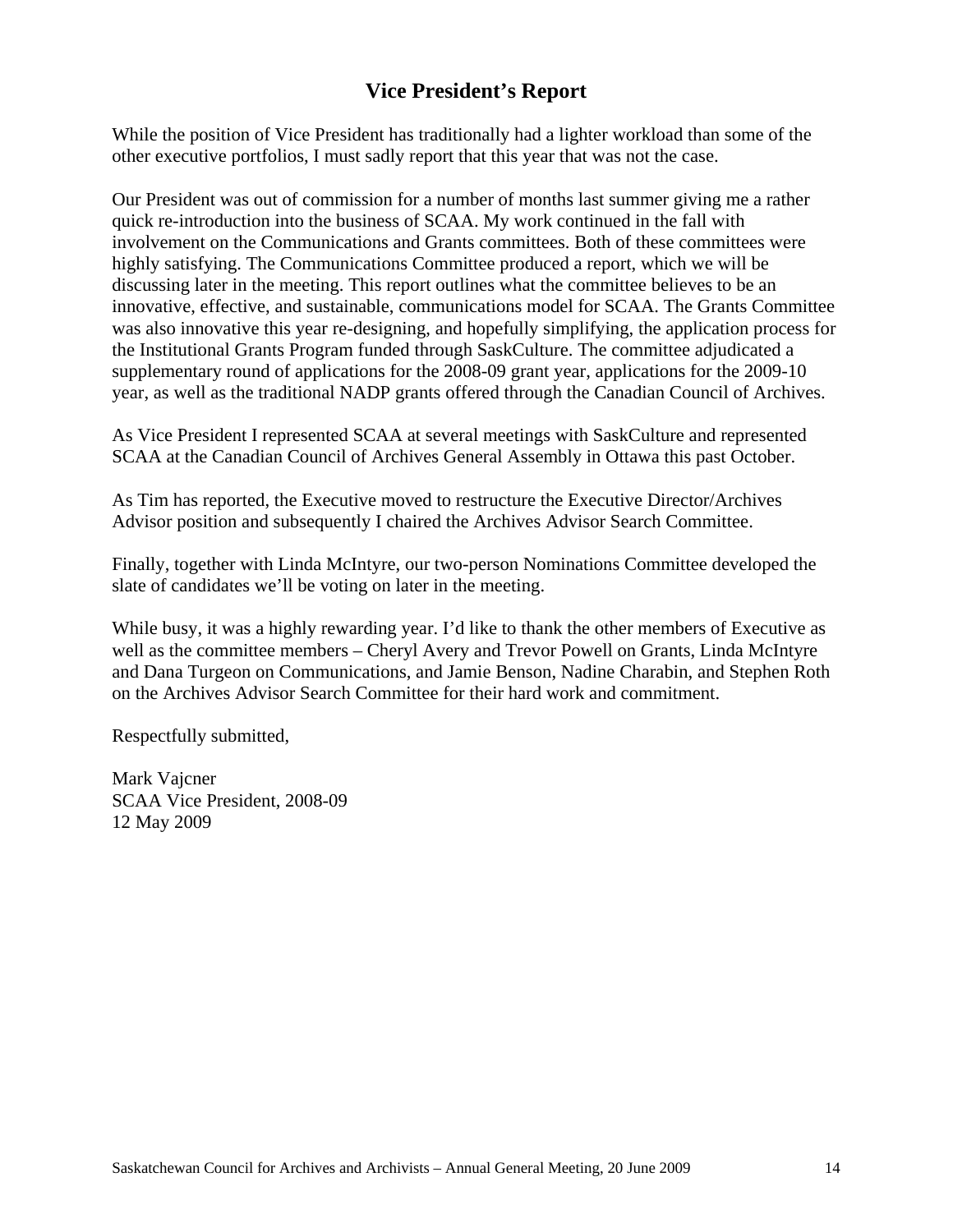## **Vice President's Report**

While the position of Vice President has traditionally had a lighter workload than some of the other executive portfolios, I must sadly report that this year that was not the case.

Our President was out of commission for a number of months last summer giving me a rather quick re-introduction into the business of SCAA. My work continued in the fall with involvement on the Communications and Grants committees. Both of these committees were highly satisfying. The Communications Committee produced a report, which we will be discussing later in the meeting. This report outlines what the committee believes to be an innovative, effective, and sustainable, communications model for SCAA. The Grants Committee was also innovative this year re-designing, and hopefully simplifying, the application process for the Institutional Grants Program funded through SaskCulture. The committee adjudicated a supplementary round of applications for the 2008-09 grant year, applications for the 2009-10 year, as well as the traditional NADP grants offered through the Canadian Council of Archives.

As Vice President I represented SCAA at several meetings with SaskCulture and represented SCAA at the Canadian Council of Archives General Assembly in Ottawa this past October.

As Tim has reported, the Executive moved to restructure the Executive Director/Archives Advisor position and subsequently I chaired the Archives Advisor Search Committee.

Finally, together with Linda McIntyre, our two-person Nominations Committee developed the slate of candidates we'll be voting on later in the meeting.

While busy, it was a highly rewarding year. I'd like to thank the other members of Executive as well as the committee members – Cheryl Avery and Trevor Powell on Grants, Linda McIntyre and Dana Turgeon on Communications, and Jamie Benson, Nadine Charabin, and Stephen Roth on the Archives Advisor Search Committee for their hard work and commitment.

Respectfully submitted,

Mark Vajcner SCAA Vice President, 2008-09 12 May 2009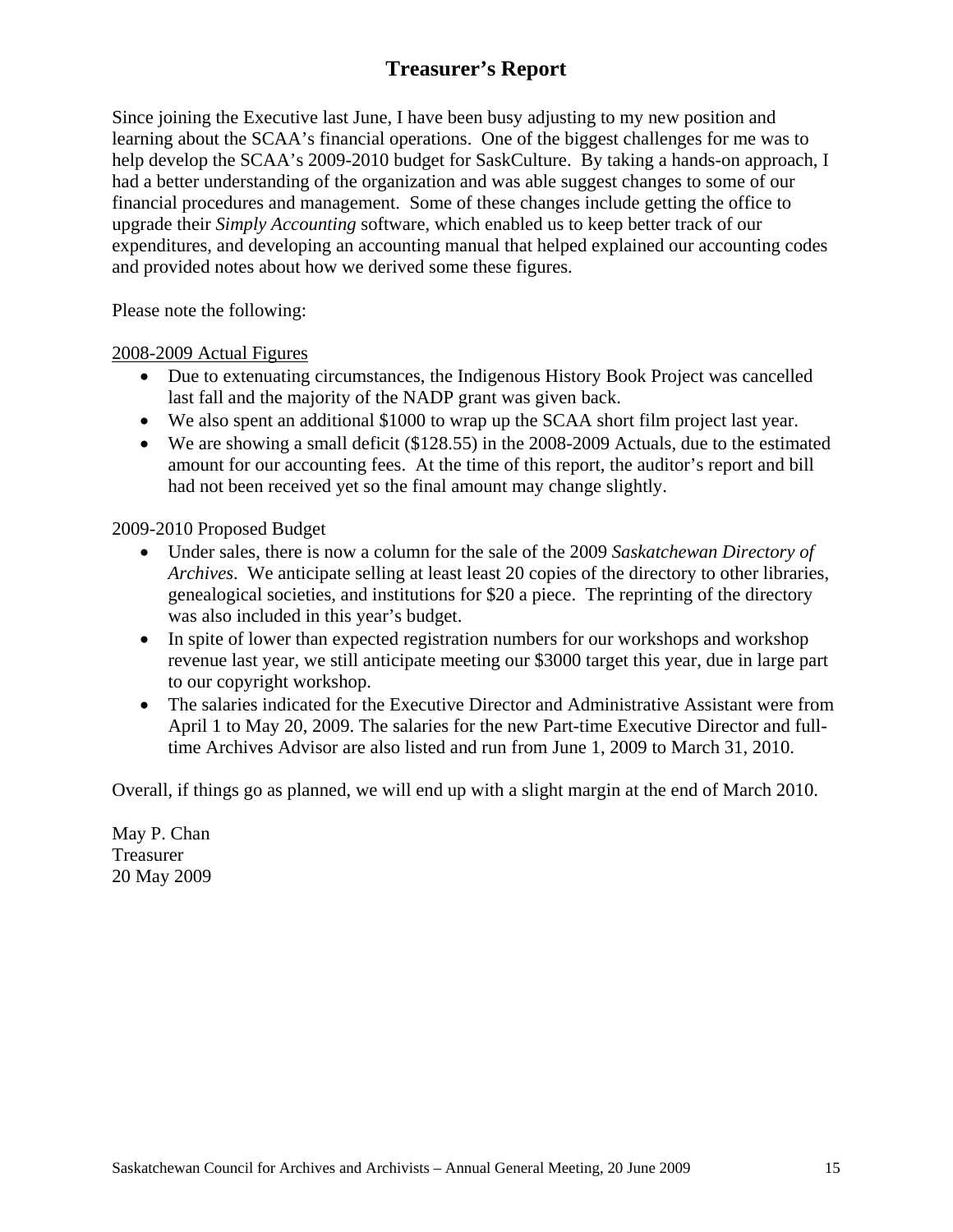## **Treasurer's Report**

Since joining the Executive last June, I have been busy adjusting to my new position and learning about the SCAA's financial operations. One of the biggest challenges for me was to help develop the SCAA's 2009-2010 budget for SaskCulture. By taking a hands-on approach, I had a better understanding of the organization and was able suggest changes to some of our financial procedures and management. Some of these changes include getting the office to upgrade their *Simply Accounting* software, which enabled us to keep better track of our expenditures, and developing an accounting manual that helped explained our accounting codes and provided notes about how we derived some these figures.

Please note the following:

#### 2008-2009 Actual Figures

- Due to extenuating circumstances, the Indigenous History Book Project was cancelled last fall and the majority of the NADP grant was given back.
- We also spent an additional \$1000 to wrap up the SCAA short film project last year.
- We are showing a small deficit (\$128.55) in the 2008-2009 Actuals, due to the estimated amount for our accounting fees. At the time of this report, the auditor's report and bill had not been received yet so the final amount may change slightly.

#### 2009-2010 Proposed Budget

- Under sales, there is now a column for the sale of the 2009 *Saskatchewan Directory of Archives*. We anticipate selling at least least 20 copies of the directory to other libraries, genealogical societies, and institutions for \$20 a piece. The reprinting of the directory was also included in this year's budget.
- In spite of lower than expected registration numbers for our workshops and workshop revenue last year, we still anticipate meeting our \$3000 target this year, due in large part to our copyright workshop.
- The salaries indicated for the Executive Director and Administrative Assistant were from April 1 to May 20, 2009. The salaries for the new Part-time Executive Director and fulltime Archives Advisor are also listed and run from June 1, 2009 to March 31, 2010.

Overall, if things go as planned, we will end up with a slight margin at the end of March 2010.

May P. Chan Treasurer 20 May 2009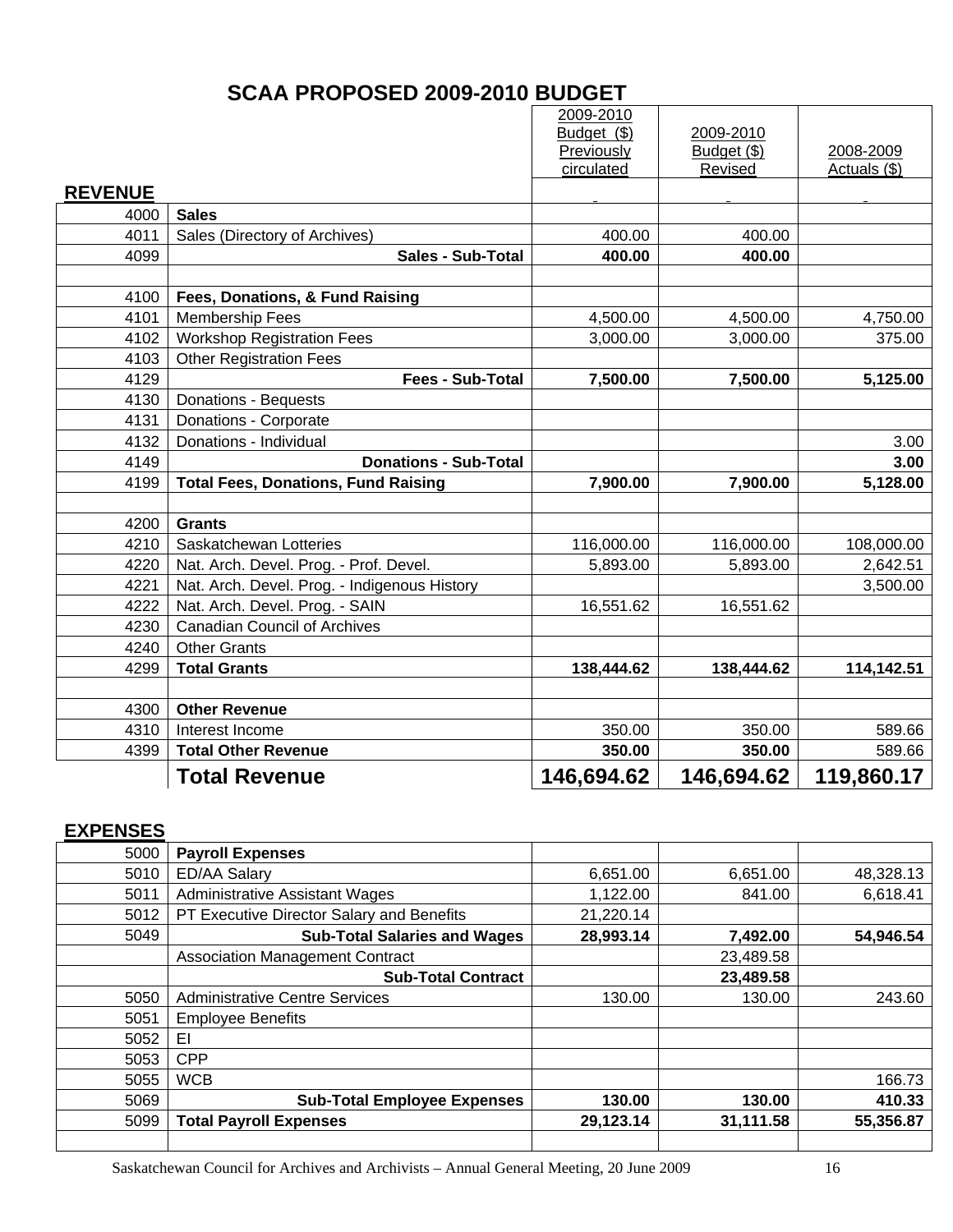## **SCAA PROPOSED 2009-2010 BUDGET**

|                |                                              | 2009-2010<br>Budget (\$) | 2009-2010                |                           |
|----------------|----------------------------------------------|--------------------------|--------------------------|---------------------------|
|                |                                              | Previously<br>circulated | Budget $(\$)$<br>Revised | 2008-2009<br>Actuals (\$) |
| <b>REVENUE</b> |                                              |                          |                          |                           |
| 4000           | <b>Sales</b>                                 |                          |                          |                           |
| 4011           | Sales (Directory of Archives)                | 400.00                   | 400.00                   |                           |
| 4099           | <b>Sales - Sub-Total</b>                     | 400.00                   | 400.00                   |                           |
|                |                                              |                          |                          |                           |
| 4100           | Fees, Donations, & Fund Raising              |                          |                          |                           |
| 4101           | <b>Membership Fees</b>                       | 4,500.00                 | 4,500.00                 | 4,750.00                  |
| 4102           | <b>Workshop Registration Fees</b>            | 3,000.00                 | 3,000.00                 | 375.00                    |
| 4103           | <b>Other Registration Fees</b>               |                          |                          |                           |
| 4129           | <b>Fees - Sub-Total</b>                      | 7,500.00                 | 7,500.00                 | 5,125.00                  |
| 4130           | Donations - Bequests                         |                          |                          |                           |
| 4131           | Donations - Corporate                        |                          |                          |                           |
| 4132           | Donations - Individual                       |                          |                          | 3.00                      |
| 4149           | <b>Donations - Sub-Total</b>                 |                          |                          | 3.00                      |
| 4199           | <b>Total Fees, Donations, Fund Raising</b>   | 7,900.00                 | 7,900.00                 | 5,128.00                  |
|                |                                              |                          |                          |                           |
| 4200           | <b>Grants</b>                                |                          |                          |                           |
| 4210           | Saskatchewan Lotteries                       | 116,000.00               | 116,000.00               | 108,000.00                |
| 4220           | Nat. Arch. Devel. Prog. - Prof. Devel.       | 5,893.00                 | 5,893.00                 | 2,642.51                  |
| 4221           | Nat. Arch. Devel. Prog. - Indigenous History |                          |                          | 3,500.00                  |
| 4222           | Nat. Arch. Devel. Prog. - SAIN               | 16,551.62                | 16,551.62                |                           |
| 4230           | <b>Canadian Council of Archives</b>          |                          |                          |                           |
| 4240           | <b>Other Grants</b>                          |                          |                          |                           |
| 4299           | <b>Total Grants</b>                          | 138,444.62               | 138,444.62               | 114,142.51                |
| 4300           | <b>Other Revenue</b>                         |                          |                          |                           |
| 4310           | Interest Income                              | 350.00                   | 350.00                   | 589.66                    |
| 4399           | <b>Total Other Revenue</b>                   | 350.00                   | 350.00                   | 589.66                    |
|                | <b>Total Revenue</b>                         | 146,694.62               | 146,694.62               | 119,860.17                |
|                |                                              |                          |                          |                           |

## **EXPENSES**

| 5000 | <b>Payroll Expenses</b>                   |           |           |           |
|------|-------------------------------------------|-----------|-----------|-----------|
| 5010 | <b>ED/AA Salary</b>                       | 6,651.00  | 6,651.00  | 48,328.13 |
| 5011 | <b>Administrative Assistant Wages</b>     | 1,122.00  | 841.00    | 6,618.41  |
| 5012 | PT Executive Director Salary and Benefits | 21,220.14 |           |           |
| 5049 | <b>Sub-Total Salaries and Wages</b>       | 28,993.14 | 7,492.00  | 54,946.54 |
|      | <b>Association Management Contract</b>    |           | 23,489.58 |           |
|      | <b>Sub-Total Contract</b>                 |           | 23,489.58 |           |
| 5050 | <b>Administrative Centre Services</b>     | 130.00    | 130.00    | 243.60    |
| 5051 | <b>Employee Benefits</b>                  |           |           |           |
| 5052 | EI                                        |           |           |           |
| 5053 | <b>CPP</b>                                |           |           |           |
| 5055 | <b>WCB</b>                                |           |           | 166.73    |
| 5069 | <b>Sub-Total Employee Expenses</b>        | 130.00    | 130.00    | 410.33    |
| 5099 | <b>Total Payroll Expenses</b>             | 29,123.14 | 31,111.58 | 55,356.87 |
|      |                                           |           |           |           |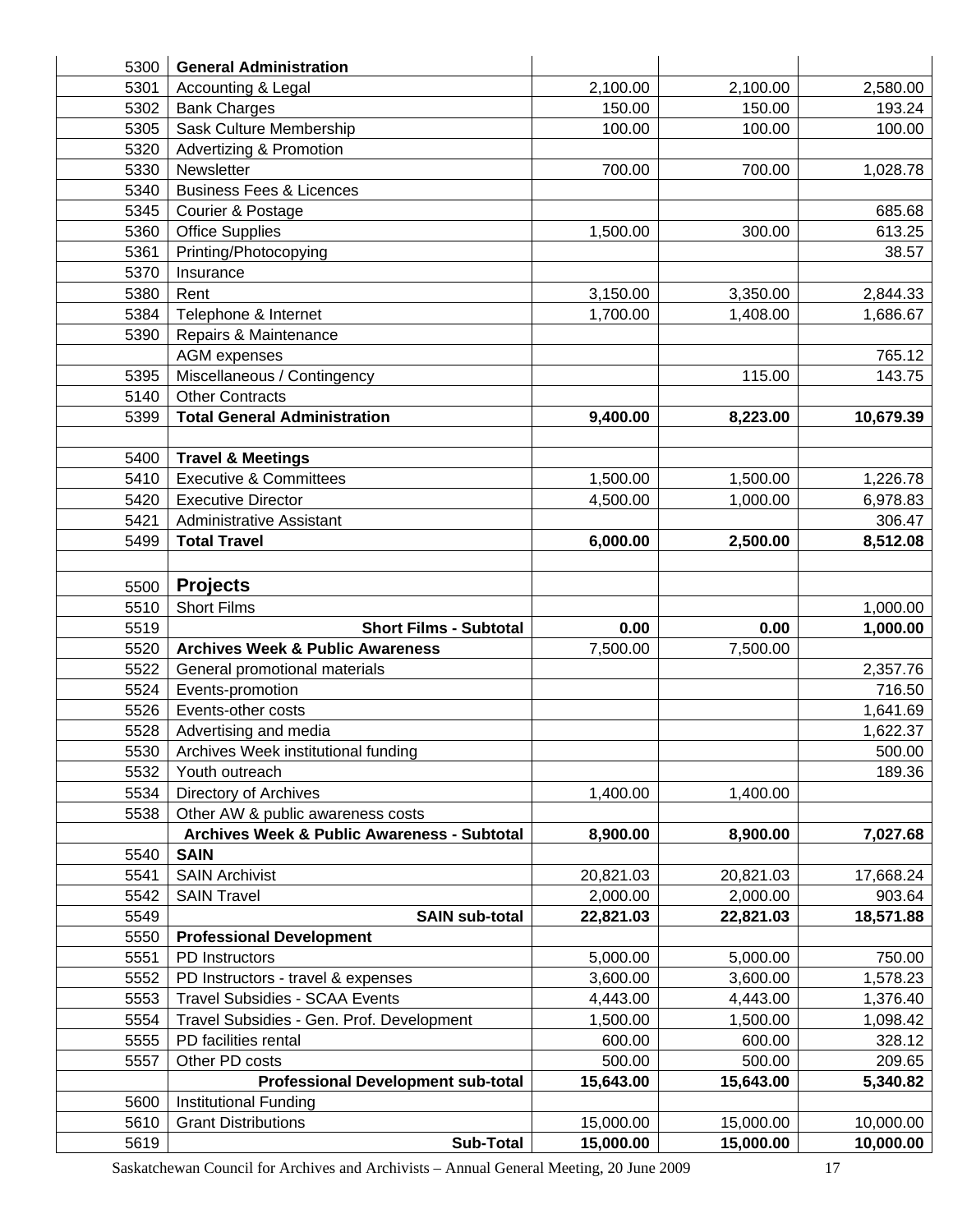| 5300 | <b>General Administration</b>                          |           |           |           |
|------|--------------------------------------------------------|-----------|-----------|-----------|
| 5301 | Accounting & Legal                                     | 2,100.00  | 2,100.00  | 2,580.00  |
| 5302 | <b>Bank Charges</b>                                    | 150.00    | 150.00    | 193.24    |
| 5305 | Sask Culture Membership                                | 100.00    | 100.00    | 100.00    |
| 5320 | <b>Advertizing &amp; Promotion</b>                     |           |           |           |
| 5330 | Newsletter                                             | 700.00    | 700.00    | 1,028.78  |
| 5340 | <b>Business Fees &amp; Licences</b>                    |           |           |           |
| 5345 | Courier & Postage                                      |           |           | 685.68    |
| 5360 | <b>Office Supplies</b>                                 | 1,500.00  | 300.00    | 613.25    |
| 5361 | Printing/Photocopying                                  |           |           | 38.57     |
| 5370 | Insurance                                              |           |           |           |
| 5380 | Rent                                                   | 3,150.00  | 3,350.00  | 2,844.33  |
| 5384 | Telephone & Internet                                   | 1,700.00  | 1,408.00  | 1,686.67  |
| 5390 | Repairs & Maintenance                                  |           |           |           |
|      | <b>AGM</b> expenses                                    |           |           | 765.12    |
| 5395 | Miscellaneous / Contingency                            |           | 115.00    | 143.75    |
| 5140 | <b>Other Contracts</b>                                 |           |           |           |
| 5399 | <b>Total General Administration</b>                    | 9,400.00  | 8,223.00  | 10,679.39 |
|      |                                                        |           |           |           |
| 5400 | <b>Travel &amp; Meetings</b>                           |           |           |           |
| 5410 | <b>Executive &amp; Committees</b>                      | 1,500.00  | 1,500.00  | 1,226.78  |
| 5420 | <b>Executive Director</b>                              | 4,500.00  | 1,000.00  | 6,978.83  |
| 5421 | <b>Administrative Assistant</b>                        |           |           | 306.47    |
| 5499 | <b>Total Travel</b>                                    | 6,000.00  | 2,500.00  | 8,512.08  |
|      |                                                        |           |           |           |
|      |                                                        |           |           |           |
| 5500 | <b>Projects</b>                                        |           |           |           |
| 5510 | <b>Short Films</b>                                     |           |           | 1,000.00  |
| 5519 | <b>Short Films - Subtotal</b>                          | 0.00      | 0.00      | 1,000.00  |
| 5520 | <b>Archives Week &amp; Public Awareness</b>            | 7,500.00  | 7,500.00  |           |
| 5522 | General promotional materials                          |           |           | 2,357.76  |
| 5524 | Events-promotion                                       |           |           | 716.50    |
| 5526 | Events-other costs                                     |           |           | 1,641.69  |
| 5528 | Advertising and media                                  |           |           | 1,622.37  |
| 5530 | Archives Week institutional funding                    |           |           | 500.00    |
| 5532 | Youth outreach                                         |           |           | 189.36    |
| 5534 | <b>Directory of Archives</b>                           | 1,400.00  | 1,400.00  |           |
| 5538 | Other AW & public awareness costs                      |           |           |           |
|      | <b>Archives Week &amp; Public Awareness - Subtotal</b> | 8,900.00  | 8,900.00  | 7,027.68  |
| 5540 | <b>SAIN</b>                                            |           |           |           |
| 5541 | <b>SAIN Archivist</b>                                  | 20,821.03 | 20,821.03 | 17,668.24 |
| 5542 | <b>SAIN Travel</b>                                     | 2,000.00  | 2,000.00  | 903.64    |
| 5549 | <b>SAIN sub-total</b>                                  | 22,821.03 | 22,821.03 | 18,571.88 |
| 5550 | <b>Professional Development</b>                        |           |           |           |
| 5551 | PD Instructors                                         | 5,000.00  | 5,000.00  | 750.00    |
| 5552 | PD Instructors - travel & expenses                     | 3,600.00  | 3,600.00  | 1,578.23  |
| 5553 | <b>Travel Subsidies - SCAA Events</b>                  | 4,443.00  | 4,443.00  | 1,376.40  |
| 5554 | Travel Subsidies - Gen. Prof. Development              | 1,500.00  | 1,500.00  | 1,098.42  |
| 5555 | PD facilities rental                                   | 600.00    | 600.00    | 328.12    |
| 5557 | Other PD costs                                         | 500.00    | 500.00    | 209.65    |
|      | <b>Professional Development sub-total</b>              | 15,643.00 | 15,643.00 | 5,340.82  |
| 5600 | Institutional Funding                                  |           |           |           |
| 5610 | <b>Grant Distributions</b>                             | 15,000.00 | 15,000.00 | 10,000.00 |
| 5619 | Sub-Total                                              | 15,000.00 | 15,000.00 | 10,000.00 |

Saskatchewan Council for Archives and Archivists – Annual General Meeting, 20 June 2009 17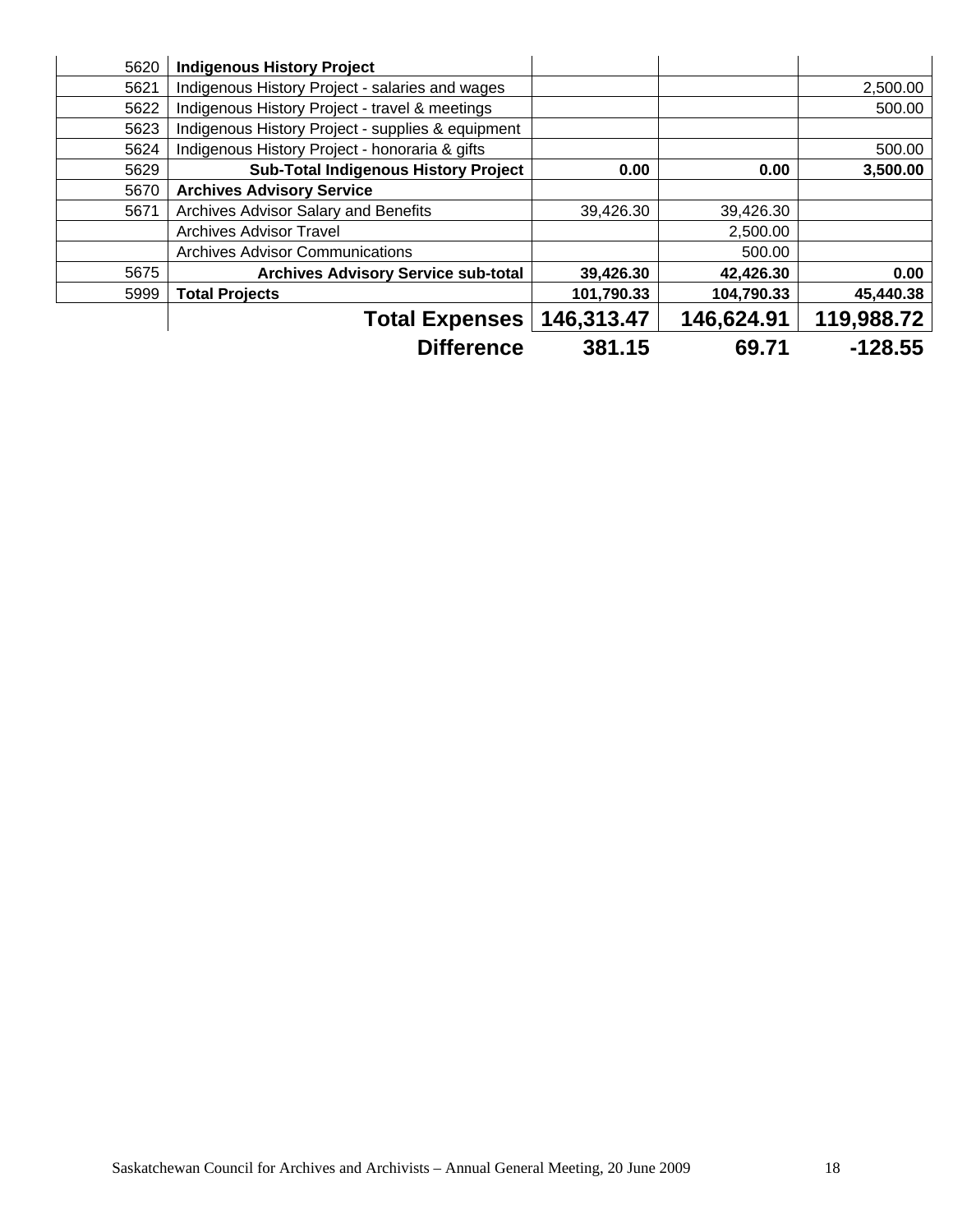| 5620 | <b>Indigenous History Project</b>                 |            |            |            |
|------|---------------------------------------------------|------------|------------|------------|
| 5621 | Indigenous History Project - salaries and wages   |            |            | 2,500.00   |
| 5622 | Indigenous History Project - travel & meetings    |            |            | 500.00     |
| 5623 | Indigenous History Project - supplies & equipment |            |            |            |
| 5624 | Indigenous History Project - honoraria & gifts    |            |            | 500.00     |
| 5629 | <b>Sub-Total Indigenous History Project</b>       | 0.00       | 0.00       | 3,500.00   |
| 5670 | <b>Archives Advisory Service</b>                  |            |            |            |
| 5671 | Archives Advisor Salary and Benefits              | 39,426.30  | 39,426.30  |            |
|      | <b>Archives Advisor Travel</b>                    |            | 2,500.00   |            |
|      | <b>Archives Advisor Communications</b>            |            | 500.00     |            |
| 5675 | <b>Archives Advisory Service sub-total</b>        | 39,426.30  | 42,426.30  | 0.00       |
| 5999 | <b>Total Projects</b>                             | 101,790.33 | 104,790.33 | 45,440.38  |
|      | <b>Total Expenses</b>                             | 146,313.47 | 146,624.91 | 119,988.72 |
|      | <b>Difference</b>                                 | 381.15     | 69.71      | $-128.55$  |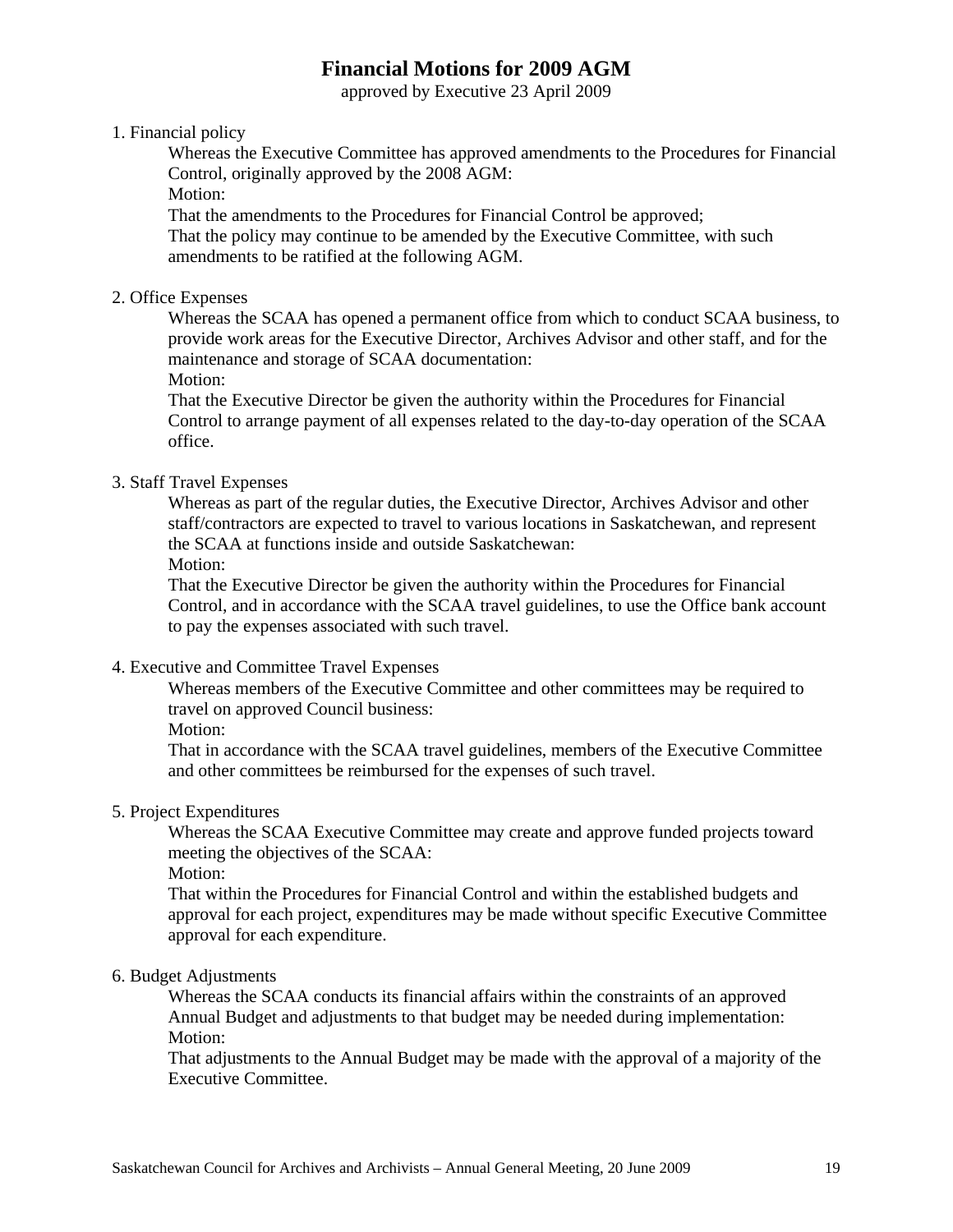## **Financial Motions for 2009 AGM**

approved by Executive 23 April 2009

#### 1. Financial policy

Whereas the Executive Committee has approved amendments to the Procedures for Financial Control, originally approved by the 2008 AGM:

Motion:

That the amendments to the Procedures for Financial Control be approved; That the policy may continue to be amended by the Executive Committee, with such amendments to be ratified at the following AGM.

#### 2. Office Expenses

Whereas the SCAA has opened a permanent office from which to conduct SCAA business, to provide work areas for the Executive Director, Archives Advisor and other staff, and for the maintenance and storage of SCAA documentation:

Motion:

That the Executive Director be given the authority within the Procedures for Financial Control to arrange payment of all expenses related to the day-to-day operation of the SCAA office.

#### 3. Staff Travel Expenses

Whereas as part of the regular duties, the Executive Director, Archives Advisor and other staff/contractors are expected to travel to various locations in Saskatchewan, and represent the SCAA at functions inside and outside Saskatchewan:

Motion:

That the Executive Director be given the authority within the Procedures for Financial Control, and in accordance with the SCAA travel guidelines, to use the Office bank account to pay the expenses associated with such travel.

#### 4. Executive and Committee Travel Expenses

Whereas members of the Executive Committee and other committees may be required to travel on approved Council business:

Motion:

That in accordance with the SCAA travel guidelines, members of the Executive Committee and other committees be reimbursed for the expenses of such travel.

#### 5. Project Expenditures

Whereas the SCAA Executive Committee may create and approve funded projects toward meeting the objectives of the SCAA:

Motion:

That within the Procedures for Financial Control and within the established budgets and approval for each project, expenditures may be made without specific Executive Committee approval for each expenditure.

#### 6. Budget Adjustments

Whereas the SCAA conducts its financial affairs within the constraints of an approved Annual Budget and adjustments to that budget may be needed during implementation: Motion:

That adjustments to the Annual Budget may be made with the approval of a majority of the Executive Committee.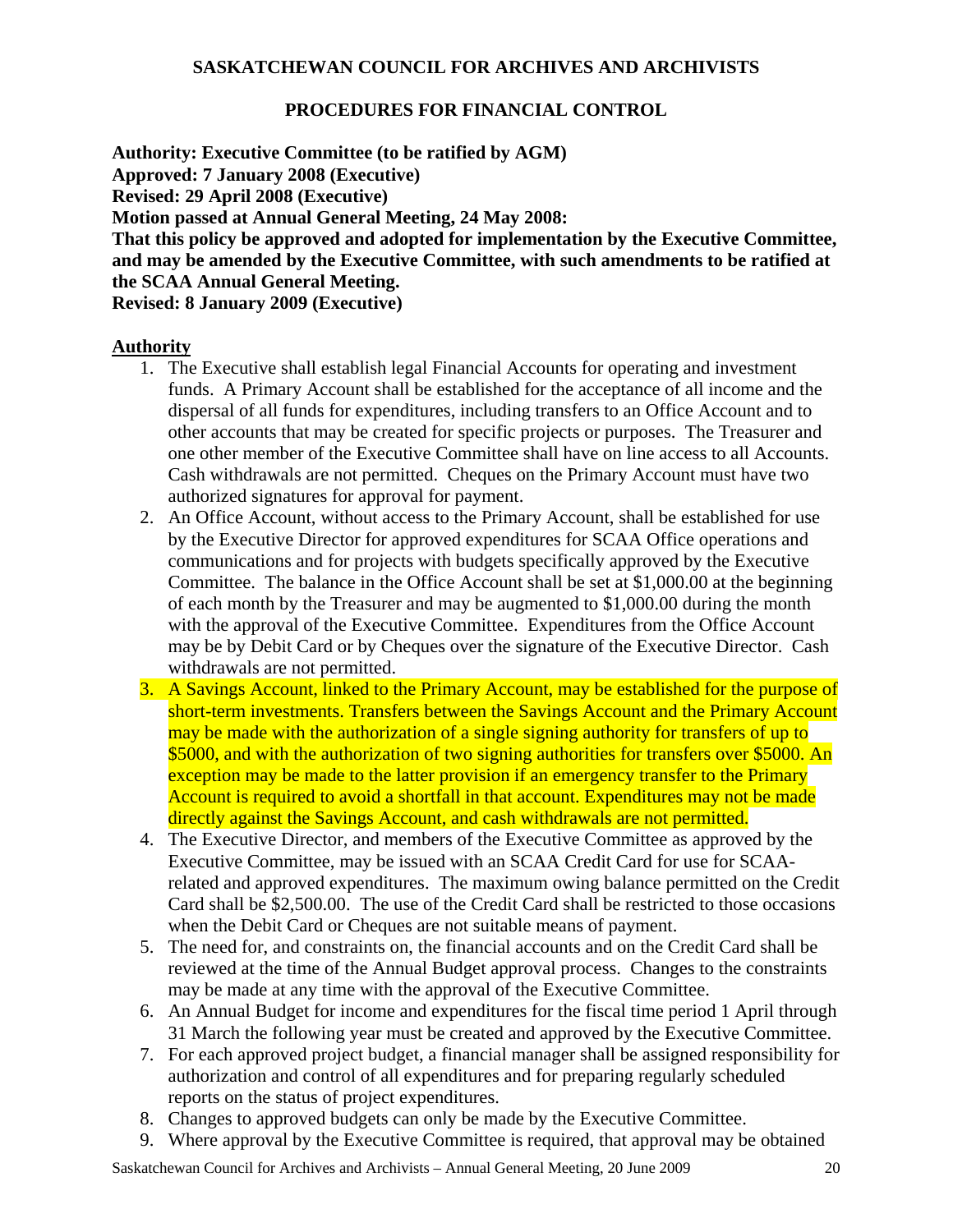#### **PROCEDURES FOR FINANCIAL CONTROL**

**Authority: Executive Committee (to be ratified by AGM) Approved: 7 January 2008 (Executive) Revised: 29 April 2008 (Executive) Motion passed at Annual General Meeting, 24 May 2008: That this policy be approved and adopted for implementation by the Executive Committee, and may be amended by the Executive Committee, with such amendments to be ratified at the SCAA Annual General Meeting. Revised: 8 January 2009 (Executive)** 

#### **Authority**

- 1. The Executive shall establish legal Financial Accounts for operating and investment funds. A Primary Account shall be established for the acceptance of all income and the dispersal of all funds for expenditures, including transfers to an Office Account and to other accounts that may be created for specific projects or purposes. The Treasurer and one other member of the Executive Committee shall have on line access to all Accounts. Cash withdrawals are not permitted. Cheques on the Primary Account must have two authorized signatures for approval for payment.
- 2. An Office Account, without access to the Primary Account, shall be established for use by the Executive Director for approved expenditures for SCAA Office operations and communications and for projects with budgets specifically approved by the Executive Committee. The balance in the Office Account shall be set at \$1,000.00 at the beginning of each month by the Treasurer and may be augmented to \$1,000.00 during the month with the approval of the Executive Committee. Expenditures from the Office Account may be by Debit Card or by Cheques over the signature of the Executive Director. Cash withdrawals are not permitted.
- 3. A Savings Account, linked to the Primary Account, may be established for the purpose of short-term investments. Transfers between the Savings Account and the Primary Account may be made with the authorization of a single signing authority for transfers of up to \$5000, and with the authorization of two signing authorities for transfers over \$5000. An exception may be made to the latter provision if an emergency transfer to the Primary Account is required to avoid a shortfall in that account. Expenditures may not be made directly against the Savings Account, and cash withdrawals are not permitted.
- 4. The Executive Director, and members of the Executive Committee as approved by the Executive Committee, may be issued with an SCAA Credit Card for use for SCAArelated and approved expenditures. The maximum owing balance permitted on the Credit Card shall be \$2,500.00. The use of the Credit Card shall be restricted to those occasions when the Debit Card or Cheques are not suitable means of payment.
- 5. The need for, and constraints on, the financial accounts and on the Credit Card shall be reviewed at the time of the Annual Budget approval process. Changes to the constraints may be made at any time with the approval of the Executive Committee.
- 6. An Annual Budget for income and expenditures for the fiscal time period 1 April through 31 March the following year must be created and approved by the Executive Committee.
- 7. For each approved project budget, a financial manager shall be assigned responsibility for authorization and control of all expenditures and for preparing regularly scheduled reports on the status of project expenditures.
- 8. Changes to approved budgets can only be made by the Executive Committee.
- 9. Where approval by the Executive Committee is required, that approval may be obtained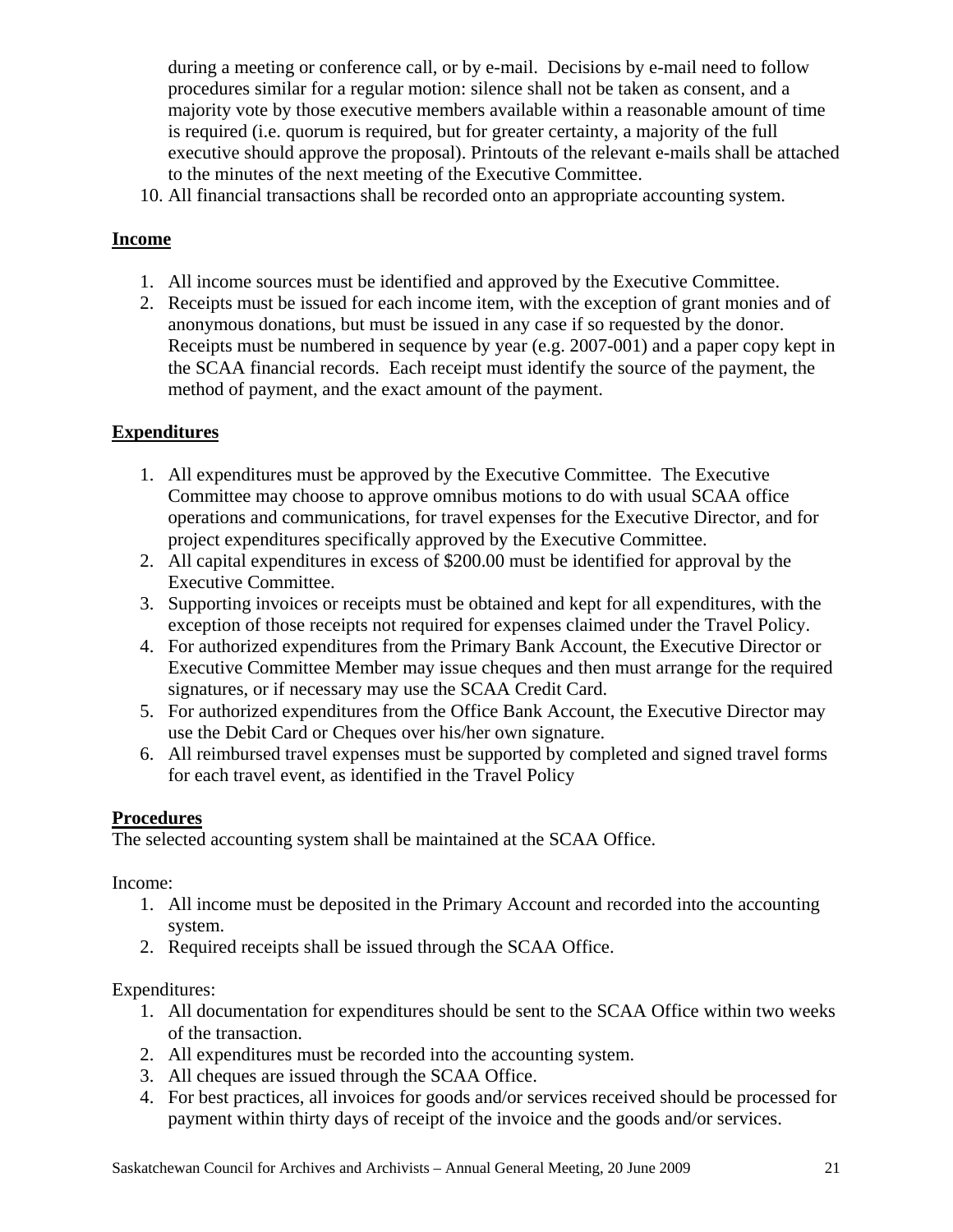during a meeting or conference call, or by e-mail. Decisions by e-mail need to follow procedures similar for a regular motion: silence shall not be taken as consent, and a majority vote by those executive members available within a reasonable amount of time is required (i.e. quorum is required, but for greater certainty, a majority of the full executive should approve the proposal). Printouts of the relevant e-mails shall be attached to the minutes of the next meeting of the Executive Committee.

10. All financial transactions shall be recorded onto an appropriate accounting system.

#### **Income**

- 1. All income sources must be identified and approved by the Executive Committee.
- 2. Receipts must be issued for each income item, with the exception of grant monies and of anonymous donations, but must be issued in any case if so requested by the donor. Receipts must be numbered in sequence by year (e.g. 2007-001) and a paper copy kept in the SCAA financial records. Each receipt must identify the source of the payment, the method of payment, and the exact amount of the payment.

#### **Expenditures**

- 1. All expenditures must be approved by the Executive Committee. The Executive Committee may choose to approve omnibus motions to do with usual SCAA office operations and communications, for travel expenses for the Executive Director, and for project expenditures specifically approved by the Executive Committee.
- 2. All capital expenditures in excess of \$200.00 must be identified for approval by the Executive Committee.
- 3. Supporting invoices or receipts must be obtained and kept for all expenditures, with the exception of those receipts not required for expenses claimed under the Travel Policy.
- 4. For authorized expenditures from the Primary Bank Account, the Executive Director or Executive Committee Member may issue cheques and then must arrange for the required signatures, or if necessary may use the SCAA Credit Card.
- 5. For authorized expenditures from the Office Bank Account, the Executive Director may use the Debit Card or Cheques over his/her own signature.
- 6. All reimbursed travel expenses must be supported by completed and signed travel forms for each travel event, as identified in the Travel Policy

#### **Procedures**

The selected accounting system shall be maintained at the SCAA Office.

Income:

- 1. All income must be deposited in the Primary Account and recorded into the accounting system.
- 2. Required receipts shall be issued through the SCAA Office.

Expenditures:

- 1. All documentation for expenditures should be sent to the SCAA Office within two weeks of the transaction.
- 2. All expenditures must be recorded into the accounting system.
- 3. All cheques are issued through the SCAA Office.
- 4. For best practices, all invoices for goods and/or services received should be processed for payment within thirty days of receipt of the invoice and the goods and/or services.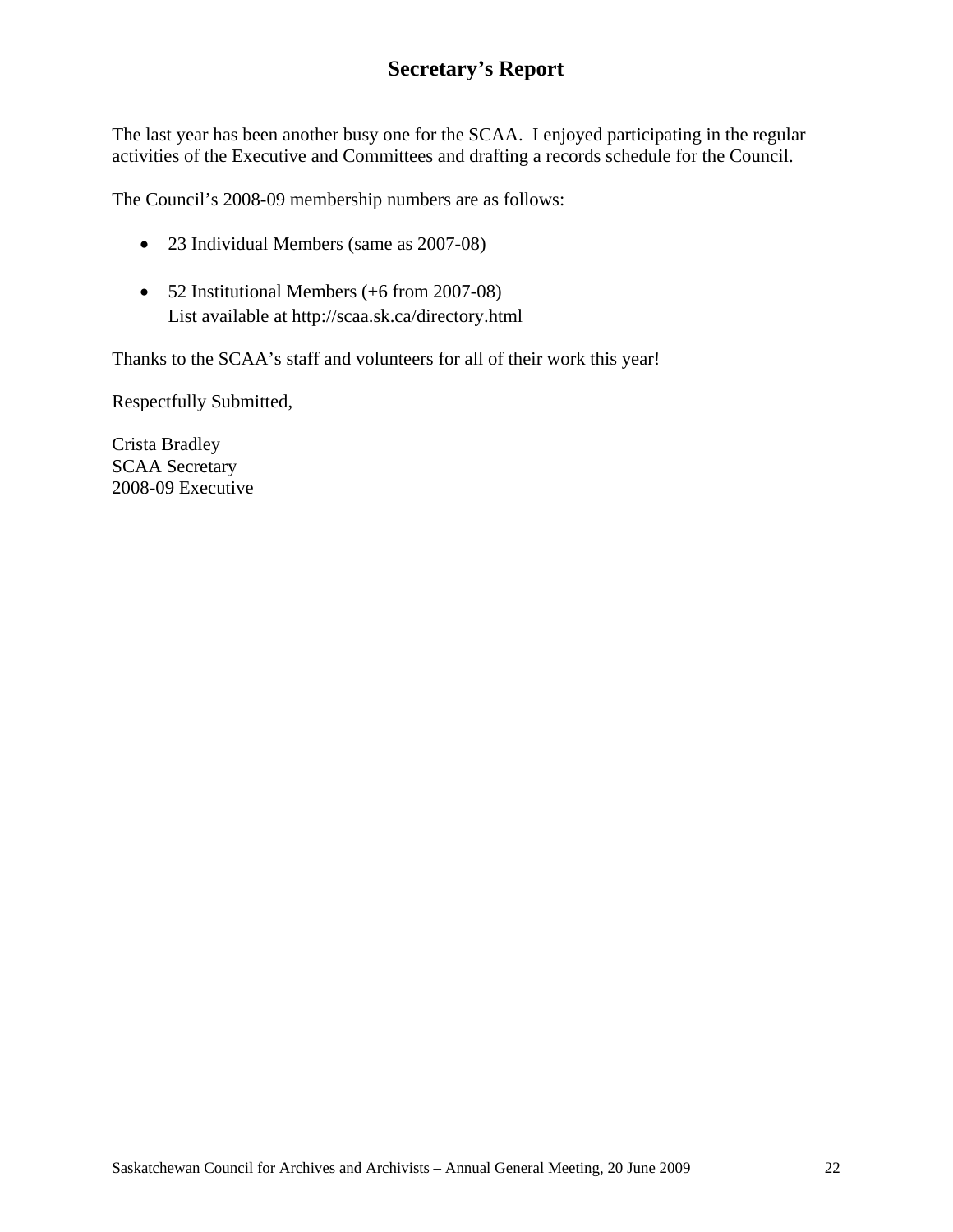## **Secretary's Report**

The last year has been another busy one for the SCAA. I enjoyed participating in the regular activities of the Executive and Committees and drafting a records schedule for the Council.

The Council's 2008-09 membership numbers are as follows:

- 23 Individual Members (same as 2007-08)
- 52 Institutional Members (+6 from 2007-08) List available at http://scaa.sk.ca/directory.html

Thanks to the SCAA's staff and volunteers for all of their work this year!

Respectfully Submitted,

Crista Bradley SCAA Secretary 2008-09 Executive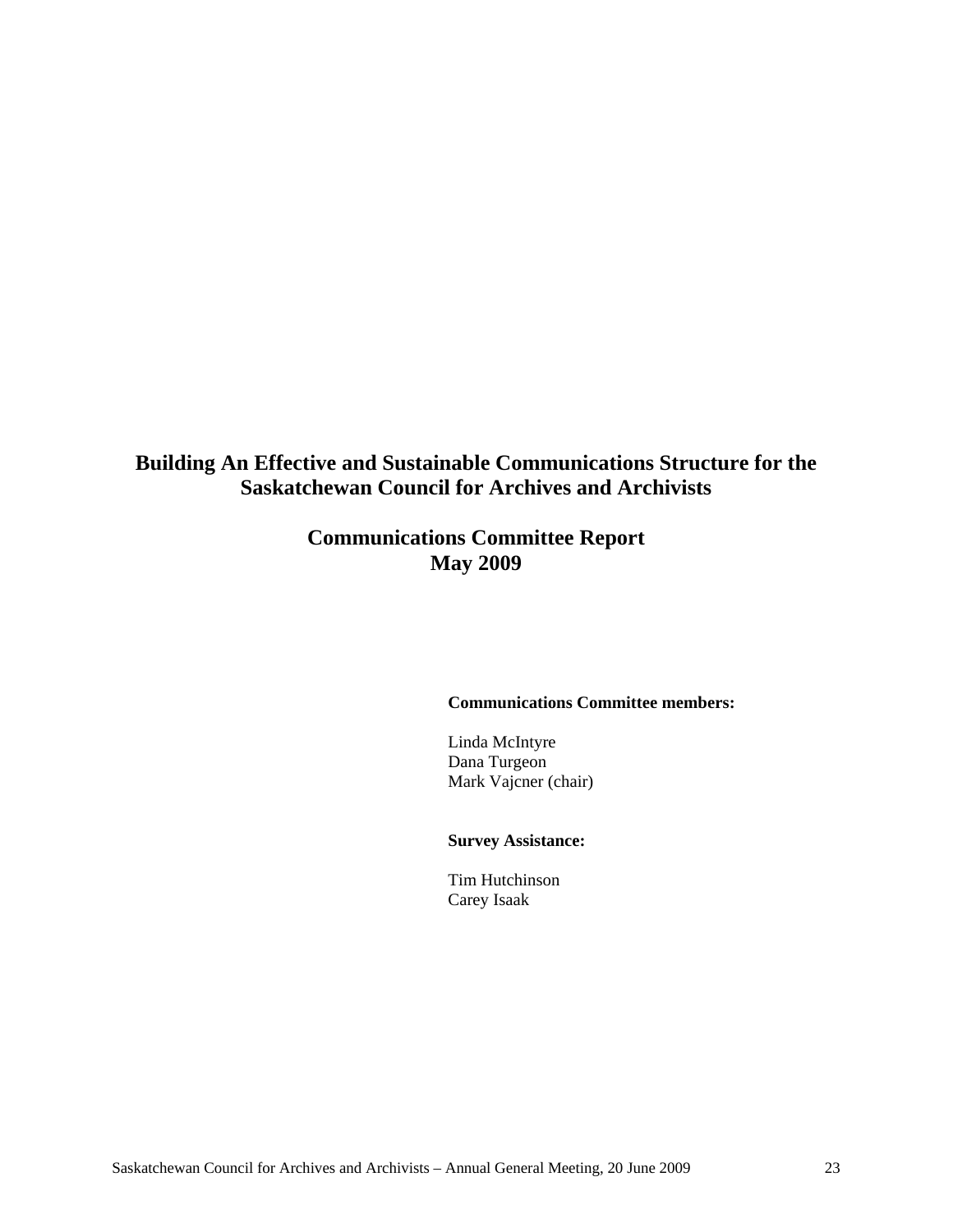**Building An Effective and Sustainable Communications Structure for the Saskatchewan Council for Archives and Archivists** 

## **Communications Committee Report May 2009**

#### **Communications Committee members:**

Linda McIntyre Dana Turgeon Mark Vajcner (chair)

#### **Survey Assistance:**

Tim Hutchinson Carey Isaak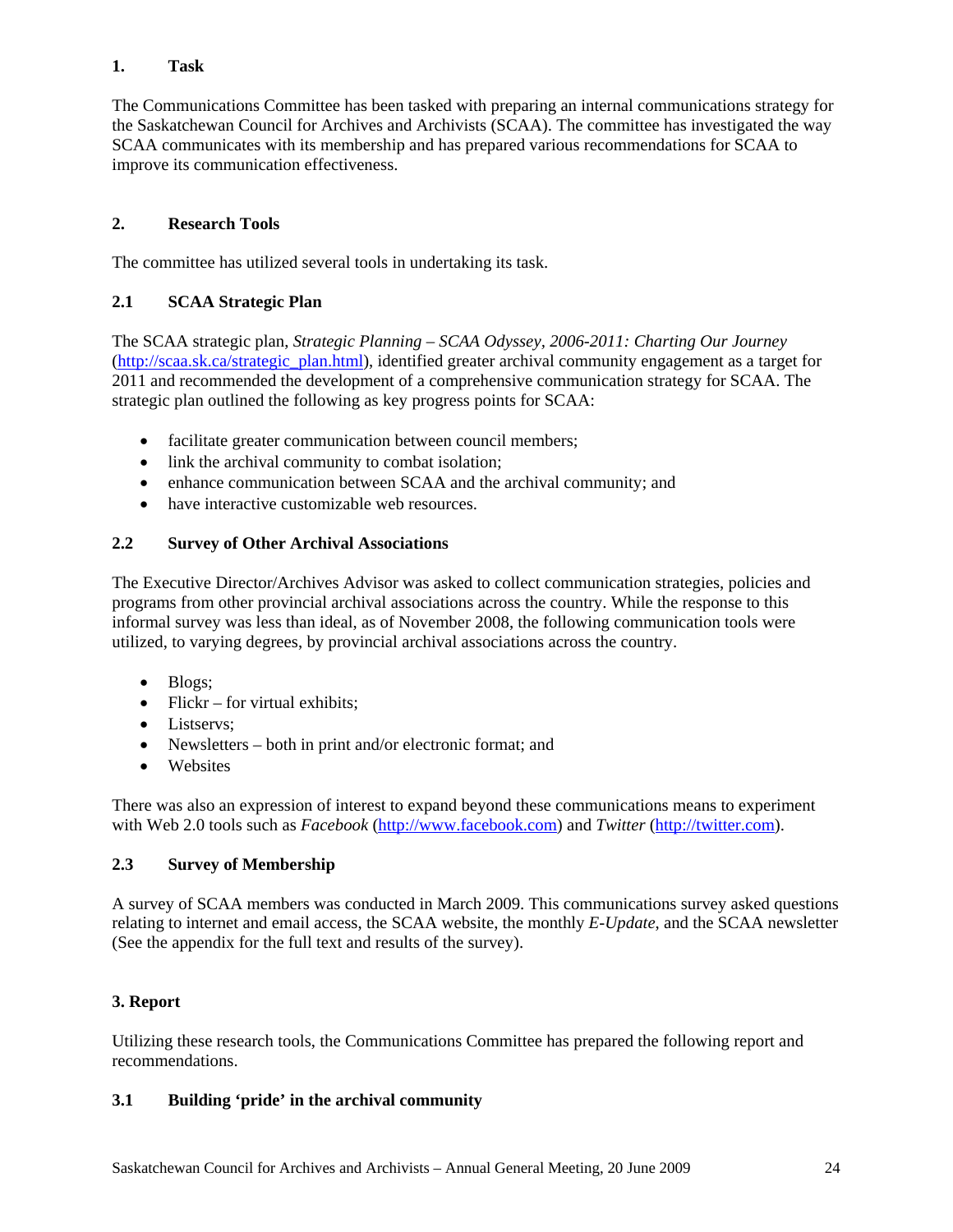#### **1. Task**

The Communications Committee has been tasked with preparing an internal communications strategy for the Saskatchewan Council for Archives and Archivists (SCAA). The committee has investigated the way SCAA communicates with its membership and has prepared various recommendations for SCAA to improve its communication effectiveness.

#### **2. Research Tools**

The committee has utilized several tools in undertaking its task.

#### **2.1 SCAA Strategic Plan**

The SCAA strategic plan, *Strategic Planning – SCAA Odyssey, 2006-2011: Charting Our Journey* (http://scaa.sk.ca/strategic\_plan.html), identified greater archival community engagement as a target for 2011 and recommended the development of a comprehensive communication strategy for SCAA. The strategic plan outlined the following as key progress points for SCAA:

- facilitate greater communication between council members;
- link the archival community to combat isolation;
- enhance communication between SCAA and the archival community; and
- have interactive customizable web resources.

#### **2.2 Survey of Other Archival Associations**

The Executive Director/Archives Advisor was asked to collect communication strategies, policies and programs from other provincial archival associations across the country. While the response to this informal survey was less than ideal, as of November 2008, the following communication tools were utilized, to varying degrees, by provincial archival associations across the country.

- Blogs;
- Flickr for virtual exhibits;
- Listservs:
- Newsletters both in print and/or electronic format; and
- Websites

There was also an expression of interest to expand beyond these communications means to experiment with Web 2.0 tools such as *Facebook* (http://www.facebook.com) and *Twitter* (http://twitter.com).

#### **2.3 Survey of Membership**

A survey of SCAA members was conducted in March 2009. This communications survey asked questions relating to internet and email access, the SCAA website, the monthly *E-Update*, and the SCAA newsletter (See the appendix for the full text and results of the survey).

#### **3. Report**

Utilizing these research tools, the Communications Committee has prepared the following report and recommendations.

#### **3.1 Building 'pride' in the archival community**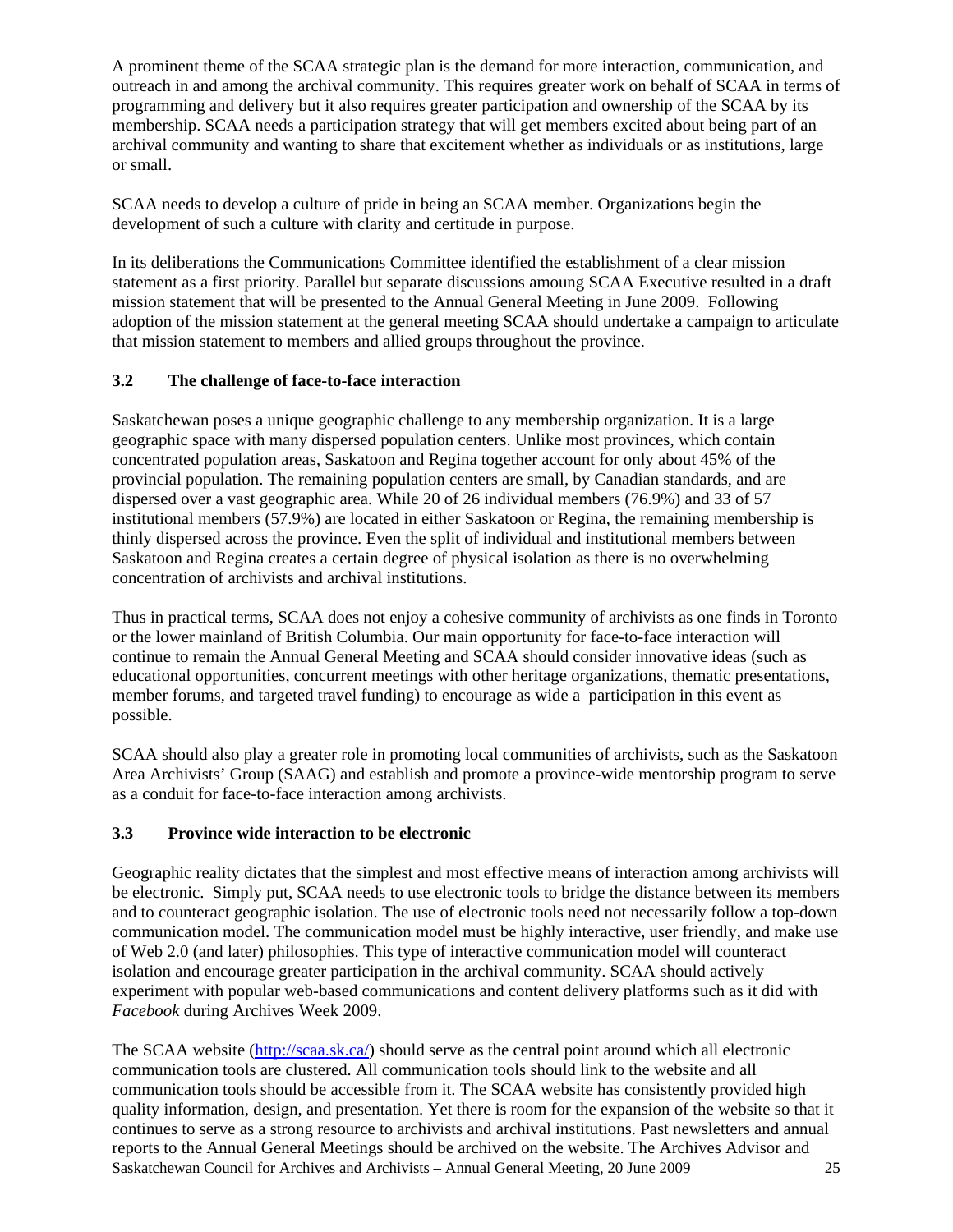A prominent theme of the SCAA strategic plan is the demand for more interaction, communication, and outreach in and among the archival community. This requires greater work on behalf of SCAA in terms of programming and delivery but it also requires greater participation and ownership of the SCAA by its membership. SCAA needs a participation strategy that will get members excited about being part of an archival community and wanting to share that excitement whether as individuals or as institutions, large or small.

SCAA needs to develop a culture of pride in being an SCAA member. Organizations begin the development of such a culture with clarity and certitude in purpose.

In its deliberations the Communications Committee identified the establishment of a clear mission statement as a first priority. Parallel but separate discussions amoung SCAA Executive resulted in a draft mission statement that will be presented to the Annual General Meeting in June 2009. Following adoption of the mission statement at the general meeting SCAA should undertake a campaign to articulate that mission statement to members and allied groups throughout the province.

#### **3.2 The challenge of face-to-face interaction**

Saskatchewan poses a unique geographic challenge to any membership organization. It is a large geographic space with many dispersed population centers. Unlike most provinces, which contain concentrated population areas, Saskatoon and Regina together account for only about 45% of the provincial population. The remaining population centers are small, by Canadian standards, and are dispersed over a vast geographic area. While 20 of 26 individual members (76.9%) and 33 of 57 institutional members (57.9%) are located in either Saskatoon or Regina, the remaining membership is thinly dispersed across the province. Even the split of individual and institutional members between Saskatoon and Regina creates a certain degree of physical isolation as there is no overwhelming concentration of archivists and archival institutions.

Thus in practical terms, SCAA does not enjoy a cohesive community of archivists as one finds in Toronto or the lower mainland of British Columbia. Our main opportunity for face-to-face interaction will continue to remain the Annual General Meeting and SCAA should consider innovative ideas (such as educational opportunities, concurrent meetings with other heritage organizations, thematic presentations, member forums, and targeted travel funding) to encourage as wide a participation in this event as possible.

SCAA should also play a greater role in promoting local communities of archivists, such as the Saskatoon Area Archivists' Group (SAAG) and establish and promote a province-wide mentorship program to serve as a conduit for face-to-face interaction among archivists.

#### **3.3 Province wide interaction to be electronic**

Geographic reality dictates that the simplest and most effective means of interaction among archivists will be electronic. Simply put, SCAA needs to use electronic tools to bridge the distance between its members and to counteract geographic isolation. The use of electronic tools need not necessarily follow a top-down communication model. The communication model must be highly interactive, user friendly, and make use of Web 2.0 (and later) philosophies. This type of interactive communication model will counteract isolation and encourage greater participation in the archival community. SCAA should actively experiment with popular web-based communications and content delivery platforms such as it did with *Facebook* during Archives Week 2009.

Saskatchewan Council for Archives and Archivists – Annual General Meeting, 20 June 2009 25 The SCAA website (http://scaa.sk.ca/) should serve as the central point around which all electronic communication tools are clustered. All communication tools should link to the website and all communication tools should be accessible from it. The SCAA website has consistently provided high quality information, design, and presentation. Yet there is room for the expansion of the website so that it continues to serve as a strong resource to archivists and archival institutions. Past newsletters and annual reports to the Annual General Meetings should be archived on the website. The Archives Advisor and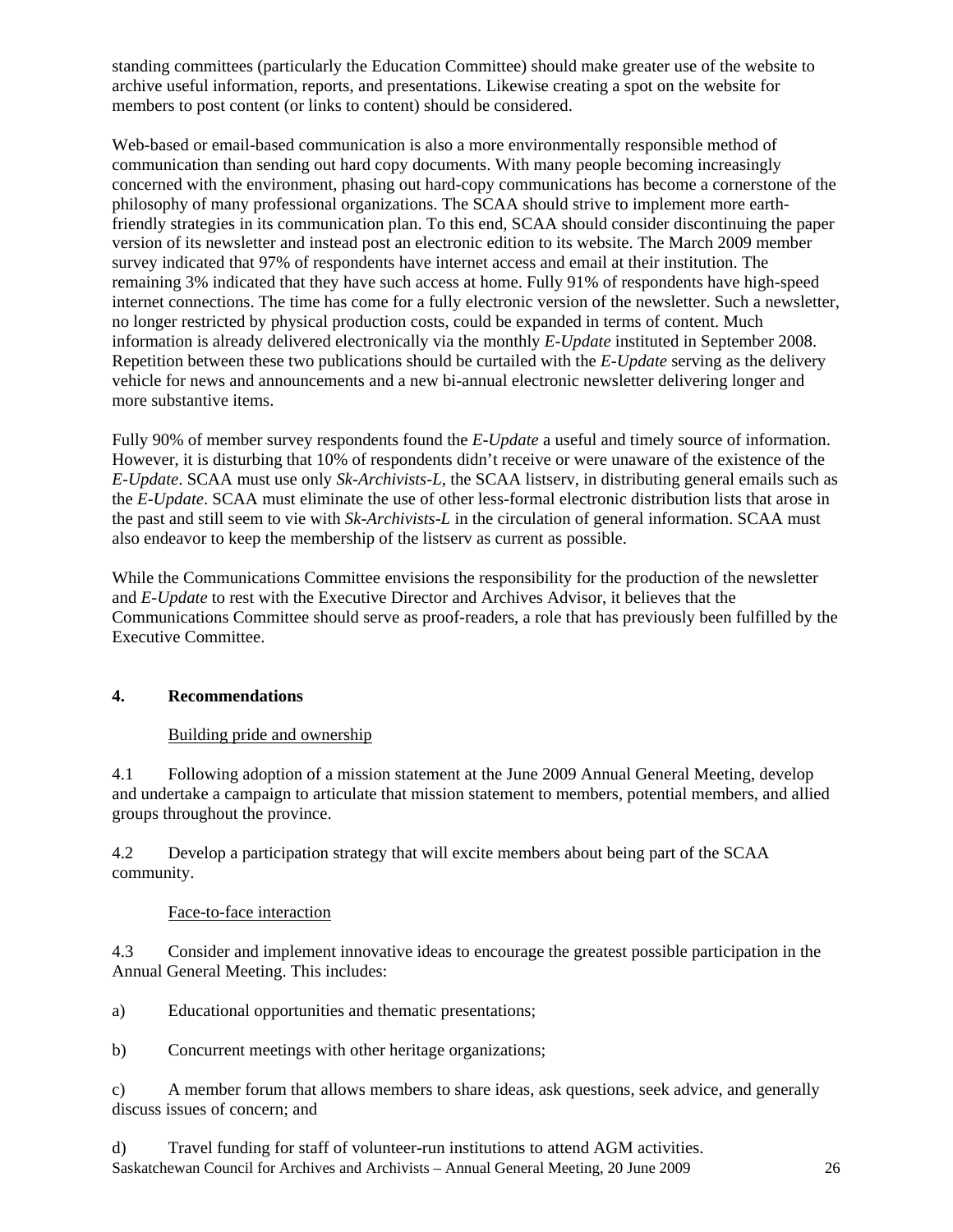standing committees (particularly the Education Committee) should make greater use of the website to archive useful information, reports, and presentations. Likewise creating a spot on the website for members to post content (or links to content) should be considered.

Web-based or email-based communication is also a more environmentally responsible method of communication than sending out hard copy documents. With many people becoming increasingly concerned with the environment, phasing out hard-copy communications has become a cornerstone of the philosophy of many professional organizations. The SCAA should strive to implement more earthfriendly strategies in its communication plan. To this end, SCAA should consider discontinuing the paper version of its newsletter and instead post an electronic edition to its website. The March 2009 member survey indicated that 97% of respondents have internet access and email at their institution. The remaining 3% indicated that they have such access at home. Fully 91% of respondents have high-speed internet connections. The time has come for a fully electronic version of the newsletter. Such a newsletter, no longer restricted by physical production costs, could be expanded in terms of content. Much information is already delivered electronically via the monthly *E-Update* instituted in September 2008. Repetition between these two publications should be curtailed with the *E-Update* serving as the delivery vehicle for news and announcements and a new bi-annual electronic newsletter delivering longer and more substantive items.

Fully 90% of member survey respondents found the *E-Update* a useful and timely source of information. However, it is disturbing that 10% of respondents didn't receive or were unaware of the existence of the *E-Update*. SCAA must use only *Sk-Archivists-L*, the SCAA listserv, in distributing general emails such as the *E-Update*. SCAA must eliminate the use of other less-formal electronic distribution lists that arose in the past and still seem to vie with *Sk-Archivists-L* in the circulation of general information. SCAA must also endeavor to keep the membership of the listserv as current as possible.

While the Communications Committee envisions the responsibility for the production of the newsletter and *E-Update* to rest with the Executive Director and Archives Advisor, it believes that the Communications Committee should serve as proof-readers, a role that has previously been fulfilled by the Executive Committee.

#### **4. Recommendations**

#### Building pride and ownership

4.1 Following adoption of a mission statement at the June 2009 Annual General Meeting, develop and undertake a campaign to articulate that mission statement to members, potential members, and allied groups throughout the province.

4.2 Develop a participation strategy that will excite members about being part of the SCAA community.

#### Face-to-face interaction

4.3 Consider and implement innovative ideas to encourage the greatest possible participation in the Annual General Meeting. This includes:

a) Educational opportunities and thematic presentations;

b) Concurrent meetings with other heritage organizations;

c) A member forum that allows members to share ideas, ask questions, seek advice, and generally discuss issues of concern; and

Saskatchewan Council for Archives and Archivists – Annual General Meeting, 20 June 2009 26 d) Travel funding for staff of volunteer-run institutions to attend AGM activities.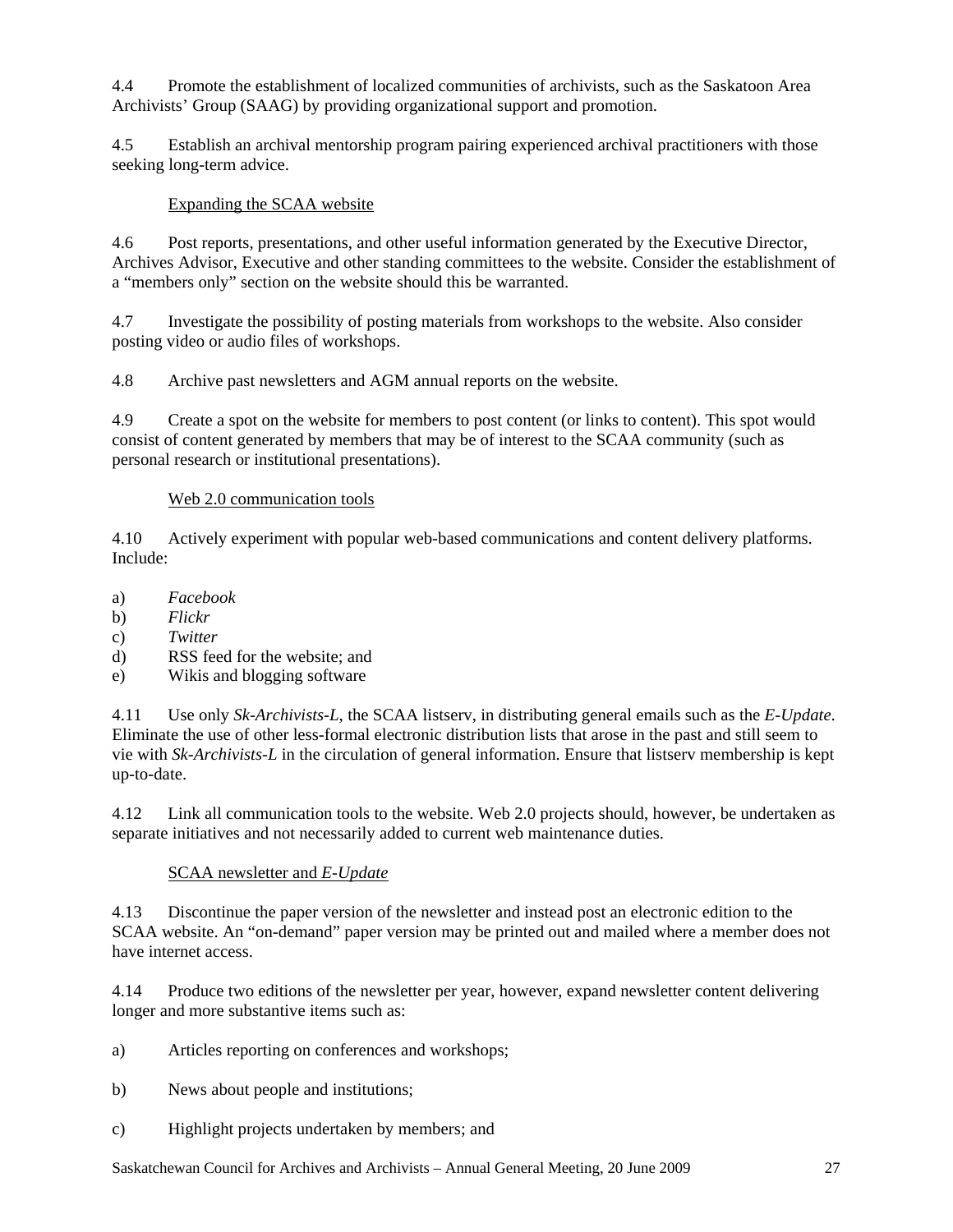4.4 Promote the establishment of localized communities of archivists, such as the Saskatoon Area Archivists' Group (SAAG) by providing organizational support and promotion.

4.5 Establish an archival mentorship program pairing experienced archival practitioners with those seeking long-term advice.

#### Expanding the SCAA website

4.6 Post reports, presentations, and other useful information generated by the Executive Director, Archives Advisor, Executive and other standing committees to the website. Consider the establishment of a "members only" section on the website should this be warranted.

4.7 Investigate the possibility of posting materials from workshops to the website. Also consider posting video or audio files of workshops.

4.8 Archive past newsletters and AGM annual reports on the website.

4.9 Create a spot on the website for members to post content (or links to content). This spot would consist of content generated by members that may be of interest to the SCAA community (such as personal research or institutional presentations).

#### Web 2.0 communication tools

4.10 Actively experiment with popular web-based communications and content delivery platforms. Include:

- a) *Facebook*
- b) *Flickr*
- c) *Twitter*
- d) RSS feed for the website; and
- e) Wikis and blogging software

4.11 Use only *Sk-Archivists-L*, the SCAA listserv, in distributing general emails such as the *E-Update*. Eliminate the use of other less-formal electronic distribution lists that arose in the past and still seem to vie with *Sk-Archivists-L* in the circulation of general information. Ensure that listserv membership is kept up-to-date.

4.12 Link all communication tools to the website. Web 2.0 projects should, however, be undertaken as separate initiatives and not necessarily added to current web maintenance duties.

#### SCAA newsletter and *E-Update*

4.13 Discontinue the paper version of the newsletter and instead post an electronic edition to the SCAA website. An "on-demand" paper version may be printed out and mailed where a member does not have internet access.

4.14 Produce two editions of the newsletter per year, however, expand newsletter content delivering longer and more substantive items such as:

- a) Articles reporting on conferences and workshops;
- b) News about people and institutions;
- c) Highlight projects undertaken by members; and

Saskatchewan Council for Archives and Archivists – Annual General Meeting, 20 June 2009 27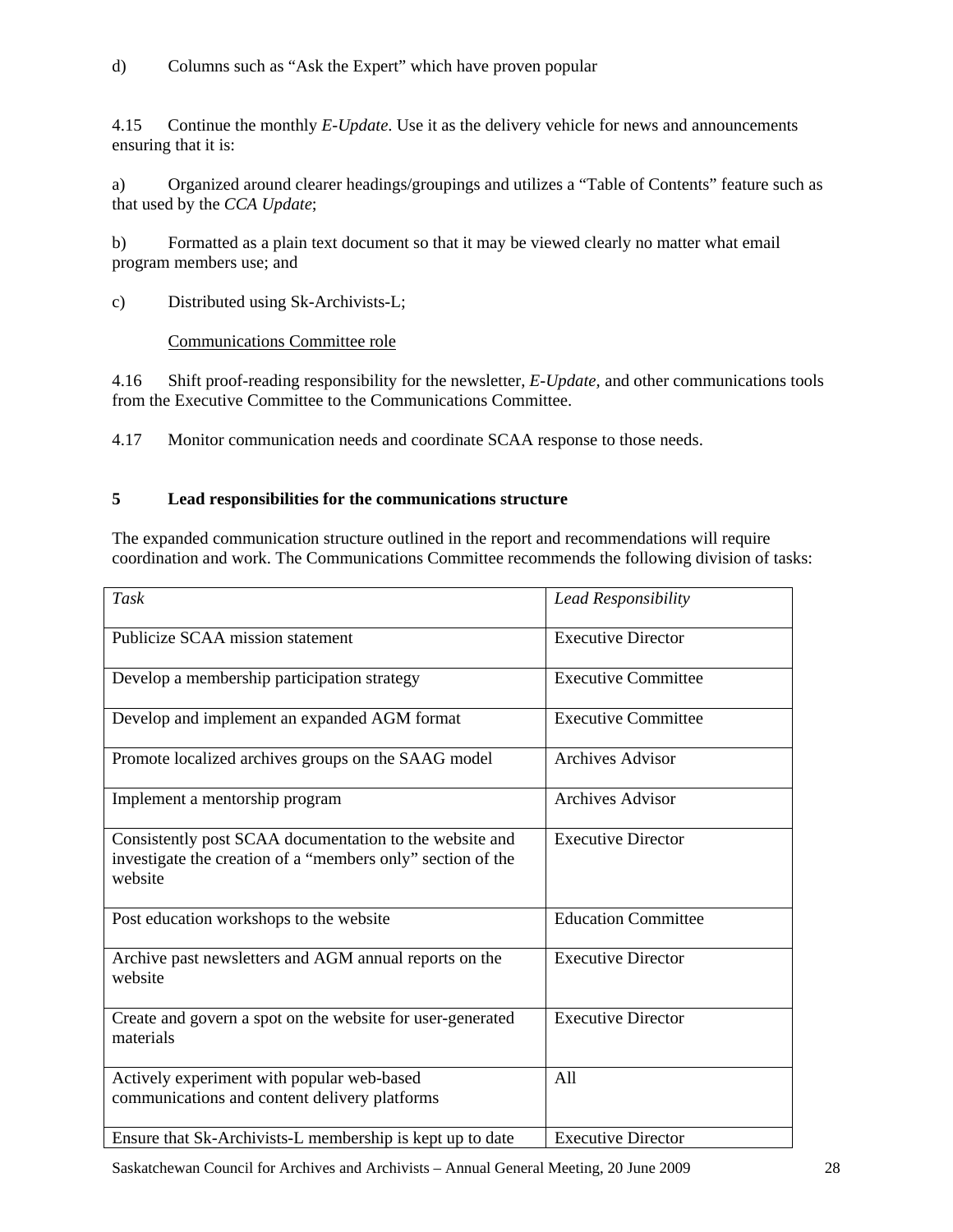d) Columns such as "Ask the Expert" which have proven popular

4.15 Continue the monthly *E-Update*. Use it as the delivery vehicle for news and announcements ensuring that it is:

a) Organized around clearer headings/groupings and utilizes a "Table of Contents" feature such as that used by the *CCA Update*;

b) Formatted as a plain text document so that it may be viewed clearly no matter what email program members use; and

c) Distributed using Sk-Archivists-L;

#### Communications Committee role

4.16 Shift proof-reading responsibility for the newsletter, *E-Update,* and other communications tools from the Executive Committee to the Communications Committee.

4.17 Monitor communication needs and coordinate SCAA response to those needs.

#### **5 Lead responsibilities for the communications structure**

The expanded communication structure outlined in the report and recommendations will require coordination and work. The Communications Committee recommends the following division of tasks:

| Task                                                                                                                              | <b>Lead Responsibility</b> |
|-----------------------------------------------------------------------------------------------------------------------------------|----------------------------|
| Publicize SCAA mission statement                                                                                                  | <b>Executive Director</b>  |
| Develop a membership participation strategy                                                                                       | <b>Executive Committee</b> |
| Develop and implement an expanded AGM format                                                                                      | <b>Executive Committee</b> |
| Promote localized archives groups on the SAAG model                                                                               | <b>Archives Advisor</b>    |
| Implement a mentorship program                                                                                                    | <b>Archives Advisor</b>    |
| Consistently post SCAA documentation to the website and<br>investigate the creation of a "members only" section of the<br>website | <b>Executive Director</b>  |
| Post education workshops to the website                                                                                           | <b>Education Committee</b> |
| Archive past newsletters and AGM annual reports on the<br>website                                                                 | <b>Executive Director</b>  |
| Create and govern a spot on the website for user-generated<br>materials                                                           | <b>Executive Director</b>  |
| Actively experiment with popular web-based<br>communications and content delivery platforms                                       | All                        |
| Ensure that Sk-Archivists-L membership is kept up to date                                                                         | <b>Executive Director</b>  |

Saskatchewan Council for Archives and Archivists – Annual General Meeting, 20 June 2009 28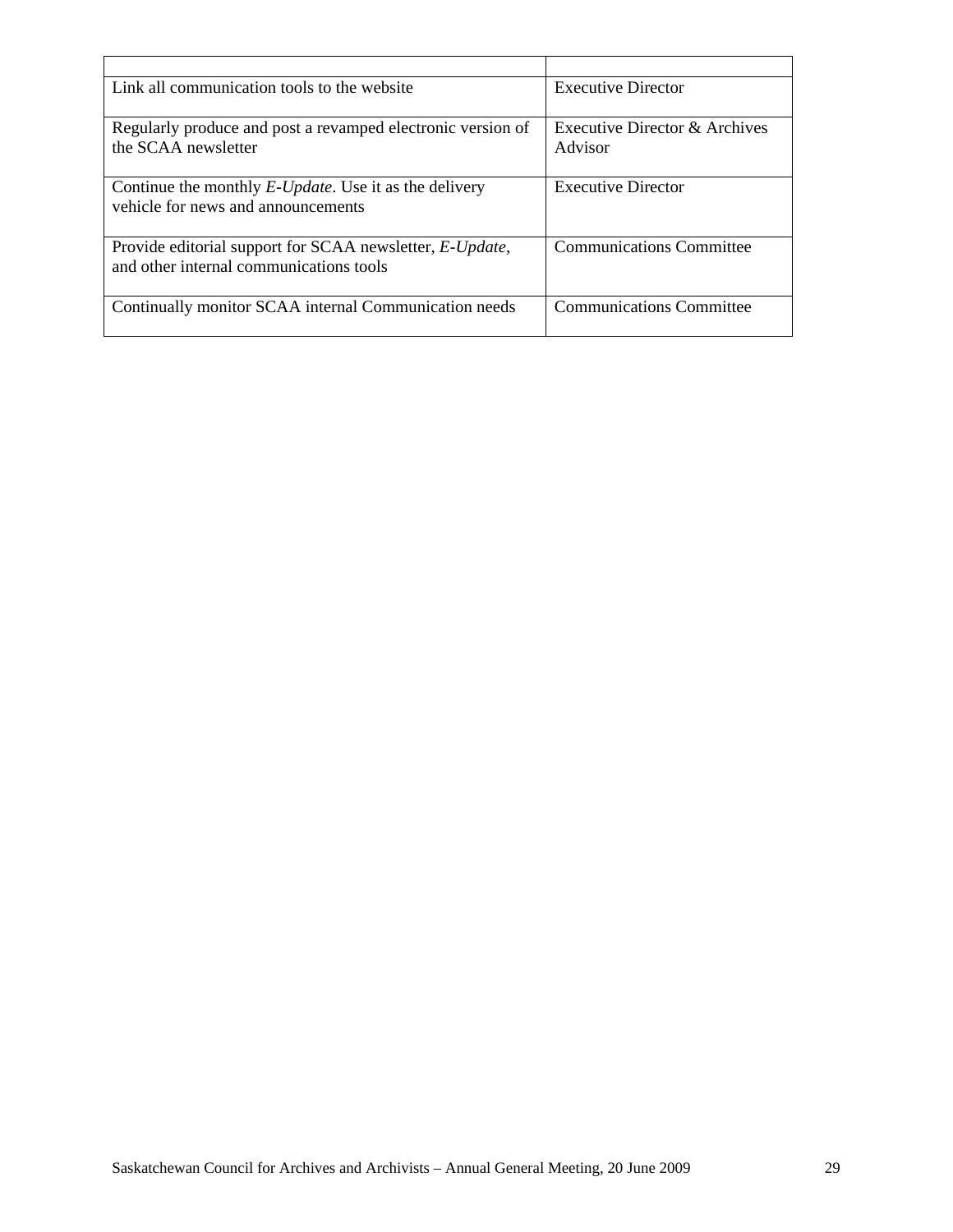| Link all communication tools to the website                                                                 | <b>Executive Director</b>                |
|-------------------------------------------------------------------------------------------------------------|------------------------------------------|
| Regularly produce and post a revamped electronic version of<br>the SCAA newsletter                          | Executive Director & Archives<br>Advisor |
| Continue the monthly <i>E-Update</i> . Use it as the delivery<br>vehicle for news and announcements         | <b>Executive Director</b>                |
| Provide editorial support for SCAA newsletter, <i>E-Update</i> ,<br>and other internal communications tools | <b>Communications Committee</b>          |
| Continually monitor SCAA internal Communication needs                                                       | <b>Communications Committee</b>          |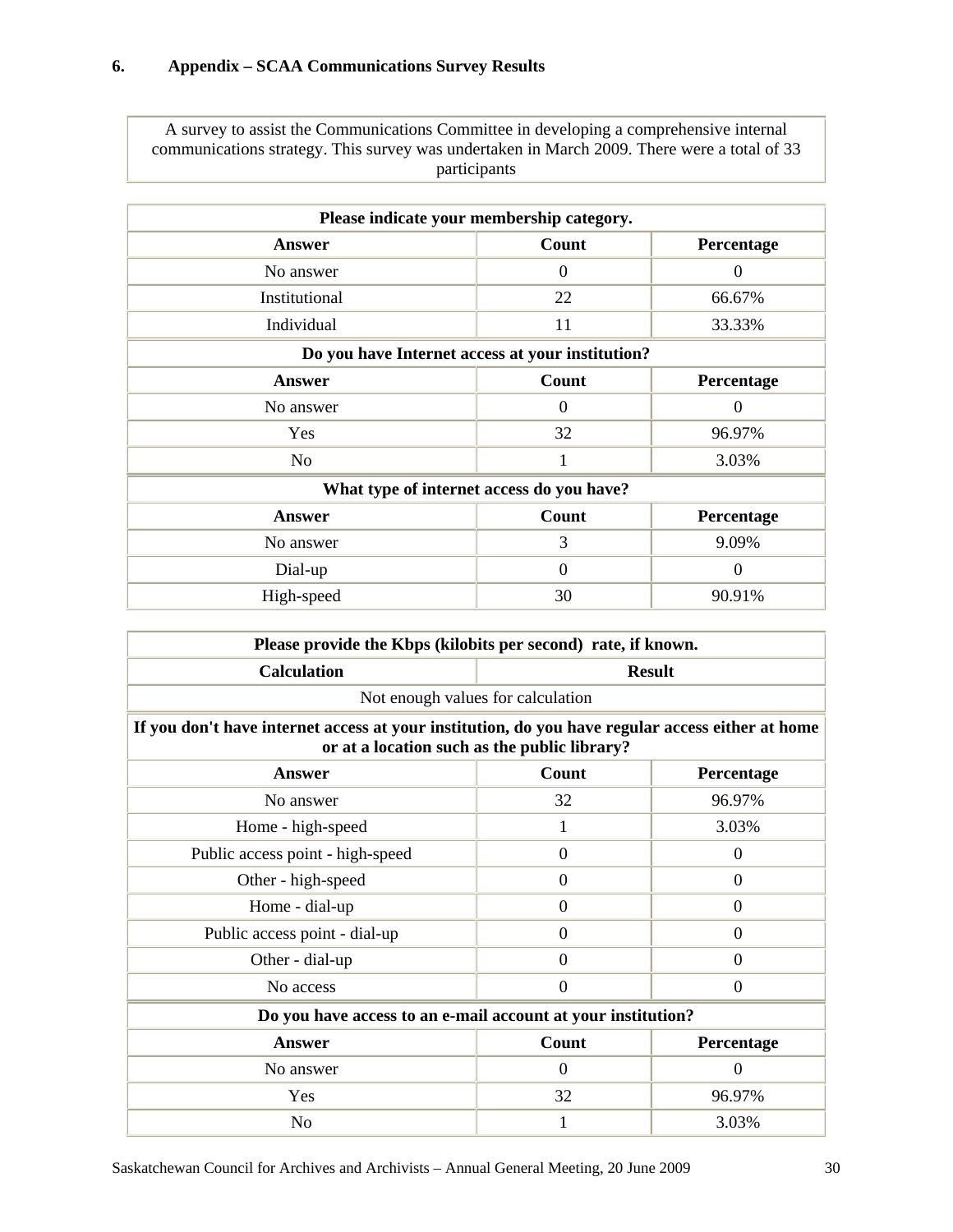A survey to assist the Communications Committee in developing a comprehensive internal communications strategy. This survey was undertaken in March 2009. There were a total of 33 participants

| Please indicate your membership category.        |                |                |  |
|--------------------------------------------------|----------------|----------------|--|
| Answer                                           | Count          | Percentage     |  |
| No answer                                        | $\theta$       | $\theta$       |  |
| Institutional                                    | 22             | 66.67%         |  |
| Individual                                       | 11             | 33.33%         |  |
| Do you have Internet access at your institution? |                |                |  |
| <b>Answer</b>                                    | Count          | Percentage     |  |
| No answer                                        | $\theta$       | $\Omega$       |  |
| Yes                                              | 32             | 96.97%         |  |
| No                                               | 1              | 3.03%          |  |
| What type of internet access do you have?        |                |                |  |
| <b>Answer</b>                                    | Count          | Percentage     |  |
| No answer                                        | 3              | 9.09%          |  |
| Dial-up                                          | $\overline{0}$ | $\overline{0}$ |  |
| High-speed                                       | 30             | 90.91%         |  |

| Please provide the Kbps (kilobits per second) rate, if known.                                    |                                              |                |  |
|--------------------------------------------------------------------------------------------------|----------------------------------------------|----------------|--|
| <b>Calculation</b>                                                                               | <b>Result</b>                                |                |  |
|                                                                                                  | Not enough values for calculation            |                |  |
| If you don't have internet access at your institution, do you have regular access either at home |                                              |                |  |
|                                                                                                  | or at a location such as the public library? |                |  |
| <b>Answer</b>                                                                                    | Count                                        | Percentage     |  |
| No answer                                                                                        | 32                                           | 96.97%         |  |
| Home - high-speed                                                                                | 1                                            | 3.03%          |  |
| Public access point - high-speed                                                                 | $\overline{0}$                               | $\overline{0}$ |  |
| Other - high-speed                                                                               | $\Omega$                                     | $\Omega$       |  |
| Home - dial-up                                                                                   | $\Omega$                                     | $\Omega$       |  |
| Public access point - dial-up                                                                    | $\Omega$                                     | $\Omega$       |  |
| Other - dial-up                                                                                  | $\Omega$                                     | $\Omega$       |  |
| No access                                                                                        | $\overline{0}$                               | $\Omega$       |  |
| Do you have access to an e-mail account at your institution?                                     |                                              |                |  |
| <b>Answer</b>                                                                                    | Count                                        | Percentage     |  |
| No answer                                                                                        | $\Omega$                                     | $\theta$       |  |
| Yes                                                                                              | 32                                           | 96.97%         |  |
| No                                                                                               | 1                                            | 3.03%          |  |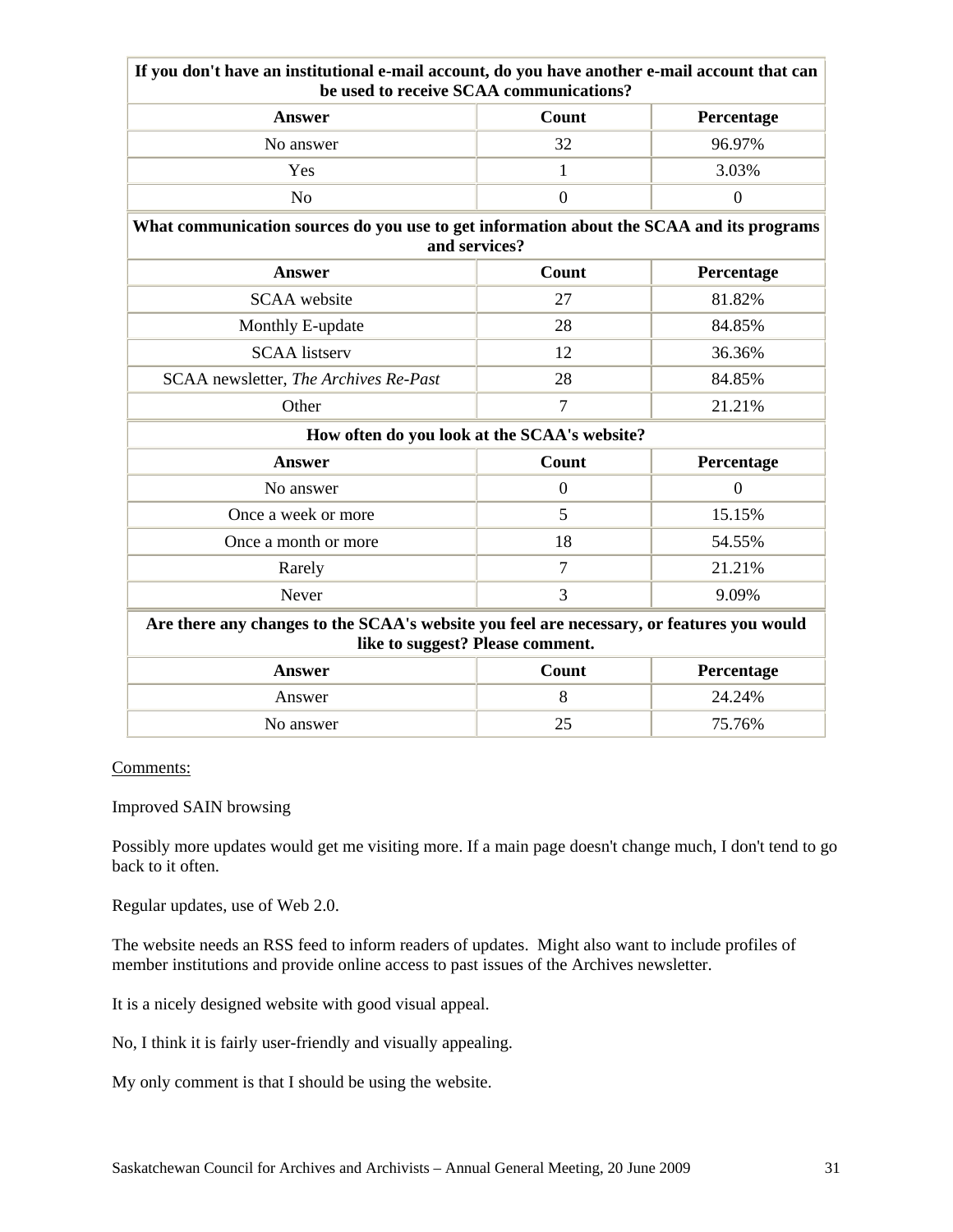| If you don't have an institutional e-mail account, do you have another e-mail account that can                                | be used to receive SCAA communications?      |                  |  |
|-------------------------------------------------------------------------------------------------------------------------------|----------------------------------------------|------------------|--|
| <b>Answer</b>                                                                                                                 | <b>Count</b>                                 | Percentage       |  |
| No answer                                                                                                                     | 32                                           | 96.97%           |  |
| Yes                                                                                                                           | 1                                            | 3.03%            |  |
| N <sub>o</sub>                                                                                                                | $\overline{0}$                               | $\boldsymbol{0}$ |  |
| What communication sources do you use to get information about the SCAA and its programs<br>and services?                     |                                              |                  |  |
| <b>Answer</b>                                                                                                                 | Count                                        | Percentage       |  |
| <b>SCAA</b> website                                                                                                           | 27                                           | 81.82%           |  |
| Monthly E-update                                                                                                              | 28                                           | 84.85%           |  |
| <b>SCAA</b> listserv                                                                                                          | 12                                           | 36.36%           |  |
| SCAA newsletter, The Archives Re-Past                                                                                         | 28                                           | 84.85%           |  |
| Other                                                                                                                         | $\overline{7}$                               | 21.21%           |  |
|                                                                                                                               | How often do you look at the SCAA's website? |                  |  |
| <b>Answer</b>                                                                                                                 | Count                                        | Percentage       |  |
| No answer                                                                                                                     | $\overline{0}$                               | $\overline{0}$   |  |
| Once a week or more                                                                                                           | 5                                            | 15.15%           |  |
| Once a month or more                                                                                                          | 18                                           | 54.55%           |  |
| Rarely                                                                                                                        | $\overline{7}$                               | 21.21%           |  |
| Never                                                                                                                         | $\overline{3}$                               | 9.09%            |  |
| Are there any changes to the SCAA's website you feel are necessary, or features you would<br>like to suggest? Please comment. |                                              |                  |  |
| <b>Answer</b>                                                                                                                 | Count                                        | Percentage       |  |
| Answer                                                                                                                        | 8                                            | 24.24%           |  |
| No answer                                                                                                                     | 25                                           | 75.76%           |  |

#### Comments:

#### Improved SAIN browsing

Possibly more updates would get me visiting more. If a main page doesn't change much, I don't tend to go back to it often.

Regular updates, use of Web 2.0.

The website needs an RSS feed to inform readers of updates. Might also want to include profiles of member institutions and provide online access to past issues of the Archives newsletter.

It is a nicely designed website with good visual appeal.

No, I think it is fairly user-friendly and visually appealing.

My only comment is that I should be using the website.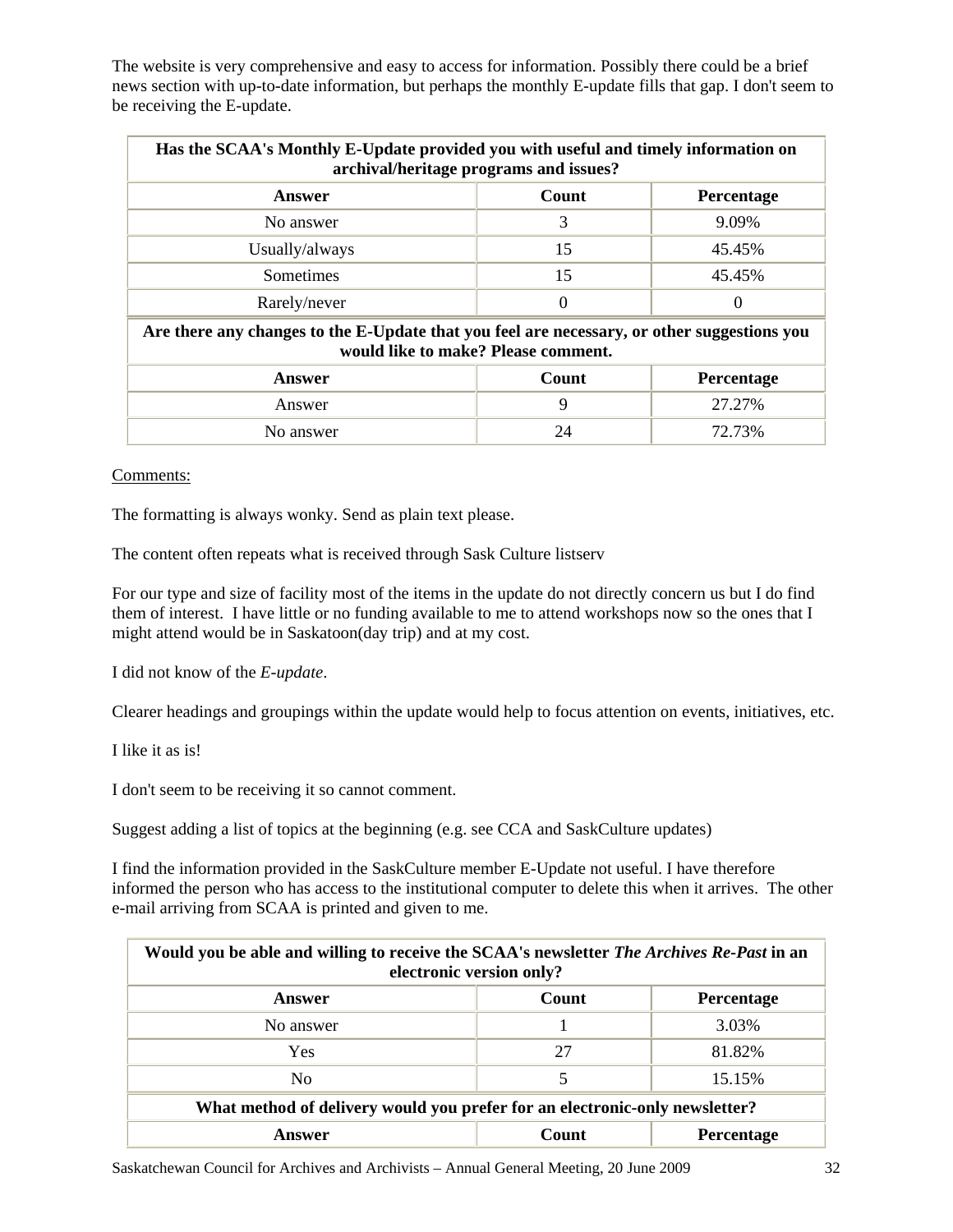The website is very comprehensive and easy to access for information. Possibly there could be a brief news section with up-to-date information, but perhaps the monthly E-update fills that gap. I don't seem to be receiving the E-update.

| Has the SCAA's Monthly E-Update provided you with useful and timely information on<br>archival/heritage programs and issues?       |              |            |  |
|------------------------------------------------------------------------------------------------------------------------------------|--------------|------------|--|
| Answer                                                                                                                             | <b>Count</b> | Percentage |  |
| No answer                                                                                                                          | 3            | 9.09%      |  |
| Usually/always                                                                                                                     | 15           | 45.45%     |  |
| <b>Sometimes</b>                                                                                                                   | 15           | 45.45%     |  |
| Rarely/never                                                                                                                       | $\theta$     | $\theta$   |  |
| Are there any changes to the E-Update that you feel are necessary, or other suggestions you<br>would like to make? Please comment. |              |            |  |
| Answer                                                                                                                             | Count        | Percentage |  |
| Answer                                                                                                                             | $\mathbf Q$  | 27.27%     |  |

No answer 24 72.73%

#### Comments:

The formatting is always wonky. Send as plain text please.

The content often repeats what is received through Sask Culture listserv

For our type and size of facility most of the items in the update do not directly concern us but I do find them of interest. I have little or no funding available to me to attend workshops now so the ones that I might attend would be in Saskatoon(day trip) and at my cost.

I did not know of the *E-update*.

Clearer headings and groupings within the update would help to focus attention on events, initiatives, etc.

I like it as is!

I don't seem to be receiving it so cannot comment.

Suggest adding a list of topics at the beginning (e.g. see CCA and SaskCulture updates)

I find the information provided in the SaskCulture member E-Update not useful. I have therefore informed the person who has access to the institutional computer to delete this when it arrives. The other e-mail arriving from SCAA is printed and given to me.

| Would you be able and willing to receive the SCAA's newsletter <i>The Archives Re-Past</i> in an<br>electronic version only? |    |        |  |
|------------------------------------------------------------------------------------------------------------------------------|----|--------|--|
| Count<br>Percentage<br>Answer                                                                                                |    |        |  |
| No answer                                                                                                                    |    | 3.03%  |  |
| Yes                                                                                                                          | 27 | 81.82% |  |
| N <sub>0</sub>                                                                                                               | 5  | 15.15% |  |
| What method of delivery would you prefer for an electronic-only newsletter?                                                  |    |        |  |
| Count<br><b>Percentage</b><br>Answer                                                                                         |    |        |  |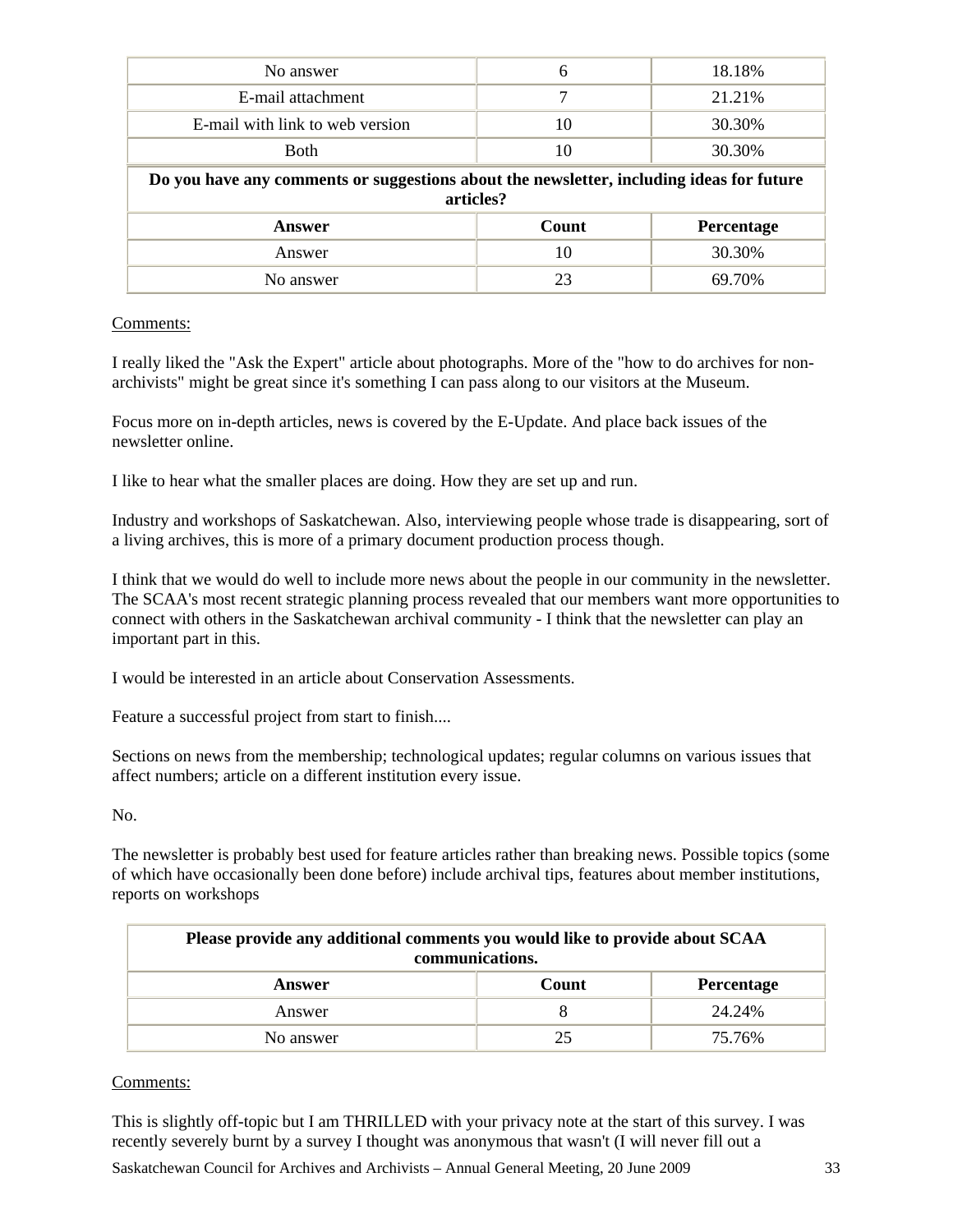| No answer                                                                                             | 6     | 18.18%     |  |
|-------------------------------------------------------------------------------------------------------|-------|------------|--|
| E-mail attachment                                                                                     |       | 21.21%     |  |
| E-mail with link to web version                                                                       | 10    | 30.30%     |  |
| <b>Both</b>                                                                                           | 10    | 30.30%     |  |
| Do you have any comments or suggestions about the newsletter, including ideas for future<br>articles? |       |            |  |
| Answer                                                                                                | Count | Percentage |  |
|                                                                                                       |       |            |  |
| Answer                                                                                                | 10    | 30.30%     |  |

#### Comments:

I really liked the "Ask the Expert" article about photographs. More of the "how to do archives for nonarchivists" might be great since it's something I can pass along to our visitors at the Museum.

Focus more on in-depth articles, news is covered by the E-Update. And place back issues of the newsletter online.

I like to hear what the smaller places are doing. How they are set up and run.

Industry and workshops of Saskatchewan. Also, interviewing people whose trade is disappearing, sort of a living archives, this is more of a primary document production process though.

I think that we would do well to include more news about the people in our community in the newsletter. The SCAA's most recent strategic planning process revealed that our members want more opportunities to connect with others in the Saskatchewan archival community - I think that the newsletter can play an important part in this.

I would be interested in an article about Conservation Assessments.

Feature a successful project from start to finish....

Sections on news from the membership; technological updates; regular columns on various issues that affect numbers; article on a different institution every issue.

No.

The newsletter is probably best used for feature articles rather than breaking news. Possible topics (some of which have occasionally been done before) include archival tips, features about member institutions, reports on workshops

| Please provide any additional comments you would like to provide about SCAA<br>communications. |       |                   |  |  |
|------------------------------------------------------------------------------------------------|-------|-------------------|--|--|
| Answer                                                                                         | Count | <b>Percentage</b> |  |  |
| Answer                                                                                         |       | 24.24%            |  |  |
| No answer                                                                                      | 25    | 75.76%            |  |  |

#### Comments:

This is slightly off-topic but I am THRILLED with your privacy note at the start of this survey. I was recently severely burnt by a survey I thought was anonymous that wasn't (I will never fill out a

Saskatchewan Council for Archives and Archivists – Annual General Meeting, 20 June 2009 33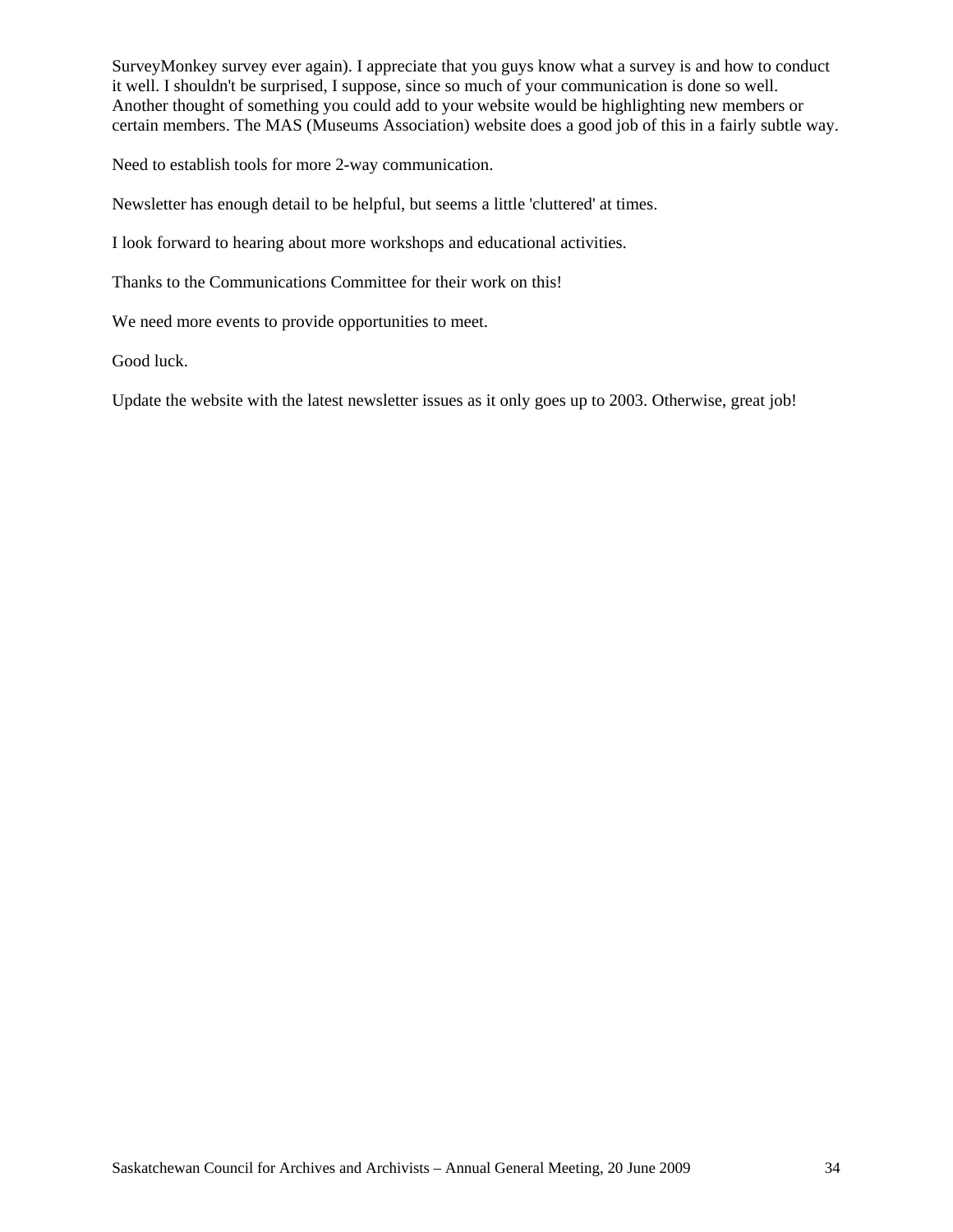SurveyMonkey survey ever again). I appreciate that you guys know what a survey is and how to conduct it well. I shouldn't be surprised, I suppose, since so much of your communication is done so well. Another thought of something you could add to your website would be highlighting new members or certain members. The MAS (Museums Association) website does a good job of this in a fairly subtle way.

Need to establish tools for more 2-way communication.

Newsletter has enough detail to be helpful, but seems a little 'cluttered' at times.

I look forward to hearing about more workshops and educational activities.

Thanks to the Communications Committee for their work on this!

We need more events to provide opportunities to meet.

Good luck.

Update the website with the latest newsletter issues as it only goes up to 2003. Otherwise, great job!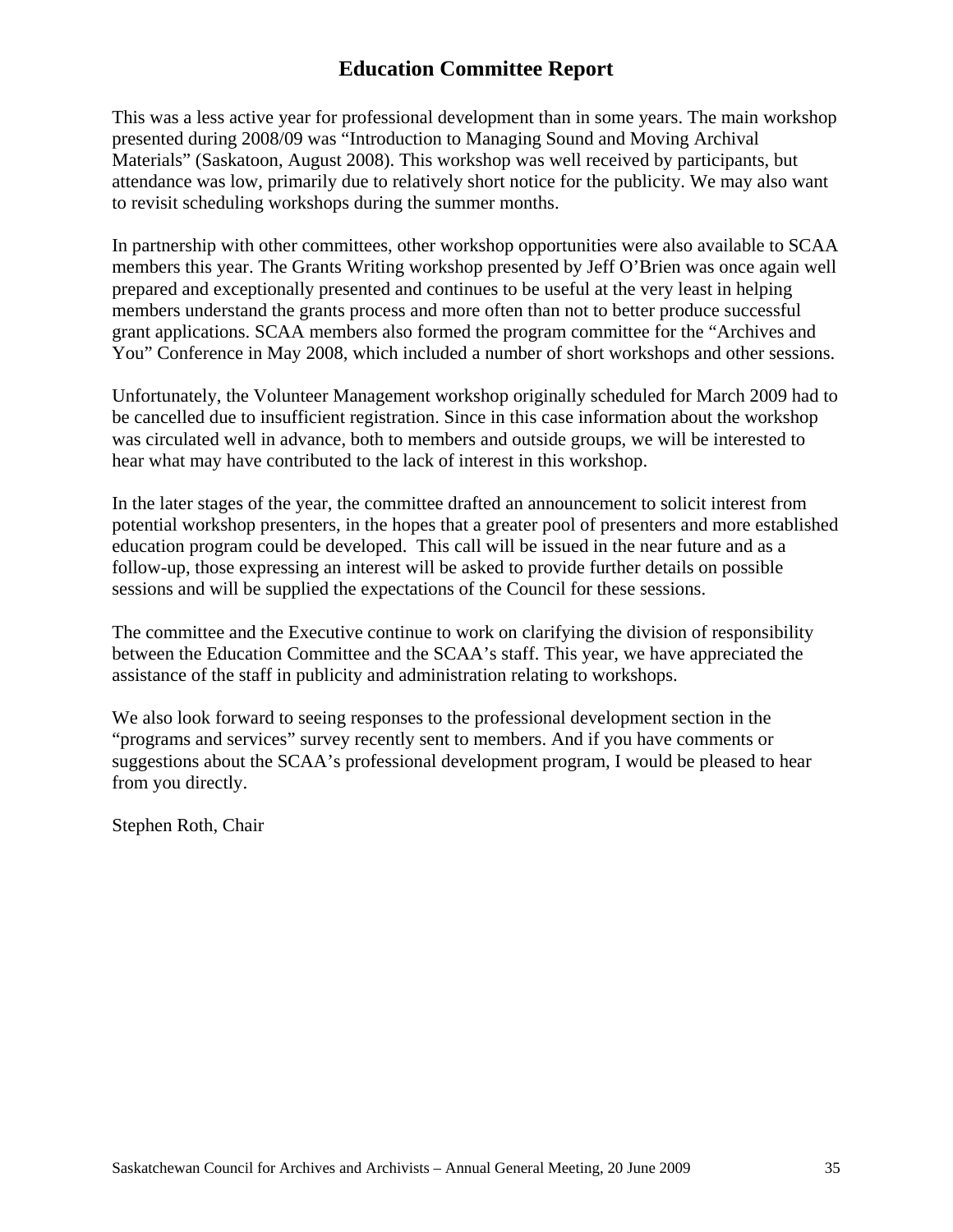## **Education Committee Report**

This was a less active year for professional development than in some years. The main workshop presented during 2008/09 was "Introduction to Managing Sound and Moving Archival Materials" (Saskatoon, August 2008). This workshop was well received by participants, but attendance was low, primarily due to relatively short notice for the publicity. We may also want to revisit scheduling workshops during the summer months.

In partnership with other committees, other workshop opportunities were also available to SCAA members this year. The Grants Writing workshop presented by Jeff O'Brien was once again well prepared and exceptionally presented and continues to be useful at the very least in helping members understand the grants process and more often than not to better produce successful grant applications. SCAA members also formed the program committee for the "Archives and You" Conference in May 2008, which included a number of short workshops and other sessions.

Unfortunately, the Volunteer Management workshop originally scheduled for March 2009 had to be cancelled due to insufficient registration. Since in this case information about the workshop was circulated well in advance, both to members and outside groups, we will be interested to hear what may have contributed to the lack of interest in this workshop.

In the later stages of the year, the committee drafted an announcement to solicit interest from potential workshop presenters, in the hopes that a greater pool of presenters and more established education program could be developed. This call will be issued in the near future and as a follow-up, those expressing an interest will be asked to provide further details on possible sessions and will be supplied the expectations of the Council for these sessions.

The committee and the Executive continue to work on clarifying the division of responsibility between the Education Committee and the SCAA's staff. This year, we have appreciated the assistance of the staff in publicity and administration relating to workshops.

We also look forward to seeing responses to the professional development section in the "programs and services" survey recently sent to members. And if you have comments or suggestions about the SCAA's professional development program, I would be pleased to hear from you directly.

Stephen Roth, Chair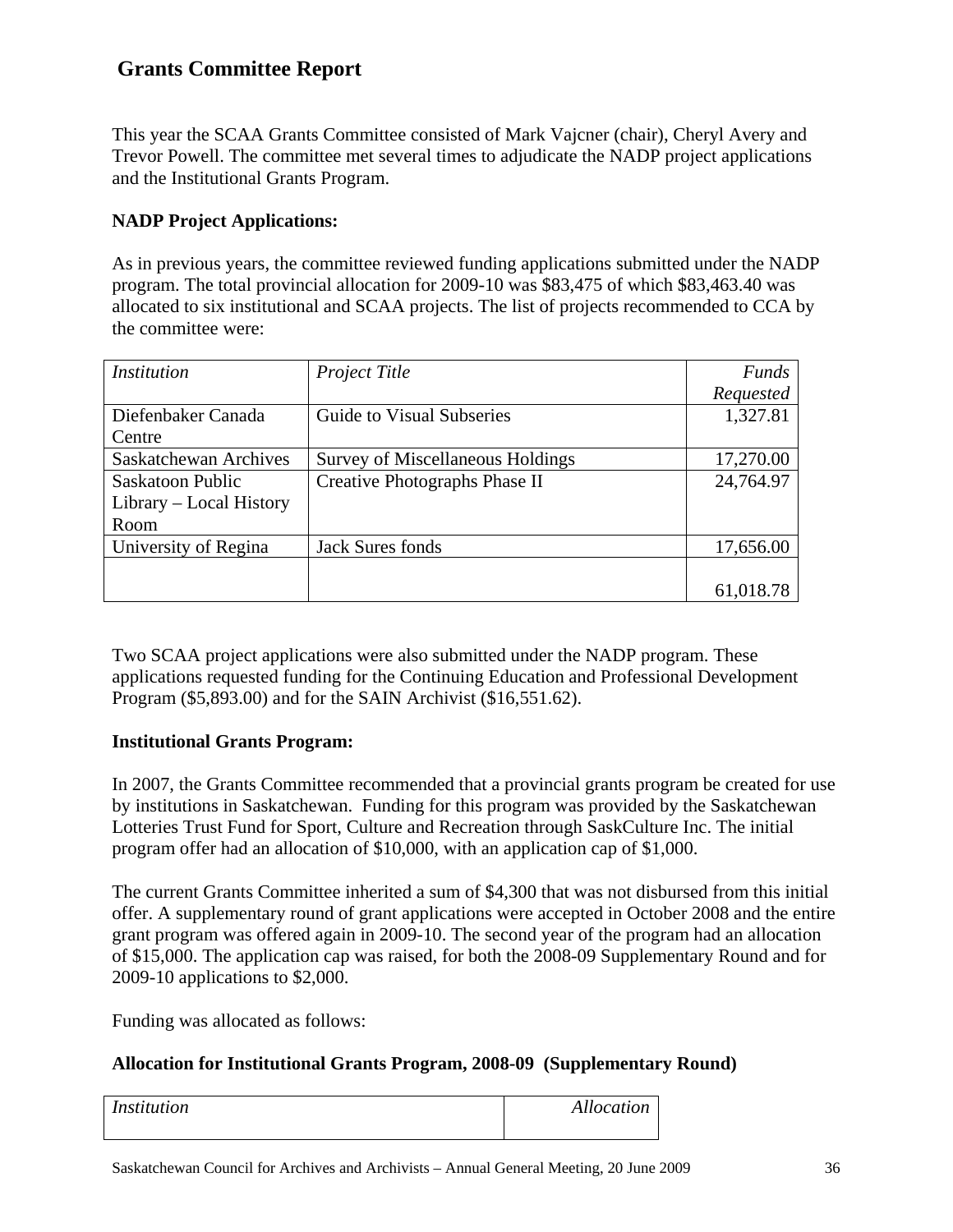## **Grants Committee Report**

This year the SCAA Grants Committee consisted of Mark Vajcner (chair), Cheryl Avery and Trevor Powell. The committee met several times to adjudicate the NADP project applications and the Institutional Grants Program.

### **NADP Project Applications:**

As in previous years, the committee reviewed funding applications submitted under the NADP program. The total provincial allocation for 2009-10 was \$83,475 of which \$83,463.40 was allocated to six institutional and SCAA projects. The list of projects recommended to CCA by the committee were:

| <i>Institution</i>      | Project Title                    | <b>Funds</b> |
|-------------------------|----------------------------------|--------------|
|                         |                                  | Requested    |
| Diefenbaker Canada      | Guide to Visual Subseries        | 1,327.81     |
| Centre                  |                                  |              |
| Saskatchewan Archives   | Survey of Miscellaneous Holdings | 17,270.00    |
| Saskatoon Public        | Creative Photographs Phase II    | 24,764.97    |
| Library – Local History |                                  |              |
| Room                    |                                  |              |
| University of Regina    | <b>Jack Sures fonds</b>          | 17,656.00    |
|                         |                                  |              |
|                         |                                  | 61,018.78    |

Two SCAA project applications were also submitted under the NADP program. These applications requested funding for the Continuing Education and Professional Development Program (\$5,893.00) and for the SAIN Archivist (\$16,551.62).

#### **Institutional Grants Program:**

In 2007, the Grants Committee recommended that a provincial grants program be created for use by institutions in Saskatchewan. Funding for this program was provided by the Saskatchewan Lotteries Trust Fund for Sport, Culture and Recreation through SaskCulture Inc. The initial program offer had an allocation of \$10,000, with an application cap of \$1,000.

The current Grants Committee inherited a sum of \$4,300 that was not disbursed from this initial offer. A supplementary round of grant applications were accepted in October 2008 and the entire grant program was offered again in 2009-10. The second year of the program had an allocation of \$15,000. The application cap was raised, for both the 2008-09 Supplementary Round and for 2009-10 applications to \$2,000.

Funding was allocated as follows:

#### **Allocation for Institutional Grants Program, 2008-09 (Supplementary Round)**

| <i>Institution</i> | Allocation |
|--------------------|------------|
|                    |            |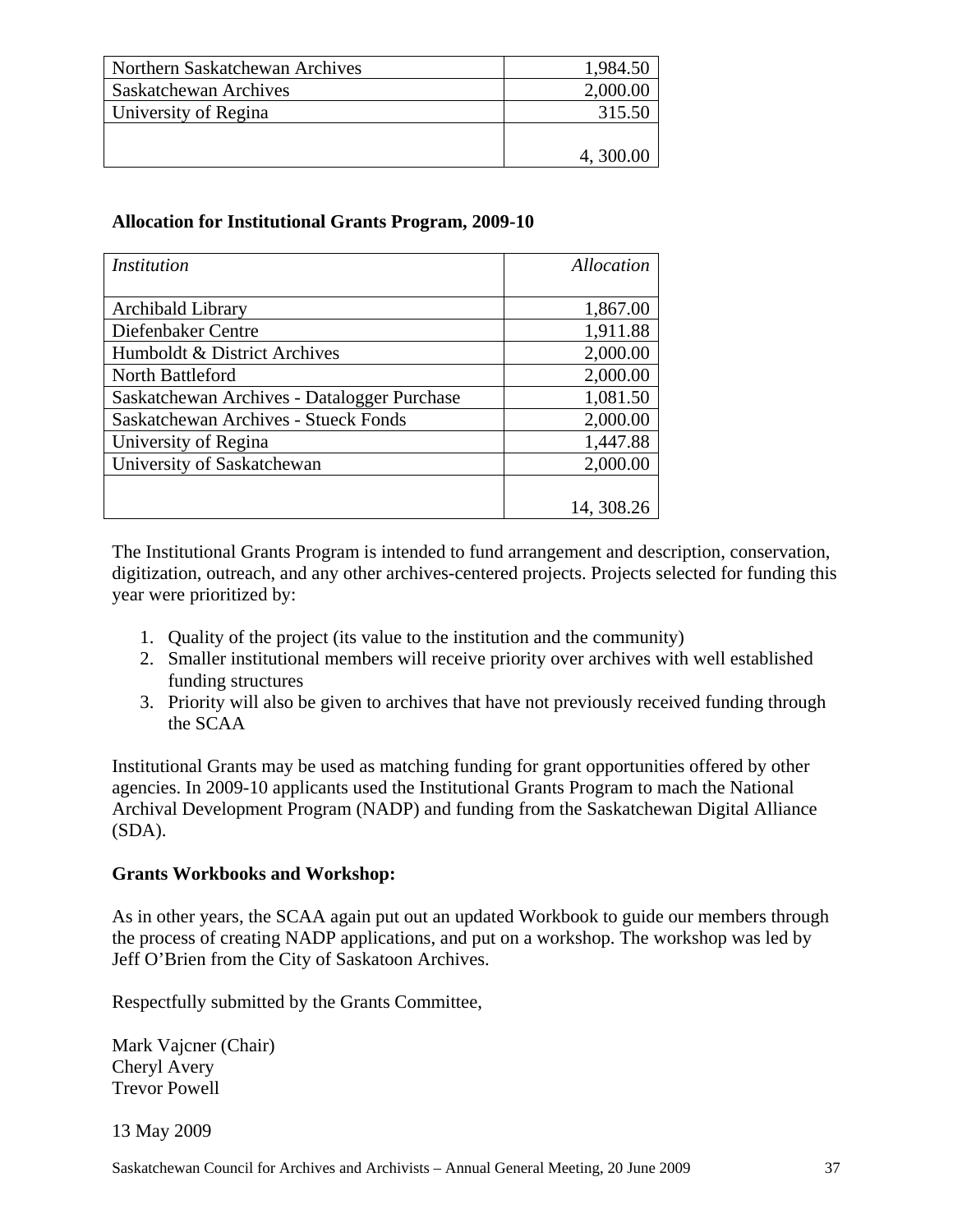| Northern Saskatchewan Archives | 1,984.50 |
|--------------------------------|----------|
| <b>Saskatchewan Archives</b>   | 2,000.00 |
| University of Regina           | 315.50   |
|                                |          |
|                                | 4,300.00 |

#### **Allocation for Institutional Grants Program, 2009-10**

| <i>Institution</i>                          | Allocation |
|---------------------------------------------|------------|
|                                             |            |
| Archibald Library                           | 1,867.00   |
| Diefenbaker Centre                          | 1,911.88   |
| Humboldt & District Archives                | 2,000.00   |
| North Battleford                            | 2,000.00   |
| Saskatchewan Archives - Datalogger Purchase | 1,081.50   |
| <b>Saskatchewan Archives - Stueck Fonds</b> | 2,000.00   |
| University of Regina                        | 1,447.88   |
| University of Saskatchewan                  | 2,000.00   |
|                                             |            |
|                                             | 14, 308.26 |

The Institutional Grants Program is intended to fund arrangement and description, conservation, digitization, outreach, and any other archives-centered projects. Projects selected for funding this year were prioritized by:

- 1. Quality of the project (its value to the institution and the community)
- 2. Smaller institutional members will receive priority over archives with well established funding structures
- 3. Priority will also be given to archives that have not previously received funding through the SCAA

Institutional Grants may be used as matching funding for grant opportunities offered by other agencies. In 2009-10 applicants used the Institutional Grants Program to mach the National Archival Development Program (NADP) and funding from the Saskatchewan Digital Alliance (SDA).

#### **Grants Workbooks and Workshop:**

As in other years, the SCAA again put out an updated Workbook to guide our members through the process of creating NADP applications, and put on a workshop. The workshop was led by Jeff O'Brien from the City of Saskatoon Archives.

Respectfully submitted by the Grants Committee,

Mark Vajcner (Chair) Cheryl Avery Trevor Powell

13 May 2009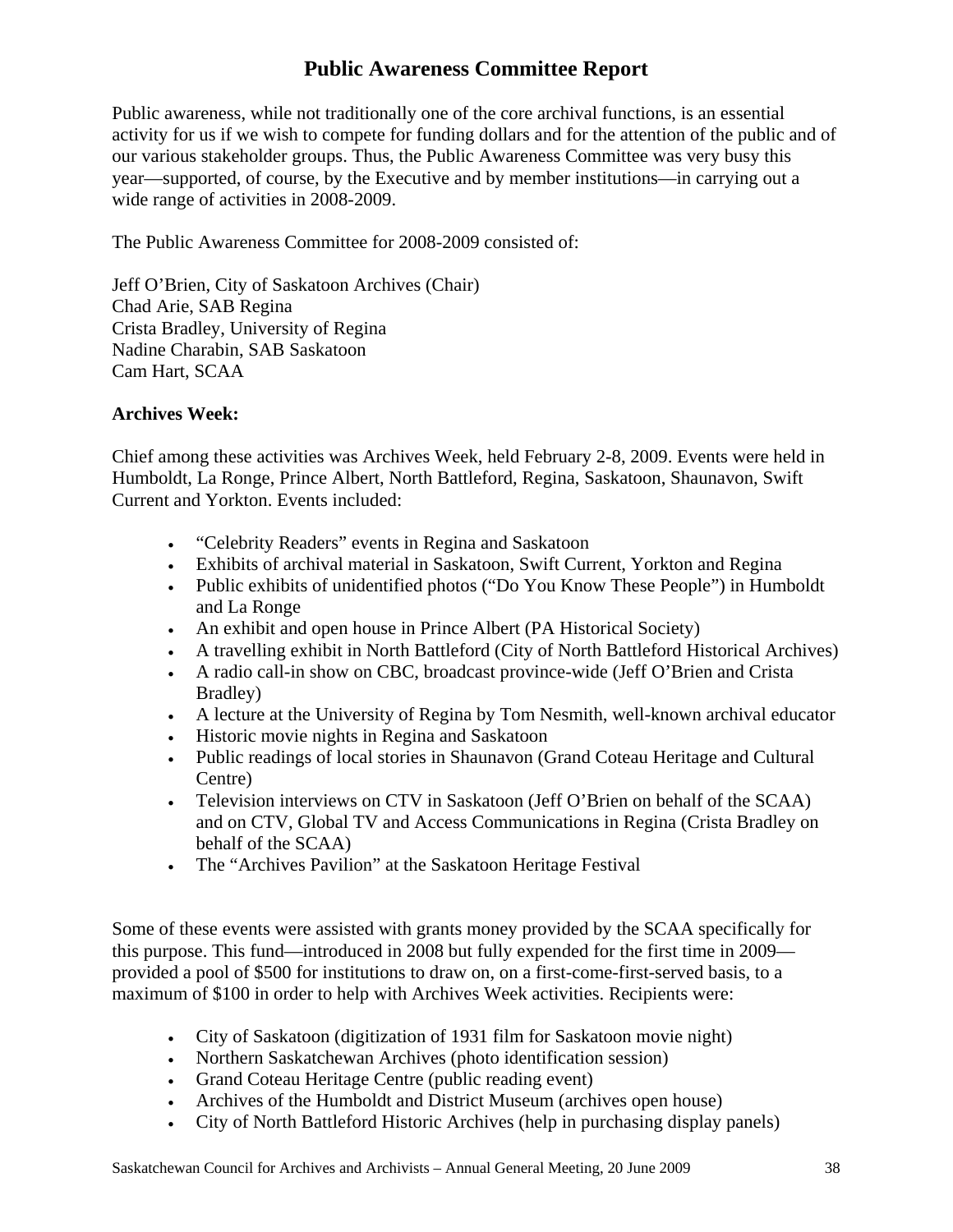## **Public Awareness Committee Report**

Public awareness, while not traditionally one of the core archival functions, is an essential activity for us if we wish to compete for funding dollars and for the attention of the public and of our various stakeholder groups. Thus, the Public Awareness Committee was very busy this year—supported, of course, by the Executive and by member institutions—in carrying out a wide range of activities in 2008-2009.

The Public Awareness Committee for 2008-2009 consisted of:

Jeff O'Brien, City of Saskatoon Archives (Chair) Chad Arie, SAB Regina Crista Bradley, University of Regina Nadine Charabin, SAB Saskatoon Cam Hart, SCAA

#### **Archives Week:**

Chief among these activities was Archives Week, held February 2-8, 2009. Events were held in Humboldt, La Ronge, Prince Albert, North Battleford, Regina, Saskatoon, Shaunavon, Swift Current and Yorkton. Events included:

- "Celebrity Readers" events in Regina and Saskatoon
- Exhibits of archival material in Saskatoon, Swift Current, Yorkton and Regina
- Public exhibits of unidentified photos ("Do You Know These People") in Humboldt and La Ronge
- An exhibit and open house in Prince Albert (PA Historical Society)
- A travelling exhibit in North Battleford (City of North Battleford Historical Archives)
- A radio call-in show on CBC, broadcast province-wide (Jeff O'Brien and Crista Bradley)
- A lecture at the University of Regina by Tom Nesmith, well-known archival educator
- Historic movie nights in Regina and Saskatoon
- Public readings of local stories in Shaunavon (Grand Coteau Heritage and Cultural Centre)
- Television interviews on CTV in Saskatoon (Jeff O'Brien on behalf of the SCAA) and on CTV, Global TV and Access Communications in Regina (Crista Bradley on behalf of the SCAA)
- The "Archives Pavilion" at the Saskatoon Heritage Festival

Some of these events were assisted with grants money provided by the SCAA specifically for this purpose. This fund—introduced in 2008 but fully expended for the first time in 2009 provided a pool of \$500 for institutions to draw on, on a first-come-first-served basis, to a maximum of \$100 in order to help with Archives Week activities. Recipients were:

- City of Saskatoon (digitization of 1931 film for Saskatoon movie night)
- Northern Saskatchewan Archives (photo identification session)
- Grand Coteau Heritage Centre (public reading event)
- Archives of the Humboldt and District Museum (archives open house)
- City of North Battleford Historic Archives (help in purchasing display panels)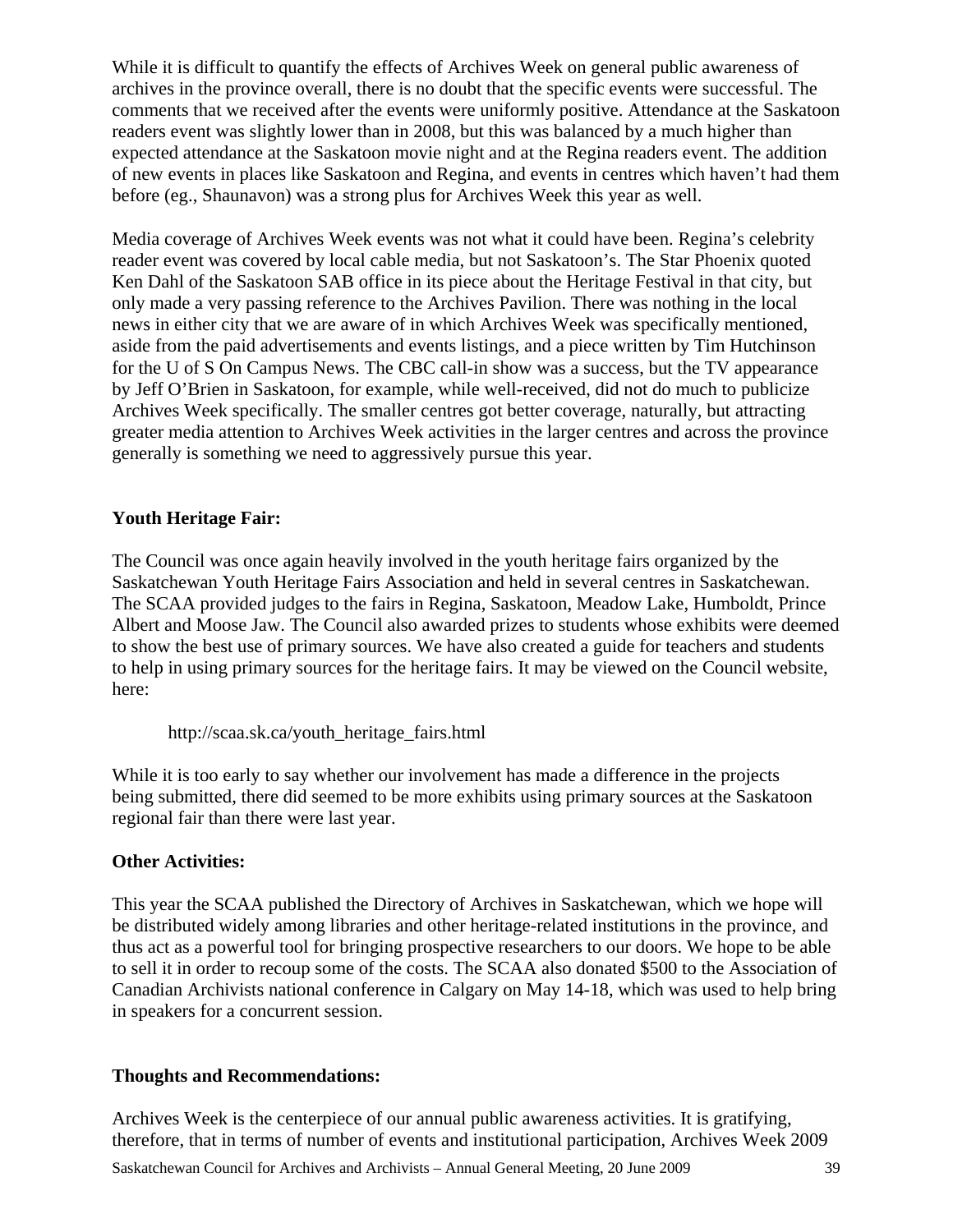While it is difficult to quantify the effects of Archives Week on general public awareness of archives in the province overall, there is no doubt that the specific events were successful. The comments that we received after the events were uniformly positive. Attendance at the Saskatoon readers event was slightly lower than in 2008, but this was balanced by a much higher than expected attendance at the Saskatoon movie night and at the Regina readers event. The addition of new events in places like Saskatoon and Regina, and events in centres which haven't had them before (eg., Shaunavon) was a strong plus for Archives Week this year as well.

Media coverage of Archives Week events was not what it could have been. Regina's celebrity reader event was covered by local cable media, but not Saskatoon's. The Star Phoenix quoted Ken Dahl of the Saskatoon SAB office in its piece about the Heritage Festival in that city, but only made a very passing reference to the Archives Pavilion. There was nothing in the local news in either city that we are aware of in which Archives Week was specifically mentioned, aside from the paid advertisements and events listings, and a piece written by Tim Hutchinson for the U of S On Campus News. The CBC call-in show was a success, but the TV appearance by Jeff O'Brien in Saskatoon, for example, while well-received, did not do much to publicize Archives Week specifically. The smaller centres got better coverage, naturally, but attracting greater media attention to Archives Week activities in the larger centres and across the province generally is something we need to aggressively pursue this year.

#### **Youth Heritage Fair:**

The Council was once again heavily involved in the youth heritage fairs organized by the Saskatchewan Youth Heritage Fairs Association and held in several centres in Saskatchewan. The SCAA provided judges to the fairs in Regina, Saskatoon, Meadow Lake, Humboldt, Prince Albert and Moose Jaw. The Council also awarded prizes to students whose exhibits were deemed to show the best use of primary sources. We have also created a guide for teachers and students to help in using primary sources for the heritage fairs. It may be viewed on the Council website, here:

http://scaa.sk.ca/youth\_heritage\_fairs.html

While it is too early to say whether our involvement has made a difference in the projects being submitted, there did seemed to be more exhibits using primary sources at the Saskatoon regional fair than there were last year.

#### **Other Activities:**

This year the SCAA published the Directory of Archives in Saskatchewan, which we hope will be distributed widely among libraries and other heritage-related institutions in the province, and thus act as a powerful tool for bringing prospective researchers to our doors. We hope to be able to sell it in order to recoup some of the costs. The SCAA also donated \$500 to the Association of Canadian Archivists national conference in Calgary on May 14-18, which was used to help bring in speakers for a concurrent session.

#### **Thoughts and Recommendations:**

Archives Week is the centerpiece of our annual public awareness activities. It is gratifying, therefore, that in terms of number of events and institutional participation, Archives Week 2009

Saskatchewan Council for Archives and Archivists – Annual General Meeting, 20 June 2009 39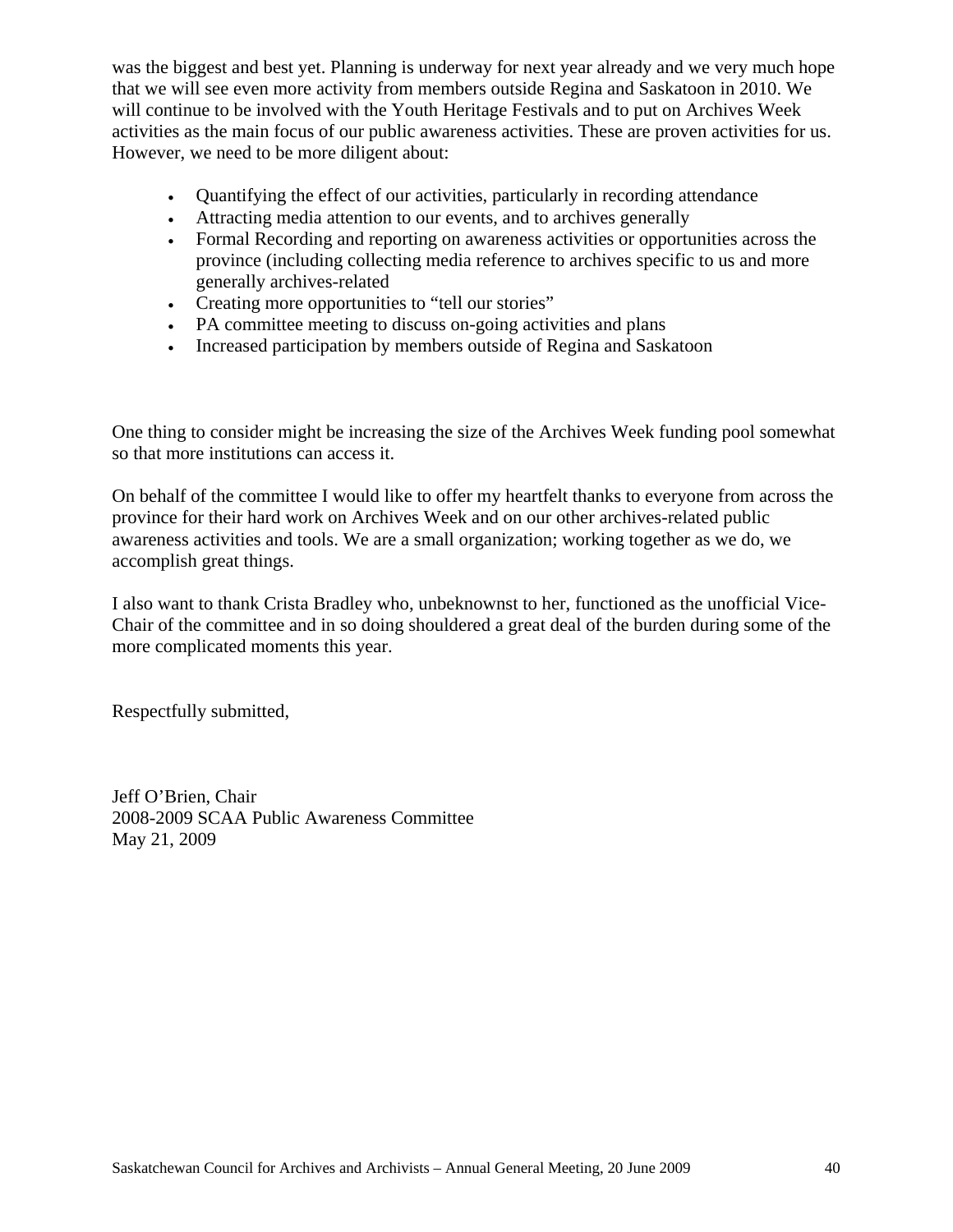was the biggest and best yet. Planning is underway for next year already and we very much hope that we will see even more activity from members outside Regina and Saskatoon in 2010. We will continue to be involved with the Youth Heritage Festivals and to put on Archives Week activities as the main focus of our public awareness activities. These are proven activities for us. However, we need to be more diligent about:

- Quantifying the effect of our activities, particularly in recording attendance
- Attracting media attention to our events, and to archives generally
- Formal Recording and reporting on awareness activities or opportunities across the province (including collecting media reference to archives specific to us and more generally archives-related
- Creating more opportunities to "tell our stories"
- PA committee meeting to discuss on-going activities and plans
- Increased participation by members outside of Regina and Saskatoon

One thing to consider might be increasing the size of the Archives Week funding pool somewhat so that more institutions can access it.

On behalf of the committee I would like to offer my heartfelt thanks to everyone from across the province for their hard work on Archives Week and on our other archives-related public awareness activities and tools. We are a small organization; working together as we do, we accomplish great things.

I also want to thank Crista Bradley who, unbeknownst to her, functioned as the unofficial Vice-Chair of the committee and in so doing shouldered a great deal of the burden during some of the more complicated moments this year.

Respectfully submitted,

Jeff O'Brien, Chair 2008-2009 SCAA Public Awareness Committee May 21, 2009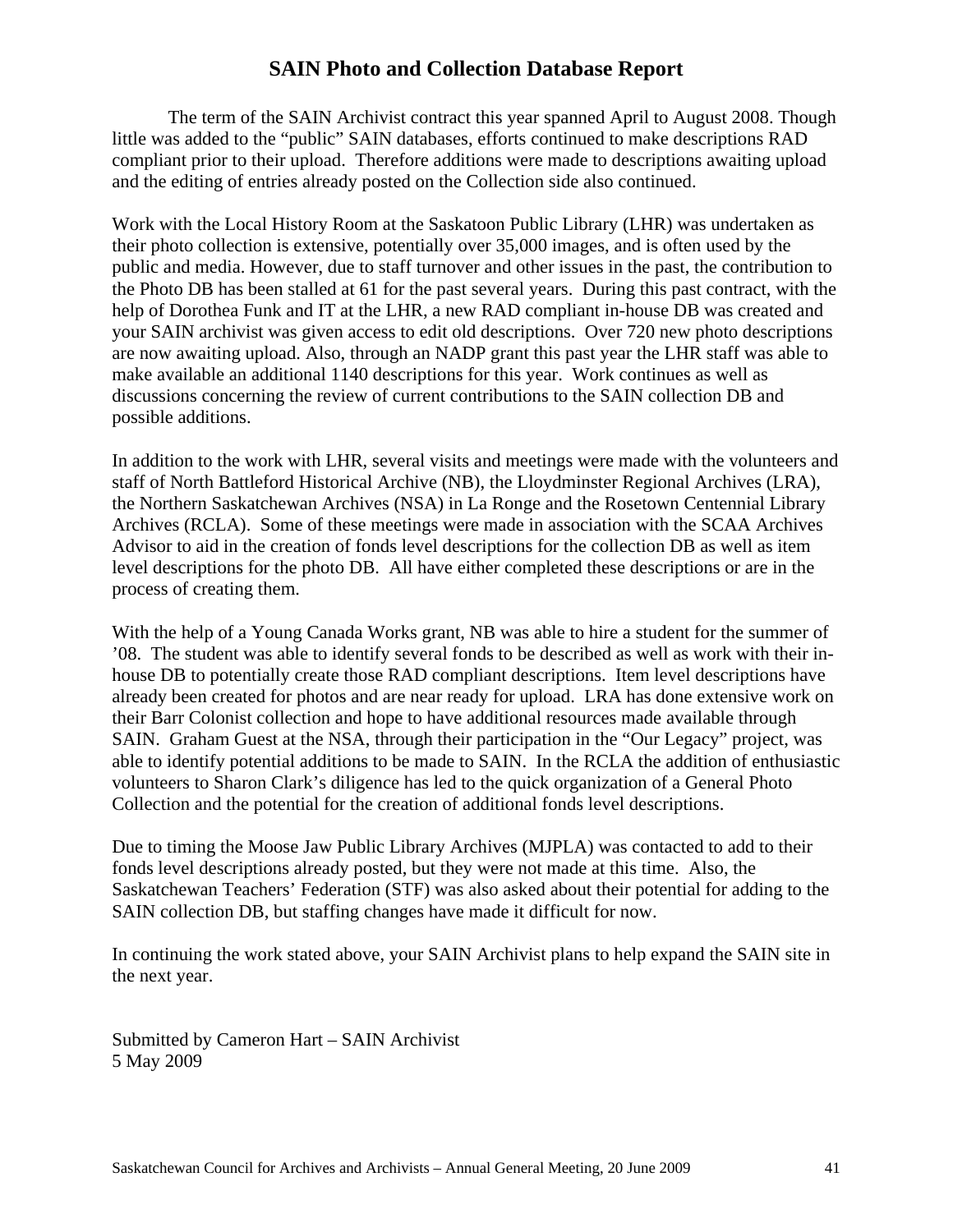## **SAIN Photo and Collection Database Report**

The term of the SAIN Archivist contract this year spanned April to August 2008. Though little was added to the "public" SAIN databases, efforts continued to make descriptions RAD compliant prior to their upload. Therefore additions were made to descriptions awaiting upload and the editing of entries already posted on the Collection side also continued.

Work with the Local History Room at the Saskatoon Public Library (LHR) was undertaken as their photo collection is extensive, potentially over 35,000 images, and is often used by the public and media. However, due to staff turnover and other issues in the past, the contribution to the Photo DB has been stalled at 61 for the past several years. During this past contract, with the help of Dorothea Funk and IT at the LHR, a new RAD compliant in-house DB was created and your SAIN archivist was given access to edit old descriptions. Over 720 new photo descriptions are now awaiting upload. Also, through an NADP grant this past year the LHR staff was able to make available an additional 1140 descriptions for this year. Work continues as well as discussions concerning the review of current contributions to the SAIN collection DB and possible additions.

In addition to the work with LHR, several visits and meetings were made with the volunteers and staff of North Battleford Historical Archive (NB), the Lloydminster Regional Archives (LRA), the Northern Saskatchewan Archives (NSA) in La Ronge and the Rosetown Centennial Library Archives (RCLA). Some of these meetings were made in association with the SCAA Archives Advisor to aid in the creation of fonds level descriptions for the collection DB as well as item level descriptions for the photo DB. All have either completed these descriptions or are in the process of creating them.

With the help of a Young Canada Works grant, NB was able to hire a student for the summer of '08. The student was able to identify several fonds to be described as well as work with their inhouse DB to potentially create those RAD compliant descriptions. Item level descriptions have already been created for photos and are near ready for upload. LRA has done extensive work on their Barr Colonist collection and hope to have additional resources made available through SAIN. Graham Guest at the NSA, through their participation in the "Our Legacy" project, was able to identify potential additions to be made to SAIN. In the RCLA the addition of enthusiastic volunteers to Sharon Clark's diligence has led to the quick organization of a General Photo Collection and the potential for the creation of additional fonds level descriptions.

Due to timing the Moose Jaw Public Library Archives (MJPLA) was contacted to add to their fonds level descriptions already posted, but they were not made at this time. Also, the Saskatchewan Teachers' Federation (STF) was also asked about their potential for adding to the SAIN collection DB, but staffing changes have made it difficult for now.

In continuing the work stated above, your SAIN Archivist plans to help expand the SAIN site in the next year.

Submitted by Cameron Hart – SAIN Archivist 5 May 2009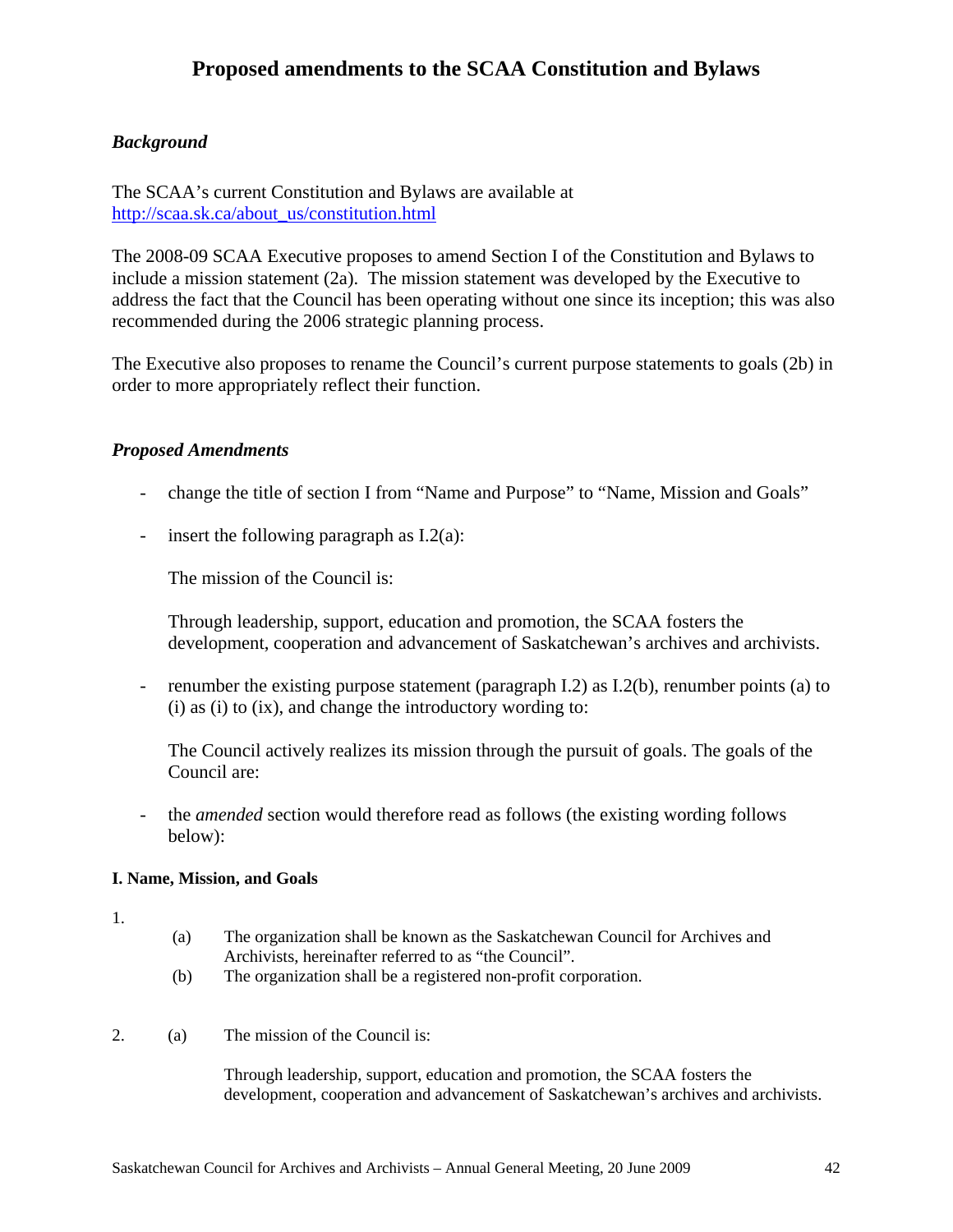## **Proposed amendments to the SCAA Constitution and Bylaws**

#### *Background*

The SCAA's current Constitution and Bylaws are available at http://scaa.sk.ca/about\_us/constitution.html

The 2008-09 SCAA Executive proposes to amend Section I of the Constitution and Bylaws to include a mission statement (2a). The mission statement was developed by the Executive to address the fact that the Council has been operating without one since its inception; this was also recommended during the 2006 strategic planning process.

The Executive also proposes to rename the Council's current purpose statements to goals (2b) in order to more appropriately reflect their function.

#### *Proposed Amendments*

- change the title of section I from "Name and Purpose" to "Name, Mission and Goals"
- insert the following paragraph as I.2(a):

The mission of the Council is:

Through leadership, support, education and promotion, the SCAA fosters the development, cooperation and advancement of Saskatchewan's archives and archivists.

- renumber the existing purpose statement (paragraph I.2) as I.2(b), renumber points (a) to (i) as (i) to (ix), and change the introductory wording to:

The Council actively realizes its mission through the pursuit of goals. The goals of the Council are:

- the *amended* section would therefore read as follows (the existing wording follows below):

#### **I. Name, Mission, and Goals**

- 1.
- (a) The organization shall be known as the Saskatchewan Council for Archives and Archivists, hereinafter referred to as "the Council".
- (b) The organization shall be a registered non-profit corporation.
- 2. (a) The mission of the Council is:

Through leadership, support, education and promotion, the SCAA fosters the development, cooperation and advancement of Saskatchewan's archives and archivists.